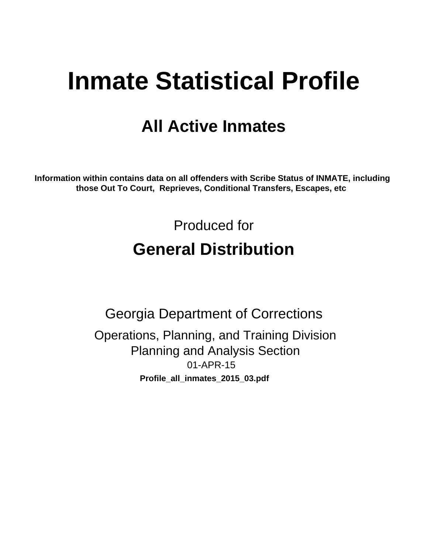# **Inmate Statistical Profile**

## **All Active Inmates**

Information within contains data on all offenders with Scribe Status of INMATE, including those Out To Court, Reprieves, Conditional Transfers, Escapes, etc

> Produced for **General Distribution**

**Georgia Department of Corrections** Operations, Planning, and Training Division **Planning and Analysis Section** 01-APR-15 Profile\_all\_inmates\_2015\_03.pdf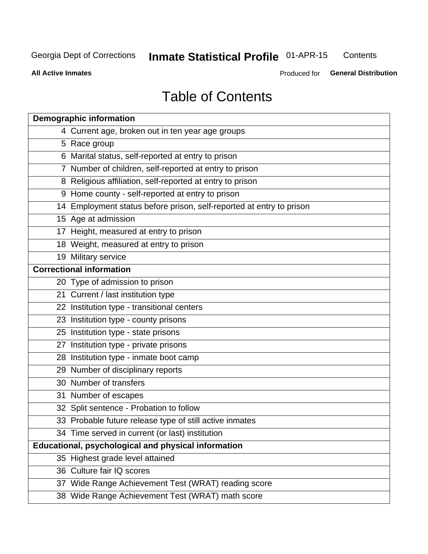#### **Inmate Statistical Profile 01-APR-15** Contents

**All Active Inmates** 

Produced for General Distribution

## **Table of Contents**

| <b>Demographic information</b>                                       |
|----------------------------------------------------------------------|
| 4 Current age, broken out in ten year age groups                     |
| 5 Race group                                                         |
| 6 Marital status, self-reported at entry to prison                   |
| 7 Number of children, self-reported at entry to prison               |
| 8 Religious affiliation, self-reported at entry to prison            |
| 9 Home county - self-reported at entry to prison                     |
| 14 Employment status before prison, self-reported at entry to prison |
| 15 Age at admission                                                  |
| 17 Height, measured at entry to prison                               |
| 18 Weight, measured at entry to prison                               |
| 19 Military service                                                  |
| <b>Correctional information</b>                                      |
| 20 Type of admission to prison                                       |
| 21 Current / last institution type                                   |
| 22 Institution type - transitional centers                           |
| 23 Institution type - county prisons                                 |
| 25 Institution type - state prisons                                  |
| 27 Institution type - private prisons                                |
| 28 Institution type - inmate boot camp                               |
| 29 Number of disciplinary reports                                    |
| 30 Number of transfers                                               |
| 31 Number of escapes                                                 |
| 32 Split sentence - Probation to follow                              |
| 33 Probable future release type of still active inmates              |
| 34 Time served in current (or last) institution                      |
| Educational, psychological and physical information                  |
| 35 Highest grade level attained                                      |
| 36 Culture fair IQ scores                                            |
| 37 Wide Range Achievement Test (WRAT) reading score                  |
| 38 Wide Range Achievement Test (WRAT) math score                     |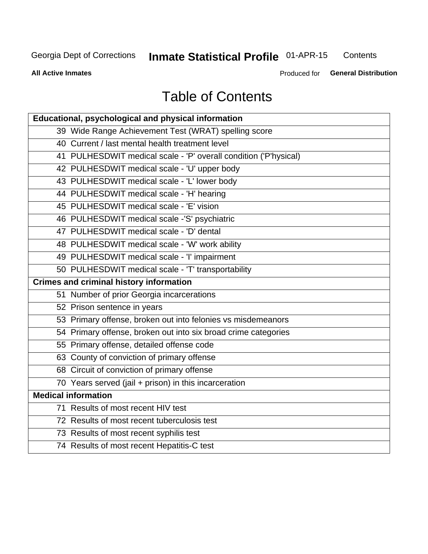## **Inmate Statistical Profile 01-APR-15**

Contents

**All Active Inmates** 

Produced for General Distribution

## **Table of Contents**

| Educational, psychological and physical information              |
|------------------------------------------------------------------|
| 39 Wide Range Achievement Test (WRAT) spelling score             |
| 40 Current / last mental health treatment level                  |
| 41 PULHESDWIT medical scale - 'P' overall condition ('P'hysical) |
| 42 PULHESDWIT medical scale - 'U' upper body                     |
| 43 PULHESDWIT medical scale - 'L' lower body                     |
| 44 PULHESDWIT medical scale - 'H' hearing                        |
| 45 PULHESDWIT medical scale - 'E' vision                         |
| 46 PULHESDWIT medical scale -'S' psychiatric                     |
| 47 PULHESDWIT medical scale - 'D' dental                         |
| 48 PULHESDWIT medical scale - 'W' work ability                   |
| 49 PULHESDWIT medical scale - 'I' impairment                     |
| 50 PULHESDWIT medical scale - 'T' transportability               |
| <b>Crimes and criminal history information</b>                   |
| 51 Number of prior Georgia incarcerations                        |
| 52 Prison sentence in years                                      |
| 53 Primary offense, broken out into felonies vs misdemeanors     |
| 54 Primary offense, broken out into six broad crime categories   |
| 55 Primary offense, detailed offense code                        |
| 63 County of conviction of primary offense                       |
| 68 Circuit of conviction of primary offense                      |
| 70 Years served (jail + prison) in this incarceration            |
| <b>Medical information</b>                                       |
| 71 Results of most recent HIV test                               |
| 72 Results of most recent tuberculosis test                      |
| 73 Results of most recent syphilis test                          |
| 74 Results of most recent Hepatitis-C test                       |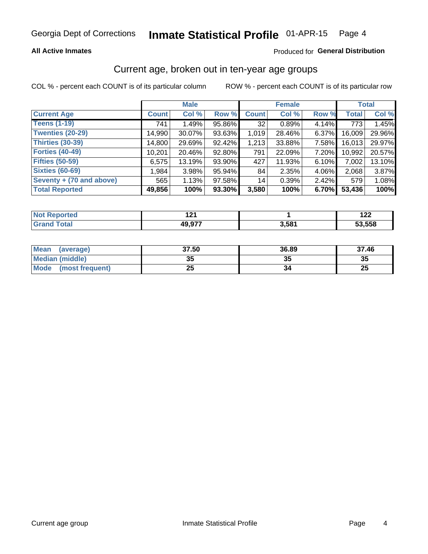### **All Active Inmates**

### Produced for General Distribution

### Current age, broken out in ten-year age groups

COL % - percent each COUNT is of its particular column

|                          | <b>Male</b>  |        |        | <b>Female</b> |        |          | <b>Total</b> |        |
|--------------------------|--------------|--------|--------|---------------|--------|----------|--------------|--------|
| <b>Current Age</b>       | <b>Count</b> | Col %  | Row %  | <b>Count</b>  | Col %  | Row %    | <b>Total</b> | Col %  |
| <b>Teens (1-19)</b>      | 741          | 1.49%  | 95.86% | 32            | 0.89%  | 4.14%    | 773          | 1.45%  |
| <b>Twenties (20-29)</b>  | 14,990       | 30.07% | 93.63% | 1,019         | 28.46% | $6.37\%$ | 16,009       | 29.96% |
| <b>Thirties (30-39)</b>  | 14,800       | 29.69% | 92.42% | 1,213         | 33.88% | $7.58\%$ | 16,013       | 29.97% |
| <b>Forties (40-49)</b>   | 10,201       | 20.46% | 92.80% | 791           | 22.09% | 7.20%    | 10,992       | 20.57% |
| <b>Fifties (50-59)</b>   | 6,575        | 13.19% | 93.90% | 427           | 11.93% | 6.10%    | 7,002        | 13.10% |
| <b>Sixties (60-69)</b>   | 1,984        | 3.98%  | 95.94% | 84            | 2.35%  | 4.06%    | 2,068        | 3.87%  |
| Seventy + (70 and above) | 565          | 1.13%  | 97.58% | 14            | 0.39%  | $2.42\%$ | 579          | 1.08%  |
| <b>Total Reported</b>    | 49,856       | 100%   | 93.30% | 3,580         | 100%   | 6.70%    | 53,436       | 100%   |

| <b>Not Repo</b> |        |       | "^^    |
|-----------------|--------|-------|--------|
| orted           | . .    |       | 144    |
| Total           | 49 977 | 3.581 | 53,558 |

| <b>Mean</b><br>(average)       | 37.50    | 36.89 | 37.46    |
|--------------------------------|----------|-------|----------|
| Median (middle)                | つん<br>vu | JJ    | 35       |
| <b>Mode</b><br>(most frequent) | つら<br>∠J |       | つじ<br>ZJ |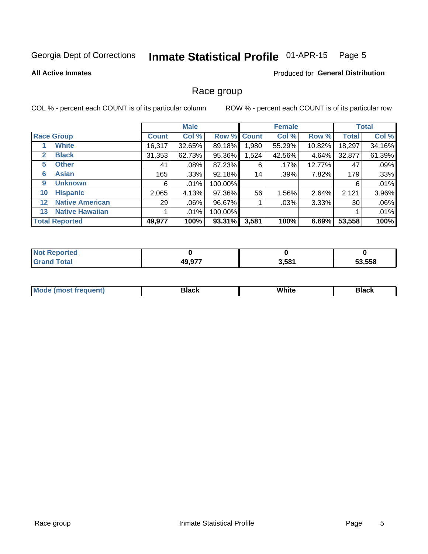#### Inmate Statistical Profile 01-APR-15 Page 5

### **All Active Inmates**

### Produced for General Distribution

### Race group

COL % - percent each COUNT is of its particular column

|                   |                        |              | <b>Male</b> |           |             | <b>Female</b> |        |              | <b>Total</b> |  |
|-------------------|------------------------|--------------|-------------|-----------|-------------|---------------|--------|--------------|--------------|--|
|                   | <b>Race Group</b>      | <b>Count</b> | Col %       |           | Row % Count | Col %         | Row %  | <b>Total</b> | Col %        |  |
|                   | <b>White</b>           | 16,317       | 32.65%      | 89.18%    | 1,980       | 55.29%        | 10.82% | 18,297       | 34.16%       |  |
| $\mathbf{2}$      | <b>Black</b>           | 31,353       | 62.73%      | 95.36%    | 1,524       | 42.56%        | 4.64%  | 32,877       | 61.39%       |  |
| 5.                | <b>Other</b>           | 41           | $.08\%$     | 87.23%    | 6           | $.17\%$       | 12.77% | 47           | .09%         |  |
| 6                 | <b>Asian</b>           | 165          | $.33\%$     | 92.18%    | 14          | .39%          | 7.82%  | 179          | .33%         |  |
| 9                 | <b>Unknown</b>         | 6            | .01%        | 100.00%   |             |               |        | 6            | .01%         |  |
| 10                | <b>Hispanic</b>        | 2,065        | 4.13%       | 97.36%    | 56          | $1.56\%$      | 2.64%  | 2,121        | 3.96%        |  |
| $12 \overline{ }$ | <b>Native American</b> | 29           | $.06\%$     | 96.67%    |             | .03%          | 3.33%  | 30           | .06%         |  |
| 13                | <b>Native Hawaiian</b> |              | .01%        | 100.00%   |             |               |        |              | .01%         |  |
|                   | <b>Total Reported</b>  | 49,977       | 100%        | $93.31\%$ | 3,581       | 100%          | 6.69%  | 53,558       | 100%         |  |

| <b>Not Reported</b> |        |       |        |
|---------------------|--------|-------|--------|
| ſotal               | 49,977 | 3,581 | 53,558 |

| <b>Mode</b><br>---<br>most frequent) | Black | White | <b>Black</b> |
|--------------------------------------|-------|-------|--------------|
|                                      |       |       |              |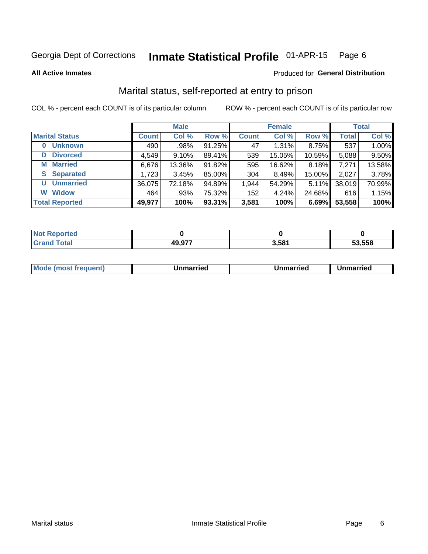#### Inmate Statistical Profile 01-APR-15 Page 6

**All Active Inmates** 

### Produced for General Distribution

### Marital status, self-reported at entry to prison

COL % - percent each COUNT is of its particular column

|                            | <b>Male</b>  |          |        |              | <b>Female</b> | <b>Total</b> |              |        |
|----------------------------|--------------|----------|--------|--------------|---------------|--------------|--------------|--------|
| <b>Marital Status</b>      | <b>Count</b> | Col %    | Row %  | <b>Count</b> | Col %         | Row %        | <b>Total</b> | Col %  |
| <b>Unknown</b><br>$\bf{0}$ | 490          | $.98\%$  | 91.25% | 47           | 1.31%         | 8.75%        | 537          | 1.00%  |
| <b>Divorced</b><br>D       | 4,549        | $9.10\%$ | 89.41% | 539          | 15.05%        | 10.59%       | 5,088        | 9.50%  |
| <b>Married</b><br>М        | 6,676        | 13.36%   | 91.82% | 595          | 16.62%        | 8.18%        | 7,271        | 13.58% |
| <b>Separated</b><br>S.     | 1,723        | 3.45%    | 85.00% | 304          | 8.49%         | 15.00%       | 2,027        | 3.78%  |
| <b>Unmarried</b><br>U      | 36,075       | 72.18%   | 94.89% | 1,944        | 54.29%        | 5.11%        | 38,019       | 70.99% |
| <b>Widow</b><br>W          | 464          | .93%     | 75.32% | 152          | 4.24%         | 24.68%       | 616          | 1.15%  |
| <b>Total Reported</b>      | 49,977       | 100%     | 93.31% | 3,581        | 100%          | 6.69%        | 53,558       | 100%   |

| NO |                          |       |        |
|----|--------------------------|-------|--------|
|    | 40.07 <sup>-</sup><br>4Ч | 3,581 | 53.558 |

|--|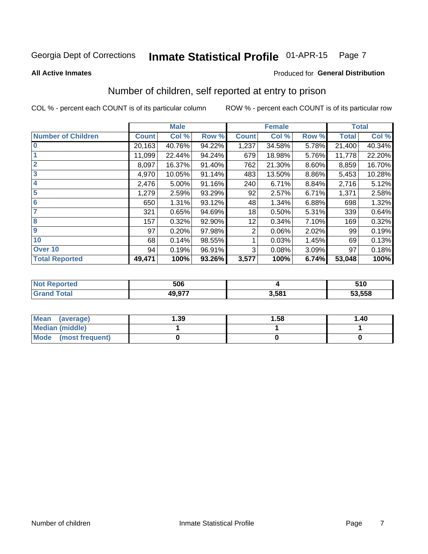#### Inmate Statistical Profile 01-APR-15 Page 7

**All Active Inmates** 

### Produced for General Distribution

### Number of children, self reported at entry to prison

COL % - percent each COUNT is of its particular column

|                           |              | <b>Male</b> |        |              | <b>Female</b> |       |              | <b>Total</b> |
|---------------------------|--------------|-------------|--------|--------------|---------------|-------|--------------|--------------|
| <b>Number of Children</b> | <b>Count</b> | Col %       | Row %  | <b>Count</b> | Col %         | Row % | <b>Total</b> | Col %        |
| $\overline{\mathbf{0}}$   | 20,163       | 40.76%      | 94.22% | 1,237        | 34.58%        | 5.78% | 21,400       | 40.34%       |
|                           | 11,099       | 22.44%      | 94.24% | 679          | 18.98%        | 5.76% | 11,778       | 22.20%       |
| $\overline{2}$            | 8,097        | 16.37%      | 91.40% | 762          | 21.30%        | 8.60% | 8,859        | 16.70%       |
| $\overline{\mathbf{3}}$   | 4,970        | 10.05%      | 91.14% | 483          | 13.50%        | 8.86% | 5,453        | 10.28%       |
| 4                         | 2,476        | 5.00%       | 91.16% | 240          | 6.71%         | 8.84% | 2,716        | 5.12%        |
| $\overline{\mathbf{5}}$   | 1,279        | 2.59%       | 93.29% | 92           | 2.57%         | 6.71% | 1,371        | 2.58%        |
| 6                         | 650          | 1.31%       | 93.12% | 48           | 1.34%         | 6.88% | 698          | 1.32%        |
| 7                         | 321          | 0.65%       | 94.69% | 18           | 0.50%         | 5.31% | 339          | 0.64%        |
| $\overline{\mathbf{8}}$   | 157          | 0.32%       | 92.90% | 12           | 0.34%         | 7.10% | 169          | 0.32%        |
| 9                         | 97           | 0.20%       | 97.98% | 2            | 0.06%         | 2.02% | 99           | 0.19%        |
| 10                        | 68           | 0.14%       | 98.55% |              | 0.03%         | 1.45% | 69           | 0.13%        |
| Over 10                   | 94           | 0.19%       | 96.91% | 3            | 0.08%         | 3.09% | 97           | 0.18%        |
| <b>Total Reported</b>     | 49,471       | 100%        | 93.26% | 3,577        | 100%          | 6.74% | 53,048       | 100%         |

| тео | 506    |       | 510    |
|-----|--------|-------|--------|
|     | 10.077 | 3.581 | 53,558 |

| <b>Mean</b><br>(average) | 1.39 | 1.58 | 1.40 |
|--------------------------|------|------|------|
| Median (middle)          |      |      |      |
| Mode<br>(most frequent)  |      |      |      |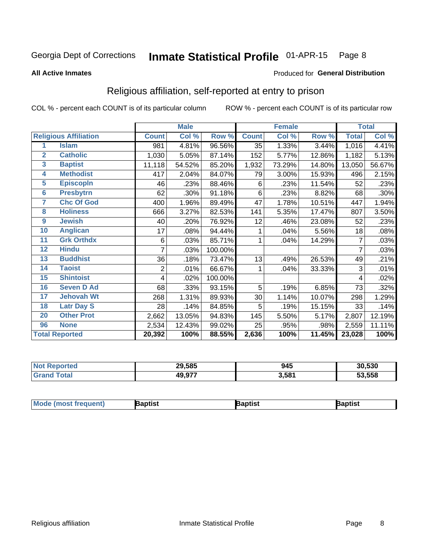#### Inmate Statistical Profile 01-APR-15 Page 8

#### **All Active Inmates**

### Produced for General Distribution

### Religious affiliation, self-reported at entry to prison

COL % - percent each COUNT is of its particular column

|                         |                              |              | <b>Male</b> |         |              | <b>Female</b> |        |                | <b>Total</b> |
|-------------------------|------------------------------|--------------|-------------|---------|--------------|---------------|--------|----------------|--------------|
|                         | <b>Religious Affiliation</b> | <b>Count</b> | Col %       | Row %   | <b>Count</b> | Col %         | Row %  | <b>Total</b>   | Col %        |
| 1                       | <b>Islam</b>                 | 981          | 4.81%       | 96.56%  | 35           | 1.33%         | 3.44%  | 1,016          | 4.41%        |
| $\mathbf{2}$            | <b>Catholic</b>              | 1,030        | 5.05%       | 87.14%  | 152          | 5.77%         | 12.86% | 1,182          | 5.13%        |
| $\mathbf{3}$            | <b>Baptist</b>               | 11,118       | 54.52%      | 85.20%  | 1,932        | 73.29%        | 14.80% | 13,050         | 56.67%       |
| $\overline{\mathbf{4}}$ | <b>Methodist</b>             | 417          | 2.04%       | 84.07%  | 79           | 3.00%         | 15.93% | 496            | 2.15%        |
| $\overline{5}$          | <b>EpiscopIn</b>             | 46           | .23%        | 88.46%  | 6            | .23%          | 11.54% | 52             | .23%         |
| $6\overline{6}$         | <b>Presbytrn</b>             | 62           | .30%        | 91.18%  | 6            | .23%          | 8.82%  | 68             | .30%         |
| 7                       | <b>Chc Of God</b>            | 400          | 1.96%       | 89.49%  | 47           | 1.78%         | 10.51% | 447            | 1.94%        |
| 8                       | <b>Holiness</b>              | 666          | 3.27%       | 82.53%  | 141          | 5.35%         | 17.47% | 807            | 3.50%        |
| 9                       | <b>Jewish</b>                | 40           | .20%        | 76.92%  | 12           | .46%          | 23.08% | 52             | .23%         |
| 10                      | <b>Anglican</b>              | 17           | .08%        | 94.44%  |              | .04%          | 5.56%  | 18             | .08%         |
| 11                      | <b>Grk Orthdx</b>            | 6            | .03%        | 85.71%  | 1            | .04%          | 14.29% | 7              | .03%         |
| 12                      | <b>Hindu</b>                 | 7            | .03%        | 100.00% |              |               |        | $\overline{7}$ | .03%         |
| 13                      | <b>Buddhist</b>              | 36           | .18%        | 73.47%  | 13           | .49%          | 26.53% | 49             | .21%         |
| 14                      | <b>Taoist</b>                | 2            | .01%        | 66.67%  | 1            | .04%          | 33.33% | 3              | .01%         |
| 15                      | <b>Shintoist</b>             | 4            | .02%        | 100.00% |              |               |        | 4              | .02%         |
| 16                      | <b>Seven D Ad</b>            | 68           | .33%        | 93.15%  | 5            | .19%          | 6.85%  | 73             | .32%         |
| $\overline{17}$         | <b>Jehovah Wt</b>            | 268          | 1.31%       | 89.93%  | 30           | 1.14%         | 10.07% | 298            | 1.29%        |
| 18                      | <b>Latr Day S</b>            | 28           | .14%        | 84.85%  | 5            | .19%          | 15.15% | 33             | .14%         |
| 20                      | <b>Other Prot</b>            | 2,662        | 13.05%      | 94.83%  | 145          | 5.50%         | 5.17%  | 2,807          | 12.19%       |
| 96                      | <b>None</b>                  | 2,534        | 12.43%      | 99.02%  | 25           | .95%          | .98%   | 2,559          | 11.11%       |
|                         | <b>Total Reported</b>        | 20,392       | 100%        | 88.55%  | 2,636        | 100%          | 11.45% | 23,028         | 100%         |

| 29,585      | 945   | 30,530 |
|-------------|-------|--------|
| 077<br>49,5 | 3,581 | 53,558 |

| Mo<br><b>la</b> ptist<br>Baptist<br>3aptist |
|---------------------------------------------|
|---------------------------------------------|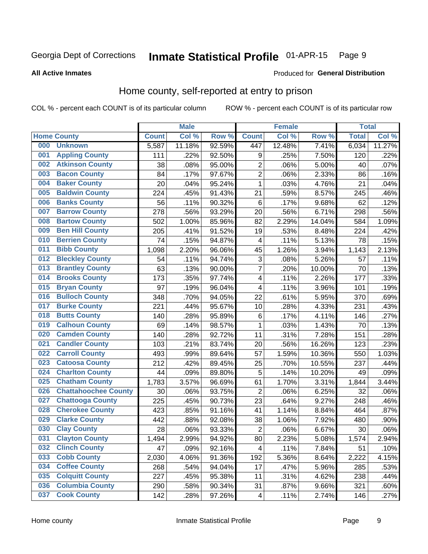#### Inmate Statistical Profile 01-APR-15 Page 9

#### **All Active Inmates**

### **Produced for General Distribution**

### Home county, self-reported at entry to prison

COL % - percent each COUNT is of its particular column

|     |                             |              | <b>Male</b> |        |                         | <b>Female</b> |        | <b>Total</b> |        |
|-----|-----------------------------|--------------|-------------|--------|-------------------------|---------------|--------|--------------|--------|
|     | <b>Home County</b>          | <b>Count</b> | Col %       | Row %  | <b>Count</b>            | Col %         | Row %  | <b>Total</b> | Col %  |
| 000 | <b>Unknown</b>              | 5,587        | 11.18%      | 92.59% | 447                     | 12.48%        | 7.41%  | 6,034        | 11.27% |
| 001 | <b>Appling County</b>       | 111          | .22%        | 92.50% | 9                       | .25%          | 7.50%  | 120          | .22%   |
| 002 | <b>Atkinson County</b>      | 38           | .08%        | 95.00% | $\overline{c}$          | .06%          | 5.00%  | 40           | .07%   |
| 003 | <b>Bacon County</b>         | 84           | .17%        | 97.67% | $\overline{2}$          | .06%          | 2.33%  | 86           | .16%   |
| 004 | <b>Baker County</b>         | 20           | .04%        | 95.24% | $\mathbf{1}$            | .03%          | 4.76%  | 21           | .04%   |
| 005 | <b>Baldwin County</b>       | 224          | .45%        | 91.43% | 21                      | .59%          | 8.57%  | 245          | .46%   |
| 006 | <b>Banks County</b>         | 56           | .11%        | 90.32% | $\,6$                   | .17%          | 9.68%  | 62           | .12%   |
| 007 | <b>Barrow County</b>        | 278          | .56%        | 93.29% | 20                      | .56%          | 6.71%  | 298          | .56%   |
| 008 | <b>Bartow County</b>        | 502          | 1.00%       | 85.96% | 82                      | 2.29%         | 14.04% | 584          | 1.09%  |
| 009 | <b>Ben Hill County</b>      | 205          | .41%        | 91.52% | 19                      | .53%          | 8.48%  | 224          | .42%   |
| 010 | <b>Berrien County</b>       | 74           | .15%        | 94.87% | 4                       | .11%          | 5.13%  | 78           | .15%   |
| 011 | <b>Bibb County</b>          | 1,098        | 2.20%       | 96.06% | 45                      | 1.26%         | 3.94%  | 1,143        | 2.13%  |
| 012 | <b>Bleckley County</b>      | 54           | .11%        | 94.74% | 3                       | .08%          | 5.26%  | 57           | .11%   |
| 013 | <b>Brantley County</b>      | 63           | .13%        | 90.00% | 7                       | .20%          | 10.00% | 70           | .13%   |
| 014 | <b>Brooks County</b>        | 173          | .35%        | 97.74% | 4                       | .11%          | 2.26%  | 177          | .33%   |
| 015 | <b>Bryan County</b>         | 97           | .19%        | 96.04% | 4                       | .11%          | 3.96%  | 101          | .19%   |
| 016 | <b>Bulloch County</b>       | 348          | .70%        | 94.05% | 22                      | .61%          | 5.95%  | 370          | .69%   |
| 017 | <b>Burke County</b>         | 221          | .44%        | 95.67% | 10                      | .28%          | 4.33%  | 231          | .43%   |
| 018 | <b>Butts County</b>         | 140          | .28%        | 95.89% | $\,6$                   | .17%          | 4.11%  | 146          | .27%   |
| 019 | <b>Calhoun County</b>       | 69           | .14%        | 98.57% | $\mathbf{1}$            | .03%          | 1.43%  | 70           | .13%   |
| 020 | <b>Camden County</b>        | 140          | .28%        | 92.72% | 11                      | .31%          | 7.28%  | 151          | .28%   |
| 021 | <b>Candler County</b>       | 103          | .21%        | 83.74% | 20                      | .56%          | 16.26% | 123          | .23%   |
| 022 | <b>Carroll County</b>       | 493          | .99%        | 89.64% | 57                      | 1.59%         | 10.36% | 550          | 1.03%  |
| 023 | <b>Catoosa County</b>       | 212          | .42%        | 89.45% | 25                      | .70%          | 10.55% | 237          | .44%   |
| 024 | <b>Charlton County</b>      | 44           | .09%        | 89.80% | 5                       | .14%          | 10.20% | 49           | .09%   |
| 025 | <b>Chatham County</b>       | 1,783        | 3.57%       | 96.69% | 61                      | 1.70%         | 3.31%  | 1,844        | 3.44%  |
| 026 | <b>Chattahoochee County</b> | 30           | .06%        | 93.75% | $\overline{c}$          | .06%          | 6.25%  | 32           | .06%   |
| 027 | <b>Chattooga County</b>     | 225          | .45%        | 90.73% | 23                      | .64%          | 9.27%  | 248          | .46%   |
| 028 | <b>Cherokee County</b>      | 423          | .85%        | 91.16% | 41                      | 1.14%         | 8.84%  | 464          | .87%   |
| 029 | <b>Clarke County</b>        | 442          | .88%        | 92.08% | 38                      | 1.06%         | 7.92%  | 480          | .90%   |
| 030 | <b>Clay County</b>          | 28           | .06%        | 93.33% | $\overline{2}$          | .06%          | 6.67%  | 30           | .06%   |
| 031 | <b>Clayton County</b>       | 1,494        | 2.99%       | 94.92% | 80                      | 2.23%         | 5.08%  | 1,574        | 2.94%  |
| 032 | <b>Clinch County</b>        | 47           | .09%        | 92.16% | 4                       | .11%          | 7.84%  | 51           | .10%   |
| 033 | <b>Cobb County</b>          | 2,030        | 4.06%       | 91.36% | 192                     | 5.36%         | 8.64%  | 2,222        | 4.15%  |
| 034 | <b>Coffee County</b>        | 268          | .54%        | 94.04% | 17                      | .47%          | 5.96%  | 285          | .53%   |
| 035 | <b>Colquitt County</b>      | 227          | .45%        | 95.38% | 11                      | .31%          | 4.62%  | 238          | .44%   |
| 036 | <b>Columbia County</b>      | 290          | .58%        | 90.34% | 31                      | .87%          | 9.66%  | 321          | .60%   |
| 037 | <b>Cook County</b>          | 142          | .28%        | 97.26% | $\overline{\mathbf{4}}$ | .11%          | 2.74%  | 146          | .27%   |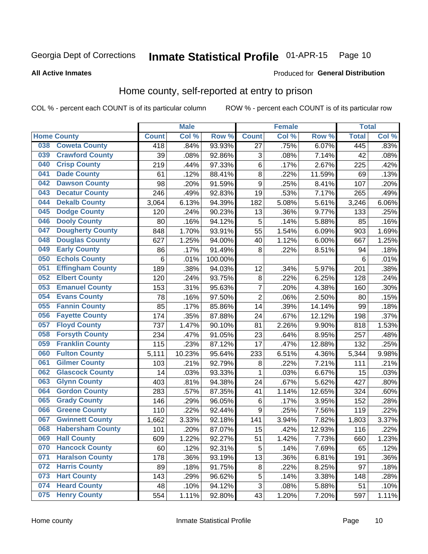#### Inmate Statistical Profile 01-APR-15 Page 10

### **All Active Inmates**

### **Produced for General Distribution**

### Home county, self-reported at entry to prison

COL % - percent each COUNT is of its particular column

|     |                         |              | <b>Male</b> |                  |                | <b>Female</b> |        | <b>Total</b>    |       |
|-----|-------------------------|--------------|-------------|------------------|----------------|---------------|--------|-----------------|-------|
|     | <b>Home County</b>      | <b>Count</b> | Col %       | Row <sup>%</sup> | <b>Count</b>   | Col %         | Row %  | <b>Total</b>    | Col % |
| 038 | <b>Coweta County</b>    | 418          | .84%        | 93.93%           | 27             | .75%          | 6.07%  | 445             | .83%  |
| 039 | <b>Crawford County</b>  | 39           | .08%        | 92.86%           | 3              | .08%          | 7.14%  | 42              | .08%  |
| 040 | <b>Crisp County</b>     | 219          | .44%        | 97.33%           | 6              | .17%          | 2.67%  | 225             | .42%  |
| 041 | <b>Dade County</b>      | 61           | .12%        | 88.41%           | 8              | .22%          | 11.59% | 69              | .13%  |
| 042 | <b>Dawson County</b>    | 98           | .20%        | 91.59%           | 9              | .25%          | 8.41%  | 107             | .20%  |
| 043 | <b>Decatur County</b>   | 246          | .49%        | 92.83%           | 19             | .53%          | 7.17%  | 265             | .49%  |
| 044 | <b>Dekalb County</b>    | 3,064        | 6.13%       | 94.39%           | 182            | 5.08%         | 5.61%  | 3,246           | 6.06% |
| 045 | <b>Dodge County</b>     | 120          | .24%        | 90.23%           | 13             | .36%          | 9.77%  | 133             | .25%  |
| 046 | <b>Dooly County</b>     | 80           | .16%        | 94.12%           | 5              | .14%          | 5.88%  | 85              | .16%  |
| 047 | <b>Dougherty County</b> | 848          | 1.70%       | 93.91%           | 55             | 1.54%         | 6.09%  | 903             | 1.69% |
| 048 | <b>Douglas County</b>   | 627          | 1.25%       | 94.00%           | 40             | 1.12%         | 6.00%  | 667             | 1.25% |
| 049 | <b>Early County</b>     | 86           | .17%        | 91.49%           | 8              | 22%           | 8.51%  | 94              | .18%  |
| 050 | <b>Echols County</b>    | 6            | .01%        | 100.00%          |                |               |        | $6\phantom{1}6$ | .01%  |
| 051 | <b>Effingham County</b> | 189          | .38%        | 94.03%           | 12             | .34%          | 5.97%  | 201             | .38%  |
| 052 | <b>Elbert County</b>    | 120          | .24%        | 93.75%           | $\bf 8$        | .22%          | 6.25%  | 128             | .24%  |
| 053 | <b>Emanuel County</b>   | 153          | .31%        | 95.63%           | $\overline{7}$ | .20%          | 4.38%  | 160             | .30%  |
| 054 | <b>Evans County</b>     | 78           | .16%        | 97.50%           | $\overline{2}$ | .06%          | 2.50%  | 80              | .15%  |
| 055 | <b>Fannin County</b>    | 85           | .17%        | 85.86%           | 14             | .39%          | 14.14% | 99              | .18%  |
| 056 | <b>Fayette County</b>   | 174          | .35%        | 87.88%           | 24             | .67%          | 12.12% | 198             | .37%  |
| 057 | <b>Floyd County</b>     | 737          | 1.47%       | 90.10%           | 81             | 2.26%         | 9.90%  | 818             | 1.53% |
| 058 | <b>Forsyth County</b>   | 234          | .47%        | 91.05%           | 23             | .64%          | 8.95%  | 257             | .48%  |
| 059 | <b>Franklin County</b>  | 115          | .23%        | 87.12%           | 17             | .47%          | 12.88% | 132             | .25%  |
| 060 | <b>Fulton County</b>    | 5,111        | 10.23%      | 95.64%           | 233            | 6.51%         | 4.36%  | 5,344           | 9.98% |
| 061 | <b>Gilmer County</b>    | 103          | .21%        | 92.79%           | 8              | .22%          | 7.21%  | 111             | .21%  |
| 062 | <b>Glascock County</b>  | 14           | .03%        | 93.33%           | 1              | .03%          | 6.67%  | 15              | .03%  |
| 063 | <b>Glynn County</b>     | 403          | .81%        | 94.38%           | 24             | .67%          | 5.62%  | 427             | .80%  |
| 064 | <b>Gordon County</b>    | 283          | .57%        | 87.35%           | 41             | 1.14%         | 12.65% | 324             | .60%  |
| 065 | <b>Grady County</b>     | 146          | .29%        | 96.05%           | 6              | .17%          | 3.95%  | 152             | .28%  |
| 066 | <b>Greene County</b>    | 110          | .22%        | 92.44%           | 9              | .25%          | 7.56%  | 119             | .22%  |
| 067 | <b>Gwinnett County</b>  | 1,662        | 3.33%       | 92.18%           | 141            | 3.94%         | 7.82%  | 1,803           | 3.37% |
| 068 | <b>Habersham County</b> | 101          | .20%        | 87.07%           | 15             | .42%          | 12.93% | 116             | .22%  |
| 069 | <b>Hall County</b>      | 609          | 1.22%       | 92.27%           | 51             | 1.42%         | 7.73%  | 660             | 1.23% |
| 070 | <b>Hancock County</b>   | 60           | .12%        | 92.31%           | 5              | .14%          | 7.69%  | 65              | .12%  |
| 071 | <b>Haralson County</b>  | 178          | .36%        | 93.19%           | 13             | .36%          | 6.81%  | 191             | .36%  |
| 072 | <b>Harris County</b>    | 89           | .18%        | 91.75%           | $\bf 8$        | .22%          | 8.25%  | 97              | .18%  |
| 073 | <b>Hart County</b>      | 143          | .29%        | 96.62%           | 5              | .14%          | 3.38%  | 148             | .28%  |
| 074 | <b>Heard County</b>     | 48           | .10%        | 94.12%           | $\sqrt{3}$     | .08%          | 5.88%  | 51              | .10%  |
| 075 | <b>Henry County</b>     | 554          | 1.11%       | 92.80%           | 43             | 1.20%         | 7.20%  | 597             | 1.11% |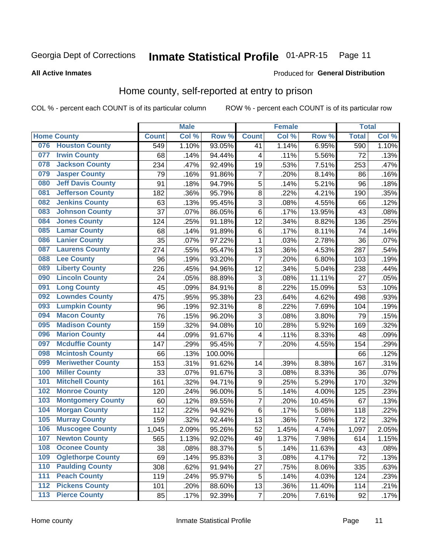#### Inmate Statistical Profile 01-APR-15 Page 11

#### **All Active Inmates**

### **Produced for General Distribution**

### Home county, self-reported at entry to prison

COL % - percent each COUNT is of its particular column

|                  |                          |              | <b>Male</b> |                  |                  | <b>Female</b> |        | <b>Total</b> |       |
|------------------|--------------------------|--------------|-------------|------------------|------------------|---------------|--------|--------------|-------|
|                  | <b>Home County</b>       | <b>Count</b> | Col %       | Row <sup>%</sup> | <b>Count</b>     | Col %         | Row %  | <b>Total</b> | Col % |
| 076              | <b>Houston County</b>    | 549          | 1.10%       | 93.05%           | 41               | 1.14%         | 6.95%  | 590          | 1.10% |
| 077              | <b>Irwin County</b>      | 68           | .14%        | 94.44%           | 4                | .11%          | 5.56%  | 72           | .13%  |
| 078              | <b>Jackson County</b>    | 234          | .47%        | 92.49%           | 19               | .53%          | 7.51%  | 253          | .47%  |
| 079              | <b>Jasper County</b>     | 79           | .16%        | 91.86%           | $\overline{7}$   | .20%          | 8.14%  | 86           | .16%  |
| 080              | <b>Jeff Davis County</b> | 91           | .18%        | 94.79%           | 5                | .14%          | 5.21%  | 96           | .18%  |
| 081              | <b>Jefferson County</b>  | 182          | .36%        | 95.79%           | $\overline{8}$   | .22%          | 4.21%  | 190          | .35%  |
| 082              | <b>Jenkins County</b>    | 63           | .13%        | 95.45%           | 3                | .08%          | 4.55%  | 66           | .12%  |
| 083              | <b>Johnson County</b>    | 37           | .07%        | 86.05%           | 6                | .17%          | 13.95% | 43           | .08%  |
| 084              | <b>Jones County</b>      | 124          | .25%        | 91.18%           | 12               | .34%          | 8.82%  | 136          | .25%  |
| 085              | <b>Lamar County</b>      | 68           | .14%        | 91.89%           | $\,6$            | .17%          | 8.11%  | 74           | .14%  |
| 086              | <b>Lanier County</b>     | 35           | .07%        | 97.22%           | 1                | .03%          | 2.78%  | 36           | .07%  |
| 087              | <b>Laurens County</b>    | 274          | .55%        | 95.47%           | 13               | .36%          | 4.53%  | 287          | .54%  |
| 088              | <b>Lee County</b>        | 96           | .19%        | 93.20%           | 7                | .20%          | 6.80%  | 103          | .19%  |
| 089              | <b>Liberty County</b>    | 226          | .45%        | 94.96%           | 12               | .34%          | 5.04%  | 238          | .44%  |
| 090              | <b>Lincoln County</b>    | 24           | .05%        | 88.89%           | 3                | .08%          | 11.11% | 27           | .05%  |
| 091              | <b>Long County</b>       | 45           | .09%        | 84.91%           | 8                | .22%          | 15.09% | 53           | .10%  |
| 092              | <b>Lowndes County</b>    | 475          | .95%        | 95.38%           | 23               | .64%          | 4.62%  | 498          | .93%  |
| 093              | <b>Lumpkin County</b>    | 96           | .19%        | 92.31%           | $\bf 8$          | .22%          | 7.69%  | 104          | .19%  |
| 094              | <b>Macon County</b>      | 76           | .15%        | 96.20%           | 3                | .08%          | 3.80%  | 79           | .15%  |
| 095              | <b>Madison County</b>    | 159          | .32%        | 94.08%           | 10               | .28%          | 5.92%  | 169          | .32%  |
| 096              | <b>Marion County</b>     | 44           | .09%        | 91.67%           | 4                | .11%          | 8.33%  | 48           | .09%  |
| 097              | <b>Mcduffie County</b>   | 147          | .29%        | 95.45%           | 7                | .20%          | 4.55%  | 154          | .29%  |
| 098              | <b>Mcintosh County</b>   | 66           | .13%        | 100.00%          |                  |               |        | 66           | .12%  |
| 099              | <b>Meriwether County</b> | 153          | .31%        | 91.62%           | 14               | .39%          | 8.38%  | 167          | .31%  |
| 100              | <b>Miller County</b>     | 33           | .07%        | 91.67%           | 3                | .08%          | 8.33%  | 36           | .07%  |
| 101              | <b>Mitchell County</b>   | 161          | .32%        | 94.71%           | $\boldsymbol{9}$ | .25%          | 5.29%  | 170          | .32%  |
| 102              | <b>Monroe County</b>     | 120          | .24%        | 96.00%           | $\overline{5}$   | .14%          | 4.00%  | 125          | .23%  |
| 103              | <b>Montgomery County</b> | 60           | .12%        | 89.55%           | 7                | .20%          | 10.45% | 67           | .13%  |
| 104              | <b>Morgan County</b>     | 112          | .22%        | 94.92%           | 6                | .17%          | 5.08%  | 118          | .22%  |
| 105              | <b>Murray County</b>     | 159          | .32%        | 92.44%           | 13               | .36%          | 7.56%  | 172          | .32%  |
| 106              | <b>Muscogee County</b>   | 1,045        | 2.09%       | 95.26%           | 52               | 1.45%         | 4.74%  | 1,097        | 2.05% |
| 107              | <b>Newton County</b>     | 565          | 1.13%       | 92.02%           | 49               | 1.37%         | 7.98%  | 614          | 1.15% |
| 108              | <b>Oconee County</b>     | 38           | .08%        | 88.37%           | 5                | .14%          | 11.63% | 43           | .08%  |
| 109              | <b>Oglethorpe County</b> | 69           | .14%        | 95.83%           | $\overline{3}$   | .08%          | 4.17%  | 72           | .13%  |
| 110              | <b>Paulding County</b>   | 308          | .62%        | 91.94%           | 27               | .75%          | 8.06%  | 335          | .63%  |
| 111              | <b>Peach County</b>      | 119          | .24%        | 95.97%           | 5                | .14%          | 4.03%  | 124          | .23%  |
| $\overline{112}$ | <b>Pickens County</b>    | 101          | .20%        | 88.60%           | 13               | .36%          | 11.40% | 114          | .21%  |
| 113              | <b>Pierce County</b>     | 85           | .17%        | 92.39%           | $\overline{7}$   | .20%          | 7.61%  | 92           | .17%  |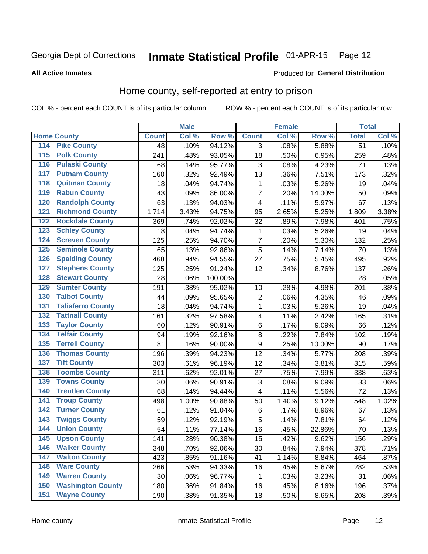#### Inmate Statistical Profile 01-APR-15 Page 12

Produced for General Distribution

#### **All Active Inmates**

### Home county, self-reported at entry to prison

COL % - percent each COUNT is of its particular column

|                  |                          |              | <b>Male</b> |         |                         | <b>Female</b> |        | <b>Total</b>    |       |
|------------------|--------------------------|--------------|-------------|---------|-------------------------|---------------|--------|-----------------|-------|
|                  | <b>Home County</b>       | <b>Count</b> | Col %       | Row %   | <b>Count</b>            | Col %         | Row %  | <b>Total</b>    | Col % |
| 114              | <b>Pike County</b>       | 48           | .10%        | 94.12%  | 3                       | .08%          | 5.88%  | $\overline{51}$ | .10%  |
| $\overline{115}$ | <b>Polk County</b>       | 241          | .48%        | 93.05%  | 18                      | .50%          | 6.95%  | 259             | .48%  |
| 116              | <b>Pulaski County</b>    | 68           | .14%        | 95.77%  | 3                       | .08%          | 4.23%  | 71              | .13%  |
| 117              | <b>Putnam County</b>     | 160          | .32%        | 92.49%  | 13                      | .36%          | 7.51%  | 173             | .32%  |
| 118              | <b>Quitman County</b>    | 18           | .04%        | 94.74%  | 1                       | .03%          | 5.26%  | 19              | .04%  |
| 119              | <b>Rabun County</b>      | 43           | .09%        | 86.00%  | $\overline{7}$          | .20%          | 14.00% | 50              | .09%  |
| 120              | <b>Randolph County</b>   | 63           | .13%        | 94.03%  | $\overline{\mathbf{4}}$ | .11%          | 5.97%  | 67              | .13%  |
| 121              | <b>Richmond County</b>   | 1,714        | 3.43%       | 94.75%  | 95                      | 2.65%         | 5.25%  | 1,809           | 3.38% |
| 122              | <b>Rockdale County</b>   | 369          | .74%        | 92.02%  | 32                      | .89%          | 7.98%  | 401             | .75%  |
| 123              | <b>Schley County</b>     | 18           | .04%        | 94.74%  | 1                       | .03%          | 5.26%  | 19              | .04%  |
| 124              | <b>Screven County</b>    | 125          | .25%        | 94.70%  | $\overline{7}$          | .20%          | 5.30%  | 132             | .25%  |
| 125              | <b>Seminole County</b>   | 65           | .13%        | 92.86%  | 5                       | .14%          | 7.14%  | 70              | .13%  |
| 126              | <b>Spalding County</b>   | 468          | .94%        | 94.55%  | 27                      | .75%          | 5.45%  | 495             | .92%  |
| 127              | <b>Stephens County</b>   | 125          | .25%        | 91.24%  | 12                      | .34%          | 8.76%  | 137             | .26%  |
| 128              | <b>Stewart County</b>    | 28           | .06%        | 100.00% |                         |               |        | 28              | .05%  |
| 129              | <b>Sumter County</b>     | 191          | .38%        | 95.02%  | 10                      | .28%          | 4.98%  | 201             | .38%  |
| 130              | <b>Talbot County</b>     | 44           | .09%        | 95.65%  | $\overline{c}$          | .06%          | 4.35%  | 46              | .09%  |
| 131              | <b>Taliaferro County</b> | 18           | .04%        | 94.74%  | $\mathbf{1}$            | .03%          | 5.26%  | 19              | .04%  |
| 132              | <b>Tattnall County</b>   | 161          | .32%        | 97.58%  | 4                       | .11%          | 2.42%  | 165             | .31%  |
| 133              | <b>Taylor County</b>     | 60           | .12%        | 90.91%  | $\,6$                   | .17%          | 9.09%  | 66              | .12%  |
| 134              | <b>Telfair County</b>    | 94           | .19%        | 92.16%  | $\bf 8$                 | .22%          | 7.84%  | 102             | .19%  |
| 135              | <b>Terrell County</b>    | 81           | .16%        | 90.00%  | $\boldsymbol{9}$        | .25%          | 10.00% | 90              | .17%  |
| 136              | <b>Thomas County</b>     | 196          | .39%        | 94.23%  | 12                      | .34%          | 5.77%  | 208             | .39%  |
| 137              | <b>Tift County</b>       | 303          | .61%        | 96.19%  | 12                      | .34%          | 3.81%  | 315             | .59%  |
| 138              | <b>Toombs County</b>     | 311          | .62%        | 92.01%  | 27                      | .75%          | 7.99%  | 338             | .63%  |
| 139              | <b>Towns County</b>      | 30           | .06%        | 90.91%  | 3                       | .08%          | 9.09%  | 33              | .06%  |
| 140              | <b>Treutlen County</b>   | 68           | .14%        | 94.44%  | 4                       | .11%          | 5.56%  | 72              | .13%  |
| 141              | <b>Troup County</b>      | 498          | 1.00%       | 90.88%  | 50                      | 1.40%         | 9.12%  | 548             | 1.02% |
| $\overline{142}$ | <b>Turner County</b>     | 61           | .12%        | 91.04%  | 6                       | .17%          | 8.96%  | 67              | .13%  |
| 143              | <b>Twiggs County</b>     | 59           | .12%        | 92.19%  | 5                       | .14%          | 7.81%  | 64              | .12%  |
| 144              | <b>Union County</b>      | 54           | .11%        | 77.14%  | 16                      | .45%          | 22.86% | 70              | .13%  |
| 145              | <b>Upson County</b>      | 141          | .28%        | 90.38%  | 15                      | .42%          | 9.62%  | 156             | .29%  |
| 146              | <b>Walker County</b>     | 348          | .70%        | 92.06%  | 30                      | .84%          | 7.94%  | 378             | .71%  |
| 147              | <b>Walton County</b>     | 423          | .85%        | 91.16%  | 41                      | 1.14%         | 8.84%  | 464             | .87%  |
| 148              | <b>Ware County</b>       | 266          | .53%        | 94.33%  | 16                      | .45%          | 5.67%  | 282             | .53%  |
| 149              | <b>Warren County</b>     | 30           | .06%        | 96.77%  | 1                       | .03%          | 3.23%  | 31              | .06%  |
| 150              | <b>Washington County</b> | 180          | .36%        | 91.84%  | 16                      | .45%          | 8.16%  | 196             | .37%  |
| 151              | <b>Wayne County</b>      | 190          | .38%        | 91.35%  | 18                      | .50%          | 8.65%  | 208             | .39%  |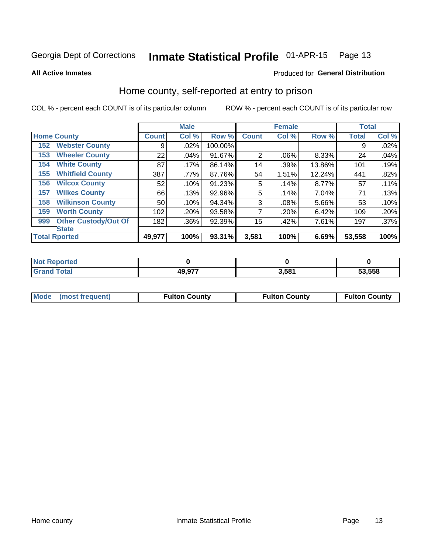#### Inmate Statistical Profile 01-APR-15 Page 13

**All Active Inmates** 

### Produced for General Distribution

### Home county, self-reported at entry to prison

COL % - percent each COUNT is of its particular column

|     |                             |              | <b>Male</b> |         |                | <b>Female</b> |        | <b>Total</b> |         |
|-----|-----------------------------|--------------|-------------|---------|----------------|---------------|--------|--------------|---------|
|     | <b>Home County</b>          | <b>Count</b> | Col %       | Row %   | <b>Count</b>   | Col %         | Row %  | <b>Total</b> | Col %   |
| 152 | <b>Webster County</b>       | 9            | .02%        | 100.00% |                |               |        | 9            | .02%    |
| 153 | <b>Wheeler County</b>       | 22           | .04%        | 91.67%  | $\overline{2}$ | .06%          | 8.33%  | 24           | .04%    |
| 154 | <b>White County</b>         | 87           | .17%        | 86.14%  | 14             | .39%          | 13.86% | 101          | .19%    |
| 155 | <b>Whitfield County</b>     | 387          | .77%        | 87.76%  | 54             | 1.51%         | 12.24% | 441          | .82%    |
| 156 | <b>Wilcox County</b>        | 52           | .10%        | 91.23%  | 5              | .14%          | 8.77%  | 57           | .11%    |
| 157 | <b>Wilkes County</b>        | 66           | .13%        | 92.96%  | 5              | .14%          | 7.04%  | 71           | .13%    |
| 158 | <b>Wilkinson County</b>     | 50           | .10%        | 94.34%  | 3              | .08%          | 5.66%  | 53           | .10%    |
| 159 | <b>Worth County</b>         | 102          | .20%        | 93.58%  | 7              | .20%          | 6.42%  | 109          | .20%    |
| 999 | <b>Other Custody/Out Of</b> | 182          | .36%        | 92.39%  | 15             | .42%          | 7.61%  | 197          | $.37\%$ |
|     | <b>State</b>                |              |             |         |                |               |        |              |         |
|     | <b>Total Rported</b>        | 49,977       | 100%        | 93.31%  | 3,581          | 100%          | 6.69%  | 53,558       | 100%    |

| Reported<br>-NO) |        |       |        |
|------------------|--------|-------|--------|
| <b>c</b> otal    | 49,977 | 3.581 | 53,558 |

| Mode (most frequent) | <b>Fulton County</b> | <b>Fulton County</b> | <b>Fulton County</b> |
|----------------------|----------------------|----------------------|----------------------|
|                      |                      |                      |                      |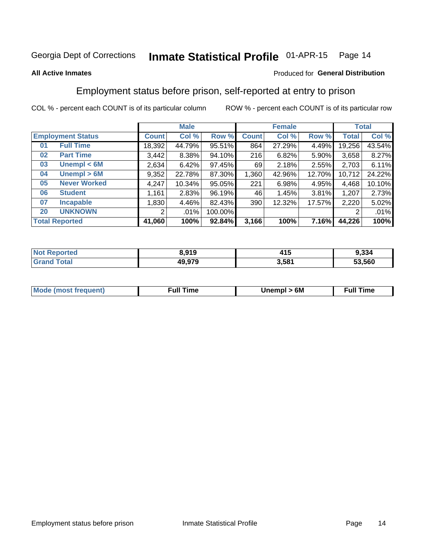#### Inmate Statistical Profile 01-APR-15 Page 14

### **All Active Inmates**

### Produced for General Distribution

### Employment status before prison, self-reported at entry to prison

COL % - percent each COUNT is of its particular column

|                           | <b>Male</b>  |         |         |              | <b>Female</b> | <b>Total</b> |              |        |
|---------------------------|--------------|---------|---------|--------------|---------------|--------------|--------------|--------|
| <b>Employment Status</b>  | <b>Count</b> | Col %   | Row %   | <b>Count</b> | Col %         | Row %        | <b>Total</b> | Col %  |
| <b>Full Time</b><br>01    | 18,392       | 44.79%  | 95.51%  | 864          | 27.29%        | 4.49%        | 19,256       | 43.54% |
| <b>Part Time</b><br>02    | 3,442        | 8.38%   | 94.10%  | 216          | 6.82%         | 5.90%        | 3,658        | 8.27%  |
| Unempl $<$ 6M<br>03       | 2,634        | 6.42%   | 97.45%  | 69           | 2.18%         | 2.55%        | 2,703        | 6.11%  |
| Unempl > 6M<br>04         | 9,352        | 22.78%  | 87.30%  | 1,360        | 42.96%        | 12.70%       | 10,712       | 24.22% |
| <b>Never Worked</b><br>05 | 4,247        | 10.34%  | 95.05%  | 221          | 6.98%         | 4.95%        | 4,468        | 10.10% |
| <b>Student</b><br>06      | 1,161        | 2.83%   | 96.19%  | 46           | 1.45%         | 3.81%        | 1,207        | 2.73%  |
| <b>Incapable</b><br>07    | 1,830        | 4.46%   | 82.43%  | 390          | 12.32%        | 17.57%       | 2,220        | 5.02%  |
| <b>UNKNOWN</b><br>20      | 2            | $.01\%$ | 100.00% |              |               |              | 2            | .01%   |
| <b>Total Reported</b>     | 41,060       | 100%    | 92.84%  | 3,166        | 100%          | 7.16%        | 44,226       | 100%   |

| <b>Not Reported</b> | 8,919  | 415   | 9,334  |
|---------------------|--------|-------|--------|
| <b>Grand Total</b>  | 49,979 | 3,581 | 53,560 |

| <b>Mode (most frequent)</b> | 6M<br><b>Jnempl</b> | <b>Full Time</b> |
|-----------------------------|---------------------|------------------|
|                             |                     |                  |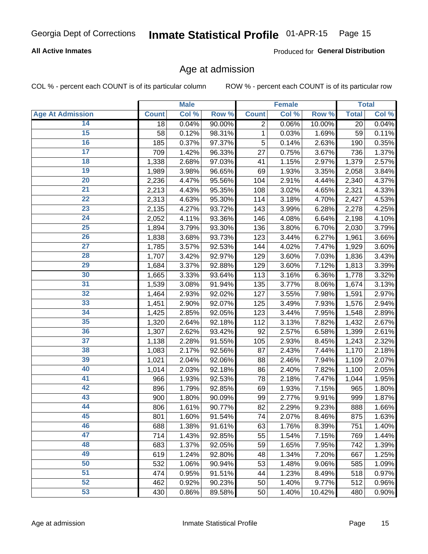### **All Active Inmates**

Produced for General Distribution

### Age at admission

COL % - percent each COUNT is of its particular column

|                         |              | <b>Male</b> |        |              | Female |        |              | <b>Total</b> |
|-------------------------|--------------|-------------|--------|--------------|--------|--------|--------------|--------------|
| <b>Age At Admission</b> | <b>Count</b> | Col %       | Row %  | <b>Count</b> | Col %  | Row %  | <b>Total</b> | Col %        |
| 14                      | 18           | 0.04%       | 90.00% | 2            | 0.06%  | 10.00% | 20           | 0.04%        |
| $\overline{15}$         | 58           | 0.12%       | 98.31% | $\mathbf{1}$ | 0.03%  | 1.69%  | 59           | 0.11%        |
| 16                      | 185          | 0.37%       | 97.37% | 5            | 0.14%  | 2.63%  | 190          | 0.35%        |
| $\overline{17}$         | 709          | 1.42%       | 96.33% | 27           | 0.75%  | 3.67%  | 736          | 1.37%        |
| $\overline{18}$         | 1,338        | 2.68%       | 97.03% | 41           | 1.15%  | 2.97%  | 1,379        | 2.57%        |
| 19                      | 1,989        | 3.98%       | 96.65% | 69           | 1.93%  | 3.35%  | 2,058        | 3.84%        |
| $\overline{20}$         | 2,236        | 4.47%       | 95.56% | 104          | 2.91%  | 4.44%  | 2,340        | 4.37%        |
| $\overline{21}$         | 2,213        | 4.43%       | 95.35% | 108          | 3.02%  | 4.65%  | 2,321        | 4.33%        |
| $\overline{22}$         | 2,313        | 4.63%       | 95.30% | 114          | 3.18%  | 4.70%  | 2,427        | 4.53%        |
| $\overline{23}$         | 2,135        | 4.27%       | 93.72% | 143          | 3.99%  | 6.28%  | 2,278        | 4.25%        |
| $\overline{24}$         | 2,052        | 4.11%       | 93.36% | 146          | 4.08%  | 6.64%  | 2,198        | 4.10%        |
| 25                      | 1,894        | 3.79%       | 93.30% | 136          | 3.80%  | 6.70%  | 2,030        | 3.79%        |
| $\overline{26}$         | 1,838        | 3.68%       | 93.73% | 123          | 3.44%  | 6.27%  | 1,961        | 3.66%        |
| $\overline{27}$         | 1,785        | 3.57%       | 92.53% | 144          | 4.02%  | 7.47%  | 1,929        | 3.60%        |
| 28                      | 1,707        | 3.42%       | 92.97% | 129          | 3.60%  | 7.03%  | 1,836        | 3.43%        |
| 29                      | 1,684        | 3.37%       | 92.88% | 129          | 3.60%  | 7.12%  | 1,813        | 3.39%        |
| 30                      | 1,665        | 3.33%       | 93.64% | 113          | 3.16%  | 6.36%  | 1,778        | 3.32%        |
| $\overline{31}$         | 1,539        | 3.08%       | 91.94% | 135          | 3.77%  | 8.06%  | 1,674        | 3.13%        |
| 32                      | 1,464        | 2.93%       | 92.02% | 127          | 3.55%  | 7.98%  | 1,591        | 2.97%        |
| 33                      | 1,451        | 2.90%       | 92.07% | 125          | 3.49%  | 7.93%  | 1,576        | 2.94%        |
| 34                      | 1,425        | 2.85%       | 92.05% | 123          | 3.44%  | 7.95%  | 1,548        | 2.89%        |
| 35                      | 1,320        | 2.64%       | 92.18% | 112          | 3.13%  | 7.82%  | 1,432        | 2.67%        |
| 36                      | 1,307        | 2.62%       | 93.42% | 92           | 2.57%  | 6.58%  | 1,399        | 2.61%        |
| $\overline{37}$         | 1,138        | 2.28%       | 91.55% | 105          | 2.93%  | 8.45%  | 1,243        | 2.32%        |
| 38                      | 1,083        | 2.17%       | 92.56% | 87           | 2.43%  | 7.44%  | 1,170        | 2.18%        |
| 39                      | 1,021        | 2.04%       | 92.06% | 88           | 2.46%  | 7.94%  | 1,109        | 2.07%        |
| 40                      | 1,014        | 2.03%       | 92.18% | 86           | 2.40%  | 7.82%  | 1,100        | 2.05%        |
| 41                      | 966          | 1.93%       | 92.53% | 78           | 2.18%  | 7.47%  | 1,044        | 1.95%        |
| 42                      | 896          | 1.79%       | 92.85% | 69           | 1.93%  | 7.15%  | 965          | 1.80%        |
| 43                      | 900          | 1.80%       | 90.09% | 99           | 2.77%  | 9.91%  | 999          | 1.87%        |
| 44                      | 806          | 1.61%       | 90.77% | 82           | 2.29%  | 9.23%  | 888          | 1.66%        |
| 45                      | 801          | 1.60%       | 91.54% | 74           | 2.07%  | 8.46%  | 875          | 1.63%        |
| 46                      | 688          | 1.38%       | 91.61% | 63           | 1.76%  | 8.39%  | 751          | 1.40%        |
| 47                      | 714          | 1.43%       | 92.85% | 55           | 1.54%  | 7.15%  | 769          | 1.44%        |
| 48                      | 683          | 1.37%       | 92.05% | 59           | 1.65%  | 7.95%  | 742          | 1.39%        |
| 49                      | 619          | 1.24%       | 92.80% | 48           | 1.34%  | 7.20%  | 667          | 1.25%        |
| 50                      | 532          | 1.06%       | 90.94% | 53           | 1.48%  | 9.06%  | 585          | 1.09%        |
| 51                      | 474          | 0.95%       | 91.51% | 44           | 1.23%  | 8.49%  | 518          | 0.97%        |
| 52                      | 462          | 0.92%       | 90.23% | 50           | 1.40%  | 9.77%  | 512          | 0.96%        |
| 53                      | 430          | 0.86%       | 89.58% | 50           | 1.40%  | 10.42% | 480          | 0.90%        |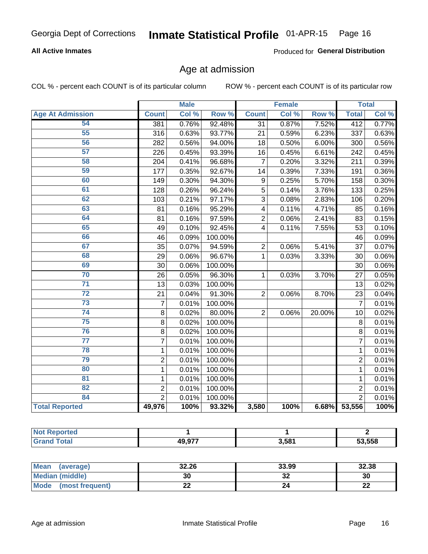### **All Active Inmates**

Produced for General Distribution

### Age at admission

COL % - percent each COUNT is of its particular column

|                         |                | <b>Male</b> |         |                 | <b>Female</b> |                  |                 | <b>Total</b> |
|-------------------------|----------------|-------------|---------|-----------------|---------------|------------------|-----------------|--------------|
| <b>Age At Admission</b> | <b>Count</b>   | Col %       | Row %   | <b>Count</b>    | Col %         | Row <sup>%</sup> | <b>Total</b>    | Col %        |
| 54                      | 381            | 0.76%       | 92.48%  | $\overline{31}$ | 0.87%         | 7.52%            | 412             | 0.77%        |
| 55                      | 316            | 0.63%       | 93.77%  | 21              | 0.59%         | 6.23%            | 337             | 0.63%        |
| 56                      | 282            | 0.56%       | 94.00%  | 18              | 0.50%         | 6.00%            | 300             | 0.56%        |
| 57                      | 226            | 0.45%       | 93.39%  | 16              | 0.45%         | 6.61%            | 242             | 0.45%        |
| 58                      | 204            | 0.41%       | 96.68%  | $\overline{7}$  | 0.20%         | 3.32%            | 211             | 0.39%        |
| 59                      | 177            | 0.35%       | 92.67%  | 14              | 0.39%         | 7.33%            | 191             | 0.36%        |
| 60                      | 149            | 0.30%       | 94.30%  | 9               | 0.25%         | 5.70%            | 158             | 0.30%        |
| 61                      | 128            | 0.26%       | 96.24%  | 5               | 0.14%         | 3.76%            | 133             | 0.25%        |
| 62                      | 103            | 0.21%       | 97.17%  | 3               | 0.08%         | 2.83%            | 106             | 0.20%        |
| 63                      | 81             | 0.16%       | 95.29%  | 4               | 0.11%         | 4.71%            | 85              | 0.16%        |
| 64                      | 81             | 0.16%       | 97.59%  | $\overline{2}$  | 0.06%         | 2.41%            | 83              | 0.15%        |
| 65                      | 49             | 0.10%       | 92.45%  | 4               | 0.11%         | 7.55%            | 53              | 0.10%        |
| 66                      | 46             | 0.09%       | 100.00% |                 |               |                  | 46              | 0.09%        |
| 67                      | 35             | 0.07%       | 94.59%  | $\overline{2}$  | 0.06%         | 5.41%            | 37              | 0.07%        |
| 68                      | 29             | 0.06%       | 96.67%  | 1               | 0.03%         | 3.33%            | 30              | 0.06%        |
| 69                      | 30             | 0.06%       | 100.00% |                 |               |                  | 30              | 0.06%        |
| 70                      | 26             | 0.05%       | 96.30%  | 1               | 0.03%         | 3.70%            | 27              | 0.05%        |
| $\overline{71}$         | 13             | 0.03%       | 100.00% |                 |               |                  | $\overline{13}$ | 0.02%        |
| $\overline{72}$         | 21             | 0.04%       | 91.30%  | $\overline{2}$  | 0.06%         | 8.70%            | 23              | 0.04%        |
| $\overline{73}$         | $\overline{7}$ | 0.01%       | 100.00% |                 |               |                  | $\overline{7}$  | 0.01%        |
| 74                      | 8              | 0.02%       | 80.00%  | $\overline{2}$  | 0.06%         | 20.00%           | 10              | 0.02%        |
| 75                      | $\overline{8}$ | 0.02%       | 100.00% |                 |               |                  | 8               | 0.01%        |
| 76                      | 8              | 0.02%       | 100.00% |                 |               |                  | 8               | 0.01%        |
| $\overline{77}$         | $\overline{7}$ | 0.01%       | 100.00% |                 |               |                  | $\overline{7}$  | 0.01%        |
| 78                      | $\mathbf 1$    | 0.01%       | 100.00% |                 |               |                  | $\mathbf{1}$    | 0.01%        |
| 79                      | $\overline{2}$ | 0.01%       | 100.00% |                 |               |                  | $\overline{2}$  | 0.01%        |
| 80                      | 1              | 0.01%       | 100.00% |                 |               |                  | $\mathbf{1}$    | 0.01%        |
| 81                      | $\mathbf{1}$   | 0.01%       | 100.00% |                 |               |                  | $\mathbf{1}$    | 0.01%        |
| $\overline{82}$         | $\overline{2}$ | 0.01%       | 100.00% |                 |               |                  | $\overline{2}$  | 0.01%        |
| 84                      | $\overline{2}$ | 0.01%       | 100.00% |                 |               |                  | $\overline{2}$  | 0.01%        |
| <b>Total Reported</b>   | 49,976         | 100%        | 93.32%  | 3,580           | 100%          | 6.68%            | 53,556          | 100%         |

| <b>Not Reported</b> |        |       |        |
|---------------------|--------|-------|--------|
| <b>Grand Total</b>  | 49,977 | 3,581 | 53,558 |

| <b>Mean</b><br>(average) | 32.26 | 33.99    | 32.38    |
|--------------------------|-------|----------|----------|
| <b>Median (middle)</b>   | 30    | ^^<br>ЭZ | 30       |
| Mode<br>(most frequent)  | ∸∸    |          | n,<br>LL |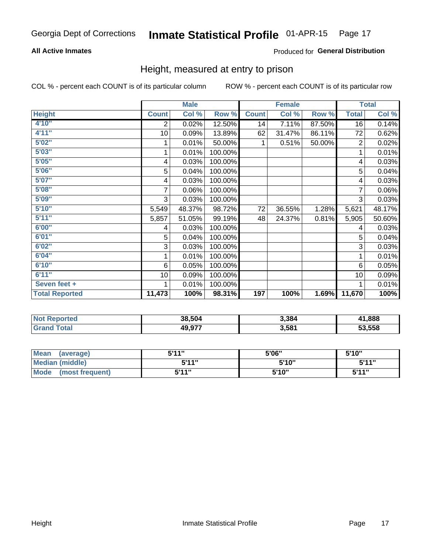### **All Active Inmates**

### Produced for General Distribution

### Height, measured at entry to prison

COL % - percent each COUNT is of its particular column

|                       |              | <b>Male</b> |         |              | <b>Female</b> |        |                | <b>Total</b> |
|-----------------------|--------------|-------------|---------|--------------|---------------|--------|----------------|--------------|
| <b>Height</b>         | <b>Count</b> | Col %       | Row %   | <b>Count</b> | Col %         | Row %  | <b>Total</b>   | Col %        |
| 4'10"                 | 2            | 0.02%       | 12.50%  | 14           | 7.11%         | 87.50% | 16             | 0.14%        |
| 4'11''                | 10           | 0.09%       | 13.89%  | 62           | 31.47%        | 86.11% | 72             | 0.62%        |
| 5'02''                |              | 0.01%       | 50.00%  |              | 0.51%         | 50.00% | $\overline{2}$ | 0.02%        |
| 5'03''                |              | 0.01%       | 100.00% |              |               |        | 1              | 0.01%        |
| 5'05''                | 4            | 0.03%       | 100.00% |              |               |        | 4              | 0.03%        |
| 5'06"                 | 5            | 0.04%       | 100.00% |              |               |        | 5              | 0.04%        |
| 5'07''                | 4            | 0.03%       | 100.00% |              |               |        | 4              | 0.03%        |
| 5'08''                | 7            | 0.06%       | 100.00% |              |               |        | 7              | 0.06%        |
| 5'09''                | 3            | 0.03%       | 100.00% |              |               |        | 3              | 0.03%        |
| 5'10''                | 5,549        | 48.37%      | 98.72%  | 72           | 36.55%        | 1.28%  | 5,621          | 48.17%       |
| 5'11''                | 5,857        | 51.05%      | 99.19%  | 48           | 24.37%        | 0.81%  | 5,905          | 50.60%       |
| 6'00''                | 4            | 0.03%       | 100.00% |              |               |        | 4              | 0.03%        |
| 6'01''                | 5            | 0.04%       | 100.00% |              |               |        | 5              | 0.04%        |
| 6'02''                | 3            | 0.03%       | 100.00% |              |               |        | 3              | 0.03%        |
| 6'04"                 |              | 0.01%       | 100.00% |              |               |        | 1              | 0.01%        |
| 6'10''                | 6            | 0.05%       | 100.00% |              |               |        | 6              | 0.05%        |
| 6'11''                | 10           | 0.09%       | 100.00% |              |               |        | 10             | 0.09%        |
| Seven feet +          |              | 0.01%       | 100.00% |              |               |        |                | 0.01%        |
| <b>Total Reported</b> | 11,473       | 100%        | 98.31%  | 197          | 100%          | 1.69%  | 11,670         | 100%         |

| orted | 38.504         | 3,384 | .888<br>" |
|-------|----------------|-------|-----------|
|       | 10 Q77<br>43.3 | 3,581 | 53.558    |

| <b>Mean</b><br>(average)       | 544"  | 5'06" | 5'10" |
|--------------------------------|-------|-------|-------|
| <b>Median (middle)</b>         | 5'11" | 5'10" | 5'11" |
| <b>Mode</b><br>(most frequent) | 5'11" | 5'10" | 544"  |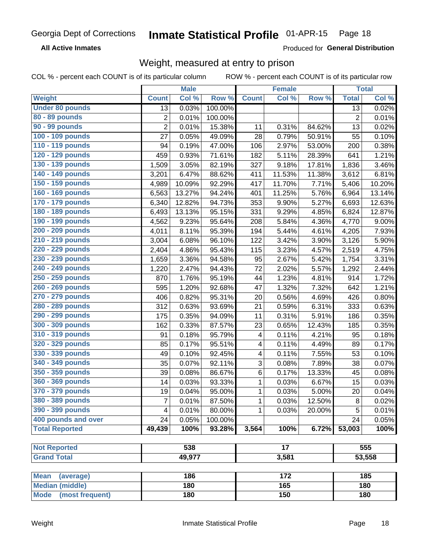**All Active Inmates** 

Produced for General Distribution

### Weight, measured at entry to prison

COL % - percent each COUNT is of its particular column

|                                     |                | <b>Male</b> |         |              | <b>Female</b>    |        |                | <b>Total</b>        |
|-------------------------------------|----------------|-------------|---------|--------------|------------------|--------|----------------|---------------------|
| Weight                              | <b>Count</b>   | Col %       | Row %   | <b>Count</b> | Col %            | Row %  | <b>Total</b>   | Col %               |
| <b>Under 80 pounds</b>              | 13             | 0.03%       | 100.00% |              |                  |        | 13             | 0.02%               |
| 80 - 89 pounds                      | 2              | 0.01%       | 100.00% |              |                  |        | $\overline{2}$ | 0.01%               |
| <b>90 - 99 pounds</b>               | $\overline{2}$ | 0.01%       | 15.38%  | 11           | 0.31%            | 84.62% | 13             | 0.02%               |
| 100 - 109 pounds                    | 27             | 0.05%       | 49.09%  | 28           | 0.79%            | 50.91% | 55             | 0.10%               |
| 110 - 119 pounds                    | 94             | 0.19%       | 47.00%  | 106          | 2.97%            | 53.00% | 200            | 0.38%               |
| 120 - 129 pounds                    | 459            | 0.93%       | 71.61%  | 182          | 5.11%            | 28.39% | 641            | 1.21%               |
| 130 - 139 pounds                    | 1,509          | 3.05%       | 82.19%  | 327          | 9.18%            | 17.81% | 1,836          | 3.46%               |
| 140 - 149 pounds                    | 3,201          | 6.47%       | 88.62%  | 411          | 11.53%           | 11.38% | 3,612          | 6.81%               |
| 150 - 159 pounds                    | 4,989          | 10.09%      | 92.29%  | 417          | 11.70%           | 7.71%  | 5,406          | 10.20%              |
| 160 - 169 pounds                    | 6,563          | 13.27%      | 94.24%  | 401          | 11.25%           | 5.76%  | 6,964          | 13.14%              |
| 170 - 179 pounds                    | 6,340          | 12.82%      | 94.73%  | 353          | 9.90%            | 5.27%  | 6,693          | 12.63%              |
| 180 - 189 pounds                    | 6,493          | 13.13%      | 95.15%  | 331          | 9.29%            | 4.85%  | 6,824          | 12.87%              |
| 190 - 199 pounds                    | 4,562          | 9.23%       | 95.64%  | 208          | 5.84%            | 4.36%  | 4,770          | $9.00\%$            |
| 200 - 209 pounds                    | 4,011          | 8.11%       | 95.39%  | 194          | 5.44%            | 4.61%  | 4,205          | 7.93%               |
| 210 - 219 pounds                    | 3,004          | 6.08%       | 96.10%  | 122          | 3.42%            | 3.90%  | 3,126          | 5.90%               |
| 220 - 229 pounds                    | 2,404          | 4.86%       | 95.43%  | 115          | 3.23%            | 4.57%  | 2,519          | 4.75%               |
| 230 - 239 pounds                    | 1,659          | 3.36%       | 94.58%  | 95           | 2.67%            | 5.42%  | 1,754          | 3.31%               |
| 240 - 249 pounds                    | 1,220          | 2.47%       | 94.43%  | 72           | 2.02%            | 5.57%  | 1,292          | 2.44%               |
| 250 - 259 pounds                    | 870            | 1.76%       | 95.19%  | 44           | 1.23%            | 4.81%  | 914            | 1.72%               |
| 260 - 269 pounds                    | 595            | 1.20%       | 92.68%  | 47           | 1.32%            | 7.32%  | 642            | 1.21%               |
| 270 - 279 pounds                    | 406            | 0.82%       | 95.31%  | 20           | 0.56%            | 4.69%  | 426            | 0.80%               |
| 280 - 289 pounds                    | 312            | 0.63%       | 93.69%  | 21           | 0.59%            | 6.31%  | 333            | 0.63%               |
| 290 - 299 pounds                    | 175            | 0.35%       | 94.09%  | 11           | 0.31%            | 5.91%  | 186            | 0.35%               |
| 300 - 309 pounds                    | 162            | 0.33%       | 87.57%  | 23           | 0.65%            | 12.43% | 185            | 0.35%               |
| 310 - 319 pounds                    | 91             | 0.18%       | 95.79%  | 4            | 0.11%            | 4.21%  | 95             | 0.18%               |
| 320 - 329 pounds                    | 85             | 0.17%       | 95.51%  | 4            | 0.11%            | 4.49%  | 89             | 0.17%               |
| 330 - 339 pounds                    | 49             | 0.10%       | 92.45%  | 4            | 0.11%            | 7.55%  | 53             | $\overline{0.10\%}$ |
| 340 - 349 pounds                    | 35             | 0.07%       | 92.11%  | 3            | 0.08%            | 7.89%  | 38             | 0.07%               |
| 350 - 359 pounds                    | 39             | 0.08%       | 86.67%  | 6            | 0.17%            | 13.33% | 45             | 0.08%               |
| 360 - 369 pounds                    | 14             | 0.03%       | 93.33%  | 1            | 0.03%            | 6.67%  | 15             | $\overline{0.03\%}$ |
| 370 - 379 pounds                    | 19             | 0.04%       | 95.00%  | 1            | 0.03%            | 5.00%  | 20             | 0.04%               |
| 380 - 389 pounds                    | 7              | 0.01%       | 87.50%  | 1            | 0.03%            | 12.50% | 8              | 0.02%               |
| 390 - 399 pounds                    | 4              | 0.01%       | 80.00%  | 1            | 0.03%            | 20.00% | 5              | 0.01%               |
| 400 pounds and over                 | 24             | 0.05%       | 100.00% |              |                  |        | 24             | 0.05%               |
| <b>Total Reported</b>               | 49,439         | 100%        | 93.28%  | 3,564        | 100%             | 6.72%  | 53,003         | 100%                |
|                                     |                |             |         |              |                  |        |                |                     |
| <b>Not Reported</b>                 |                | 538         |         |              | $\overline{17}$  |        |                | 555                 |
| <b>Grand Total</b>                  |                | 49,977      |         |              | 3,581            |        |                | 53,558              |
| <b>Mean</b>                         |                | 186         |         |              | $\overline{172}$ |        |                | 185                 |
| (average)<br><b>Median (middle)</b> |                | 180         |         |              | 165              |        |                | 180                 |
| <b>Mode</b><br>(most frequent)      |                | 180         |         |              | 150              |        |                | 180                 |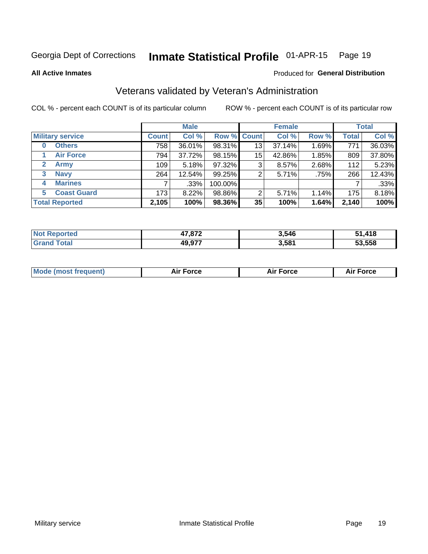#### Inmate Statistical Profile 01-APR-15 Page 19

**All Active Inmates** 

### Produced for General Distribution

### Veterans validated by Veteran's Administration

COL % - percent each COUNT is of its particular column

|                          | <b>Male</b>  |        |             | <b>Female</b> |        |       | <b>Total</b> |        |
|--------------------------|--------------|--------|-------------|---------------|--------|-------|--------------|--------|
| <b>Military service</b>  | <b>Count</b> | Col %  | Row % Count |               | Col %  | Row % | <b>Total</b> | Col %  |
| <b>Others</b><br>0       | 758          | 36.01% | 98.31%      | 13            | 37.14% | 1.69% | 771          | 36.03% |
| <b>Air Force</b>         | 794          | 37.72% | 98.15%      | 15            | 42.86% | 1.85% | 809          | 37.80% |
| $\mathbf{2}$<br>Army     | 109          | 5.18%  | 97.32%      | 3             | 8.57%  | 2.68% | 112          | 5.23%  |
| <b>Navy</b><br>3         | 264          | 12.54% | 99.25%      | 2             | 5.71%  | .75%  | 266          | 12.43% |
| <b>Marines</b><br>4      |              | .33%   | 100.00%     |               |        |       |              | .33%   |
| <b>Coast Guard</b><br>5. | 173          | 8.22%  | 98.86%      | 2             | 5.71%  | 1.14% | 175          | 8.18%  |
| <b>Total Reported</b>    | 2,105        | 100%   | 98.36%      | 35            | 100%   | 1.64% | 2,140        | 100%   |

| 'teo<br>NO | 17 072 | 3,546 | $\boldsymbol{A}$ 4 0<br>. .<br>᠃ । с |
|------------|--------|-------|--------------------------------------|
|            | 49,977 | 3,581 | 53.558<br>- - - -                    |

| <b>Mode (most frequent)</b> | <b>Force</b> | <b>Force</b> | Force |
|-----------------------------|--------------|--------------|-------|
|                             |              |              |       |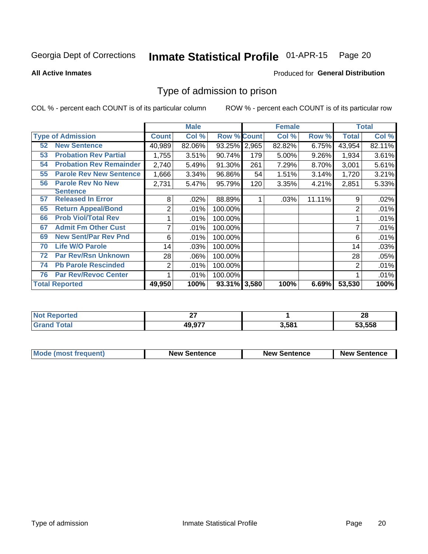#### Inmate Statistical Profile 01-APR-15 Page 20

**All Active Inmates** 

### Produced for General Distribution

### Type of admission to prison

COL % - percent each COUNT is of its particular column

|    |                                |                | <b>Male</b> |                    |       | <b>Female</b> |        |              | <b>Total</b> |
|----|--------------------------------|----------------|-------------|--------------------|-------|---------------|--------|--------------|--------------|
|    | <b>Type of Admission</b>       | <b>Count</b>   | Col %       | <b>Row % Count</b> |       | Col %         | Row %  | <b>Total</b> | Col %        |
| 52 | <b>New Sentence</b>            | 40,989         | 82.06%      | 93.25%             | 2,965 | 82.82%        | 6.75%  | 43,954       | 82.11%       |
| 53 | <b>Probation Rev Partial</b>   | 1,755          | 3.51%       | 90.74%             | 179   | 5.00%         | 9.26%  | 1,934        | 3.61%        |
| 54 | <b>Probation Rev Remainder</b> | 2,740          | 5.49%       | 91.30%             | 261   | 7.29%         | 8.70%  | 3,001        | 5.61%        |
| 55 | <b>Parole Rev New Sentence</b> | 1,666          | 3.34%       | 96.86%             | 54    | 1.51%         | 3.14%  | 1,720        | 3.21%        |
| 56 | <b>Parole Rev No New</b>       | 2,731          | 5.47%       | 95.79%             | 120   | 3.35%         | 4.21%  | 2,851        | 5.33%        |
|    | <b>Sentence</b>                |                |             |                    |       |               |        |              |              |
| 57 | <b>Released In Error</b>       | 8              | .02%        | 88.89%             |       | .03%          | 11.11% | 9            | .02%         |
| 65 | <b>Return Appeal/Bond</b>      | 2              | .01%        | 100.00%            |       |               |        | 2            | .01%         |
| 66 | <b>Prob Viol/Total Rev</b>     |                | .01%        | 100.00%            |       |               |        |              | .01%         |
| 67 | <b>Admit Fm Other Cust</b>     | 7              | .01%        | 100.00%            |       |               |        |              | .01%         |
| 69 | <b>New Sent/Par Rev Pnd</b>    | 6              | .01%        | 100.00%            |       |               |        | 6            | .01%         |
| 70 | <b>Life W/O Parole</b>         | 14             | .03%        | 100.00%            |       |               |        | 14           | .03%         |
| 72 | <b>Par Rev/Rsn Unknown</b>     | 28             | .06%        | 100.00%            |       |               |        | 28           | .05%         |
| 74 | <b>Pb Parole Rescinded</b>     | $\overline{2}$ | .01%        | 100.00%            |       |               |        | 2            | .01%         |
| 76 | <b>Par Rev/Revoc Center</b>    |                | .01%        | 100.00%            |       |               |        |              | .01%         |
|    | <b>Total Reported</b>          | 49,950         | 100%        | 93.31% 3,580       |       | 100%          | 6.69%  | 53,530       | 100%         |

| чес<br>N0 | ~-<br>-- |       | ഹ<br>zo |
|-----------|----------|-------|---------|
|           | 49,977   | 581.ز | 53,558  |

| <b>Mode (most frequent)</b> | <b>New Sentence</b> | <b>New Sentence</b> | <b>New Sentence</b> |
|-----------------------------|---------------------|---------------------|---------------------|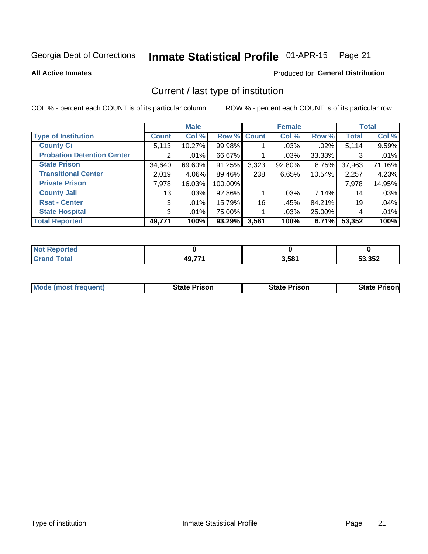#### Inmate Statistical Profile 01-APR-15 Page 21

**All Active Inmates** 

### Produced for General Distribution

### Current / last type of institution

COL % - percent each COUNT is of its particular column

|                                   |              | <b>Male</b> |             |       | <b>Female</b> |        |              | <b>Total</b> |
|-----------------------------------|--------------|-------------|-------------|-------|---------------|--------|--------------|--------------|
| <b>Type of Institution</b>        | <b>Count</b> | Col %       | Row % Count |       | Col %         | Row %  | <b>Total</b> | Col %        |
| <b>County Ci</b>                  | 5,113        | 10.27%      | 99.98%      |       | $.03\%$       | .02%   | 5,114        | 9.59%        |
| <b>Probation Detention Center</b> | 2            | .01%        | 66.67%      |       | .03%          | 33.33% | 3            | .01%         |
| <b>State Prison</b>               | 34,640       | 69.60%      | 91.25%      | 3,323 | 92.80%        | 8.75%  | 37,963       | 71.16%       |
| <b>Transitional Center</b>        | 2,019        | 4.06%       | 89.46%      | 238   | 6.65%         | 10.54% | 2,257        | 4.23%        |
| <b>Private Prison</b>             | 7,978        | 16.03%      | 100.00%     |       |               |        | 7,978        | 14.95%       |
| <b>County Jail</b>                | 13           | .03%        | 92.86%      |       | .03%          | 7.14%  | 14           | .03%         |
| <b>Rsat - Center</b>              | 3            | $.01\%$     | 15.79%      | 16    | .45%          | 84.21% | 19           | .04%         |
| <b>State Hospital</b>             | 3            | $.01\%$     | 75.00%      |       | .03%          | 25.00% | 4            | .01%         |
| <b>Total Reported</b>             | 49,771       | 100%        | 93.29%      | 3,581 | 100%          | 6.71%  | 53,352       | 100%         |

| Reported     |                   |       |        |
|--------------|-------------------|-------|--------|
| <b>Total</b> | $AQ$ 77 $'$<br>т. | 3,581 | 53,352 |

| Mode (most frequent) | <b>State Prison</b> | <b>State Prison</b> | <b>State Prisonl</b> |
|----------------------|---------------------|---------------------|----------------------|
|                      |                     |                     |                      |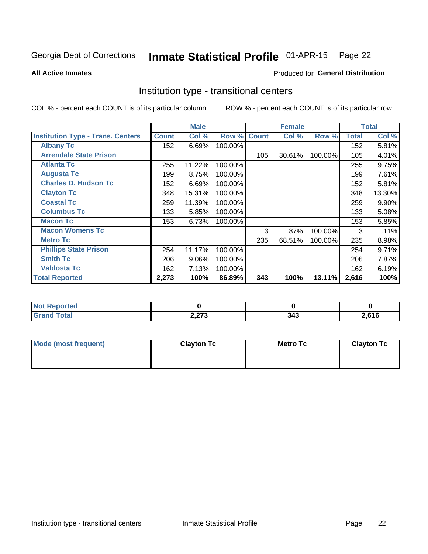#### Inmate Statistical Profile 01-APR-15 Page 22

**Produced for General Distribution** 

### **All Active Inmates**

### Institution type - transitional centers

COL % - percent each COUNT is of its particular column

|                                          |              | <b>Male</b> |         |              | <b>Female</b> |         |              | <b>Total</b> |
|------------------------------------------|--------------|-------------|---------|--------------|---------------|---------|--------------|--------------|
| <b>Institution Type - Trans. Centers</b> | <b>Count</b> | Col %       | Row %   | <b>Count</b> | Col %         | Row %   | <b>Total</b> | Col %        |
| <b>Albany Tc</b>                         | 152          | 6.69%       | 100.00% |              |               |         | 152          | 5.81%        |
| <b>Arrendale State Prison</b>            |              |             |         | 105          | 30.61%        | 100.00% | 105          | 4.01%        |
| <b>Atlanta Tc</b>                        | 255          | 11.22%      | 100.00% |              |               |         | 255          | 9.75%        |
| <b>Augusta Tc</b>                        | 199          | 8.75%       | 100.00% |              |               |         | 199          | 7.61%        |
| <b>Charles D. Hudson Tc</b>              | 152          | 6.69%       | 100.00% |              |               |         | 152          | 5.81%        |
| <b>Clayton Tc</b>                        | 348          | 15.31%      | 100.00% |              |               |         | 348          | 13.30%       |
| <b>Coastal Tc</b>                        | 259          | 11.39%      | 100.00% |              |               |         | 259          | $9.90\%$     |
| <b>Columbus Tc</b>                       | 133          | 5.85%       | 100.00% |              |               |         | 133          | 5.08%        |
| <b>Macon Tc</b>                          | 153          | 6.73%       | 100.00% |              |               |         | 153          | 5.85%        |
| <b>Macon Womens Tc</b>                   |              |             |         | 3            | .87%          | 100.00% | 3            | .11%         |
| <b>Metro Tc</b>                          |              |             |         | 235          | 68.51%        | 100.00% | 235          | 8.98%        |
| <b>Phillips State Prison</b>             | 254          | 11.17%      | 100.00% |              |               |         | 254          | 9.71%        |
| <b>Smith Tc</b>                          | 206          | 9.06%       | 100.00% |              |               |         | 206          | 7.87%        |
| <b>Valdosta Tc</b>                       | 162          | 7.13%       | 100.00% |              |               |         | 162          | 6.19%        |
| <b>Total Reported</b>                    | 2,273        | 100%        | 86.89%  | 343          | 100%          | 13.11%  | 2,616        | 100%         |

| Reported<br> |                       |     |       |
|--------------|-----------------------|-----|-------|
| <b>cotal</b> | <b>0.079</b><br>2,21J | 343 | 2,616 |

| Mode (most frequent) | <b>Clayton Tc</b> | <b>Metro Tc</b> | <b>Clayton Tc</b> |
|----------------------|-------------------|-----------------|-------------------|
|                      |                   |                 |                   |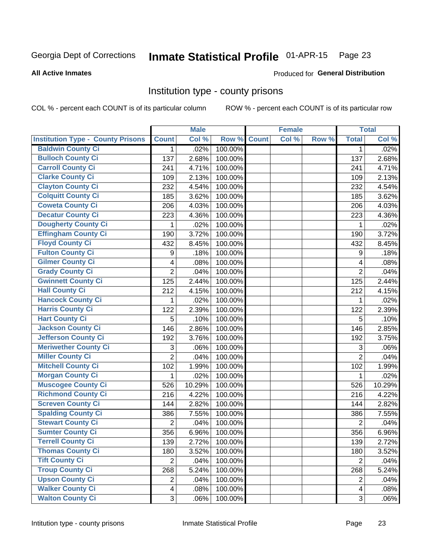## Inmate Statistical Profile 01-APR-15 Page 23

#### **All Active Inmates**

### Produced for General Distribution

### Institution type - county prisons

COL % - percent each COUNT is of its particular column

|                                          |                         | <b>Male</b> |         |              | <b>Female</b> |       |                         | <b>Total</b> |
|------------------------------------------|-------------------------|-------------|---------|--------------|---------------|-------|-------------------------|--------------|
| <b>Institution Type - County Prisons</b> | <b>Count</b>            | Col %       | Row %   | <b>Count</b> | Col %         | Row % | <b>Total</b>            | Col %        |
| <b>Baldwin County Ci</b>                 | $\mathbf{1}$            | .02%        | 100.00% |              |               |       | 1                       | .02%         |
| <b>Bulloch County Ci</b>                 | 137                     | 2.68%       | 100.00% |              |               |       | 137                     | 2.68%        |
| <b>Carroll County Ci</b>                 | 241                     | 4.71%       | 100.00% |              |               |       | 241                     | 4.71%        |
| <b>Clarke County Ci</b>                  | 109                     | 2.13%       | 100.00% |              |               |       | 109                     | 2.13%        |
| <b>Clayton County Ci</b>                 | 232                     | 4.54%       | 100.00% |              |               |       | 232                     | 4.54%        |
| <b>Colquitt County Ci</b>                | 185                     | 3.62%       | 100.00% |              |               |       | 185                     | 3.62%        |
| <b>Coweta County Ci</b>                  | 206                     | 4.03%       | 100.00% |              |               |       | 206                     | 4.03%        |
| <b>Decatur County Ci</b>                 | 223                     | 4.36%       | 100.00% |              |               |       | 223                     | 4.36%        |
| <b>Dougherty County Ci</b>               | 1                       | .02%        | 100.00% |              |               |       | 1                       | .02%         |
| <b>Effingham County Ci</b>               | 190                     | 3.72%       | 100.00% |              |               |       | 190                     | 3.72%        |
| <b>Floyd County Ci</b>                   | 432                     | 8.45%       | 100.00% |              |               |       | 432                     | 8.45%        |
| <b>Fulton County Ci</b>                  | 9                       | .18%        | 100.00% |              |               |       | 9                       | .18%         |
| <b>Gilmer County Ci</b>                  | 4                       | .08%        | 100.00% |              |               |       | $\overline{4}$          | .08%         |
| <b>Grady County Ci</b>                   | $\overline{2}$          | .04%        | 100.00% |              |               |       | $\overline{2}$          | .04%         |
| <b>Gwinnett County Ci</b>                | 125                     | 2.44%       | 100.00% |              |               |       | 125                     | 2.44%        |
| <b>Hall County Ci</b>                    | 212                     | 4.15%       | 100.00% |              |               |       | 212                     | 4.15%        |
| <b>Hancock County Ci</b>                 | 1                       | .02%        | 100.00% |              |               |       | 1                       | .02%         |
| <b>Harris County Ci</b>                  | 122                     | 2.39%       | 100.00% |              |               |       | 122                     | 2.39%        |
| <b>Hart County Ci</b>                    | 5                       | .10%        | 100.00% |              |               |       | 5                       | .10%         |
| <b>Jackson County Ci</b>                 | 146                     | 2.86%       | 100.00% |              |               |       | 146                     | 2.85%        |
| Jefferson County Ci                      | 192                     | 3.76%       | 100.00% |              |               |       | 192                     | 3.75%        |
| <b>Meriwether County Ci</b>              | 3                       | .06%        | 100.00% |              |               |       | 3                       | .06%         |
| <b>Miller County Ci</b>                  | $\overline{2}$          | .04%        | 100.00% |              |               |       | $\overline{2}$          | .04%         |
| <b>Mitchell County Ci</b>                | 102                     | 1.99%       | 100.00% |              |               |       | 102                     | 1.99%        |
| <b>Morgan County Ci</b>                  | 1                       | .02%        | 100.00% |              |               |       | $\mathbf{1}$            | .02%         |
| <b>Muscogee County Ci</b>                | 526                     | 10.29%      | 100.00% |              |               |       | 526                     | 10.29%       |
| <b>Richmond County Ci</b>                | 216                     | 4.22%       | 100.00% |              |               |       | 216                     | 4.22%        |
| <b>Screven County Ci</b>                 | 144                     | 2.82%       | 100.00% |              |               |       | 144                     | 2.82%        |
| <b>Spalding County Ci</b>                | 386                     | 7.55%       | 100.00% |              |               |       | 386                     | 7.55%        |
| <b>Stewart County Ci</b>                 | $\overline{2}$          | .04%        | 100.00% |              |               |       | $\overline{2}$          | .04%         |
| <b>Sumter County Ci</b>                  | 356                     | 6.96%       | 100.00% |              |               |       | 356                     | 6.96%        |
| <b>Terrell County Ci</b>                 | 139                     | 2.72%       | 100.00% |              |               |       | 139                     | 2.72%        |
| <b>Thomas County Ci</b>                  | 180                     | 3.52%       | 100.00% |              |               |       | 180                     | 3.52%        |
| <b>Tift County Ci</b>                    | $\overline{2}$          | .04%        | 100.00% |              |               |       | $\overline{2}$          | .04%         |
| <b>Troup County Ci</b>                   | 268                     | 5.24%       | 100.00% |              |               |       | 268                     | 5.24%        |
| <b>Upson County Ci</b>                   | $\overline{c}$          | .04%        | 100.00% |              |               |       | $\overline{2}$          | .04%         |
| <b>Walker County Ci</b>                  | $\overline{\mathbf{4}}$ | .08%        | 100.00% |              |               |       | $\overline{\mathbf{4}}$ | .08%         |
| <b>Walton County Ci</b>                  | 3                       | .06%        | 100.00% |              |               |       | 3                       | .06%         |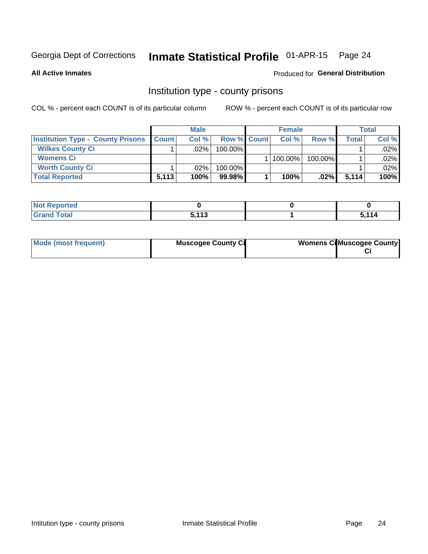## Inmate Statistical Profile 01-APR-15 Page 24

**All Active Inmates** 

### Produced for General Distribution

### Institution type - county prisons

COL % - percent each COUNT is of its particular column

|                                          | <b>Male</b>  |         |                    | <b>Female</b> |         |         | Total |       |
|------------------------------------------|--------------|---------|--------------------|---------------|---------|---------|-------|-------|
| <b>Institution Type - County Prisons</b> | <b>Count</b> | Col%    | <b>Row % Count</b> |               | Col%    | Row %   | Total | Col % |
| <b>Wilkes County Ci</b>                  |              | .02%    | 100.00%            |               |         |         |       | .02%  |
| <b>Womens Ci</b>                         |              |         |                    |               | 100.00% | 100.00% |       | .02%  |
| <b>Worth County Ci</b>                   |              | $.02\%$ | 100.00%            |               |         |         |       | .02%  |
| <b>Total Reported</b>                    | 5,113        | 100%    | 99.98%             |               | 100%    | $.02\%$ | 5,114 | 100%  |

| w<br>portea |                   |     |
|-------------|-------------------|-----|
| $\sim$      | <b>E 449</b><br>. | 114 |

| Mode (most frequent) | <b>Muscogee County Ci</b> | <b>Womens Cil Muscogee County</b> |
|----------------------|---------------------------|-----------------------------------|
|                      |                           |                                   |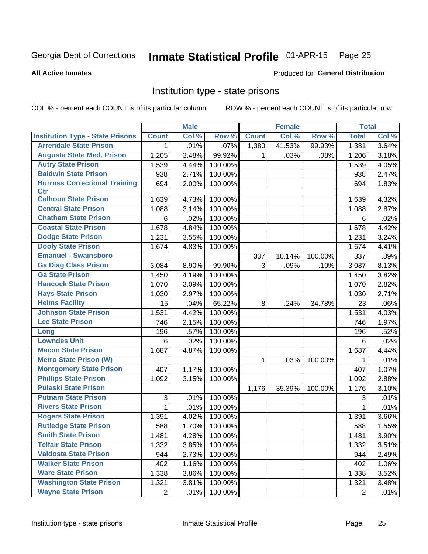#### Inmate Statistical Profile 01-APR-15 Page 25

#### **All Active Inmates**

### Produced for General Distribution

### Institution type - state prisons

COL % - percent each COUNT is of its particular column

|                                         |                | <b>Male</b> |         |              | <b>Female</b> |         | <b>Total</b>   |       |
|-----------------------------------------|----------------|-------------|---------|--------------|---------------|---------|----------------|-------|
| <b>Institution Type - State Prisons</b> | <b>Count</b>   | Col %       | Row %   | <b>Count</b> | Col %         | Row %   | <b>Total</b>   | Col % |
| <b>Arrendale State Prison</b>           | 1              | .01%        | .07%    | 1,380        | 41.53%        | 99.93%  | 1,381          | 3.64% |
| <b>Augusta State Med. Prison</b>        | 1,205          | 3.48%       | 99.92%  | 1            | .03%          | .08%    | 1,206          | 3.18% |
| <b>Autry State Prison</b>               | 1,539          | 4.44%       | 100.00% |              |               |         | 1,539          | 4.05% |
| <b>Baldwin State Prison</b>             | 938            | 2.71%       | 100.00% |              |               |         | 938            | 2.47% |
| <b>Burruss Correctional Training</b>    | 694            | 2.00%       | 100.00% |              |               |         | 694            | 1.83% |
| <b>Ctr</b>                              |                |             |         |              |               |         |                |       |
| <b>Calhoun State Prison</b>             | 1,639          | 4.73%       | 100.00% |              |               |         | 1,639          | 4.32% |
| <b>Central State Prison</b>             | 1,088          | 3.14%       | 100.00% |              |               |         | 1,088          | 2.87% |
| <b>Chatham State Prison</b>             | 6              | .02%        | 100.00% |              |               |         | 6              | .02%  |
| <b>Coastal State Prison</b>             | 1,678          | 4.84%       | 100.00% |              |               |         | 1,678          | 4.42% |
| <b>Dodge State Prison</b>               | 1,231          | 3.55%       | 100.00% |              |               |         | 1,231          | 3.24% |
| <b>Dooly State Prison</b>               | 1,674          | 4.83%       | 100.00% |              |               |         | 1,674          | 4.41% |
| <b>Emanuel - Swainsboro</b>             |                |             |         | 337          | 10.14%        | 100.00% | 337            | .89%  |
| <b>Ga Diag Class Prison</b>             | 3,084          | 8.90%       | 99.90%  | 3            | .09%          | .10%    | 3,087          | 8.13% |
| <b>Ga State Prison</b>                  | 1,450          | 4.19%       | 100.00% |              |               |         | 1,450          | 3.82% |
| <b>Hancock State Prison</b>             | 1,070          | 3.09%       | 100.00% |              |               |         | 1,070          | 2.82% |
| <b>Hays State Prison</b>                | 1,030          | 2.97%       | 100.00% |              |               |         | 1,030          | 2.71% |
| <b>Helms Facility</b>                   | 15             | .04%        | 65.22%  | 8            | .24%          | 34.78%  | 23             | .06%  |
| <b>Johnson State Prison</b>             | 1,531          | 4.42%       | 100.00% |              |               |         | 1,531          | 4.03% |
| <b>Lee State Prison</b>                 | 746            | 2.15%       | 100.00% |              |               |         | 746            | 1.97% |
| Long                                    | 196            | .57%        | 100.00% |              |               |         | 196            | .52%  |
| <b>Lowndes Unit</b>                     | 6              | .02%        | 100.00% |              |               |         | 6              | .02%  |
| <b>Macon State Prison</b>               | 1,687          | 4.87%       | 100.00% |              |               |         | 1,687          | 4.44% |
| <b>Metro State Prison (W)</b>           |                |             |         | 1            | .03%          | 100.00% | 1              | .01%  |
| <b>Montgomery State Prison</b>          | 407            | 1.17%       | 100.00% |              |               |         | 407            | 1.07% |
| <b>Phillips State Prison</b>            | 1,092          | 3.15%       | 100.00% |              |               |         | 1,092          | 2.88% |
| <b>Pulaski State Prison</b>             |                |             |         | 1,176        | 35.39%        | 100.00% | 1,176          | 3.10% |
| <b>Putnam State Prison</b>              | 3              | .01%        | 100.00% |              |               |         | 3              | .01%  |
| <b>Rivers State Prison</b>              | $\mathbf{1}$   | .01%        | 100.00% |              |               |         | 1              | .01%  |
| <b>Rogers State Prison</b>              | 1,391          | 4.02%       | 100.00% |              |               |         | 1,391          | 3.66% |
| <b>Rutledge State Prison</b>            | 588            | 1.70%       | 100.00% |              |               |         | 588            | 1.55% |
| <b>Smith State Prison</b>               | 1,481          | 4.28%       | 100.00% |              |               |         | 1,481          | 3.90% |
| <b>Telfair State Prison</b>             | 1,332          | 3.85%       | 100.00% |              |               |         | 1,332          | 3.51% |
| <b>Valdosta State Prison</b>            | 944            | 2.73%       | 100.00% |              |               |         | 944            | 2.49% |
| <b>Walker State Prison</b>              | 402            | 1.16%       | 100.00% |              |               |         | 402            | 1.06% |
| <b>Ware State Prison</b>                | 1,338          | 3.86%       | 100.00% |              |               |         | 1,338          | 3.52% |
| <b>Washington State Prison</b>          | 1,321          | 3.81%       | 100.00% |              |               |         | 1,321          | 3.48% |
| <b>Wayne State Prison</b>               | $\overline{2}$ | .01%        | 100.00% |              |               |         | $\overline{2}$ | .01%  |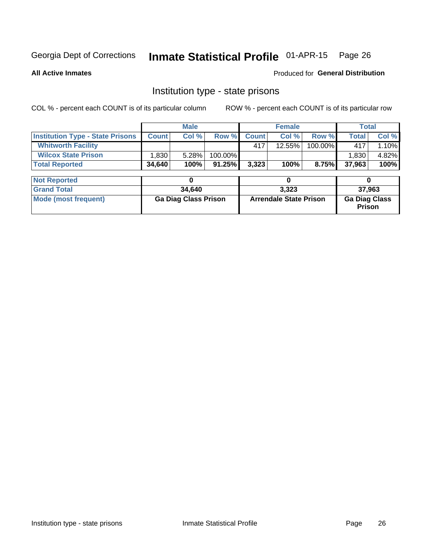## Inmate Statistical Profile 01-APR-15 Page 26

**All Active Inmates** 

Produced for General Distribution

### Institution type - state prisons

COL % - percent each COUNT is of its particular column

|                                         | <b>Male</b>                 |        |                               |              | <b>Female</b> | <b>Total</b>                          |              |       |
|-----------------------------------------|-----------------------------|--------|-------------------------------|--------------|---------------|---------------------------------------|--------------|-------|
| <b>Institution Type - State Prisons</b> | <b>Count</b>                | Col %  | Row %                         | <b>Count</b> | Col %         | Row %                                 | <b>Total</b> | Col % |
| <b>Whitworth Facility</b>               |                             |        |                               | 417          | 12.55%        | 100.00%                               | 417          | 1.10% |
| <b>Wilcox State Prison</b>              | 1,830                       | 5.28%  | 100.00%                       |              |               |                                       | 1,830        | 4.82% |
| <b>Total Reported</b>                   | 34,640                      | 100%   | 91.25%                        | 3,323        | 100%          | 8.75%                                 | 37,963       | 100%  |
|                                         |                             |        |                               |              |               |                                       |              |       |
| <b>Not Reported</b>                     |                             | 0      |                               |              | 0             |                                       | 0            |       |
| <b>Grand Total</b>                      |                             | 34,640 |                               | 3,323        |               |                                       | 37,963       |       |
| <b>Mode (most frequent)</b>             | <b>Ga Diag Class Prison</b> |        | <b>Arrendale State Prison</b> |              |               | <b>Ga Diag Class</b><br><b>Prison</b> |              |       |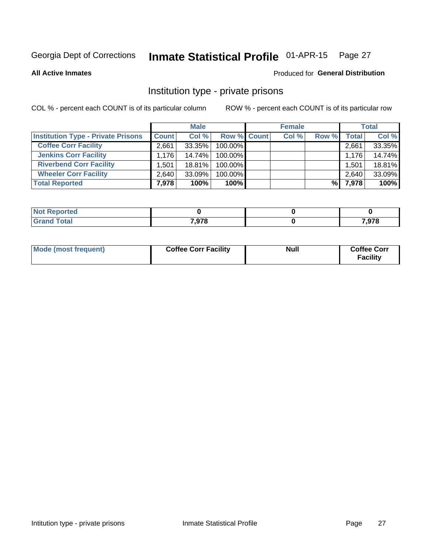## Inmate Statistical Profile 01-APR-15 Page 27

**All Active Inmates** 

### Produced for General Distribution

### Institution type - private prisons

COL % - percent each COUNT is of its particular column

|                                           | <b>Male</b>  |           |                    | <b>Female</b> |       |       | <b>Total</b> |        |
|-------------------------------------------|--------------|-----------|--------------------|---------------|-------|-------|--------------|--------|
| <b>Institution Type - Private Prisons</b> | <b>Count</b> | Col %     | <b>Row % Count</b> |               | Col % | Row % | Total        | Col %  |
| <b>Coffee Corr Facility</b>               | 2.661        | 33.35%    | 100.00%            |               |       |       | 2,661        | 33.35% |
| <b>Jenkins Corr Facility</b>              | 1.176        | 14.74%    | 100.00%            |               |       |       | 1.176        | 14.74% |
| <b>Riverbend Corr Facility</b>            | .501         | $18.81\%$ | 100.00%            |               |       |       | 1,501        | 18.81% |
| <b>Wheeler Corr Facility</b>              | 2,640        | $33.09\%$ | 100.00%            |               |       |       | 2,640        | 33.09% |
| <b>Total Reported</b>                     | 7,978        | 100%      | $100\%$            |               |       | %     | 7,978        | 100%   |

| Reported    |       |                |
|-------------|-------|----------------|
| <b>otal</b> | 7,978 | 070<br>, J I O |

| <b>Mode (most frequent)</b> | <b>Coffee Corr Facility</b> | Null | <b>Coffee Corr</b><br><b>Facility</b> |
|-----------------------------|-----------------------------|------|---------------------------------------|
|-----------------------------|-----------------------------|------|---------------------------------------|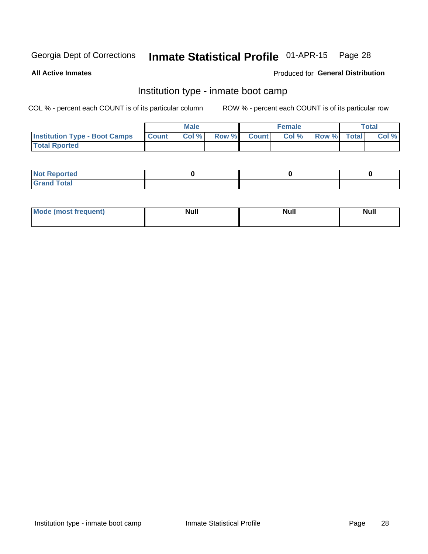## Inmate Statistical Profile 01-APR-15 Page 28

**All Active Inmates** 

### Produced for General Distribution

### Institution type - inmate boot camp

COL % - percent each COUNT is of its particular column

|                                      |                 | <b>Male</b> |              |              | <b>Female</b> |             | <b>Total</b> |
|--------------------------------------|-----------------|-------------|--------------|--------------|---------------|-------------|--------------|
| <b>Institution Type - Boot Camps</b> | <b>I</b> Count⊥ | Col %       | <b>Row %</b> | <b>Count</b> | Col %         | Row % Total | Col %        |
| <b>Total Rported</b>                 |                 |             |              |              |               |             |              |

| <b>Not Reported</b>            |  |  |
|--------------------------------|--|--|
| <b>Total</b><br>C <sub>r</sub> |  |  |

| Mod<br>uamo | Nul.<br>$- - - - - -$ | <b>Null</b> | . .<br>uu.<br>------ |
|-------------|-----------------------|-------------|----------------------|
|             |                       |             |                      |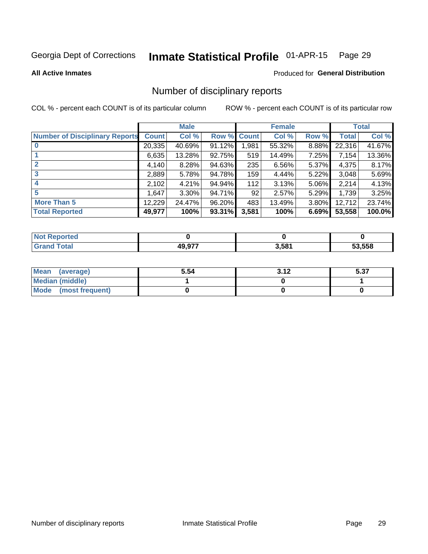#### Inmate Statistical Profile 01-APR-15 Page 29

#### **All Active Inmates**

### Produced for General Distribution

### Number of disciplinary reports

COL % - percent each COUNT is of its particular column

|                                       |              | <b>Male</b> |        |             | <b>Female</b> |       |        | <b>Total</b> |
|---------------------------------------|--------------|-------------|--------|-------------|---------------|-------|--------|--------------|
| <b>Number of Disciplinary Reports</b> | <b>Count</b> | Col %       |        | Row % Count | Col %         | Row % | Total  | Col %        |
| $\bf{0}$                              | 20,335       | 40.69%      | 91.12% | 1,981       | 55.32%        | 8.88% | 22,316 | 41.67%       |
|                                       | 6,635        | 13.28%      | 92.75% | 519         | 14.49%        | 7.25% | 7,154  | 13.36%       |
| $\overline{2}$                        | 4,140        | 8.28%       | 94.63% | 235         | 6.56%         | 5.37% | 4,375  | 8.17%        |
| 3                                     | 2,889        | 5.78%       | 94.78% | 159         | 4.44%         | 5.22% | 3,048  | 5.69%        |
|                                       | 2,102        | 4.21%       | 94.94% | 112         | 3.13%         | 5.06% | 2,214  | 4.13%        |
| 5                                     | 1,647        | 3.30%       | 94.71% | 92          | 2.57%         | 5.29% | 1,739  | 3.25%        |
| <b>More Than 5</b>                    | 12,229       | 24.47%      | 96.20% | 483         | 13.49%        | 3.80% | 12,712 | 23.74%       |
| <b>Total Reported</b>                 | 49,977       | 100%        | 93.31% | 3,581       | 100%          | 6.69% | 53,558 | 100.0%       |

| วrted<br>NO. |        |       |        |
|--------------|--------|-------|--------|
| <b>Total</b> | 10 Q77 | 3,581 | 53.558 |

| Mean (average)         | 5.54 | s 19 | E 97<br>ว.ง เ |
|------------------------|------|------|---------------|
| <b>Median (middle)</b> |      |      |               |
| Mode (most frequent)   |      |      |               |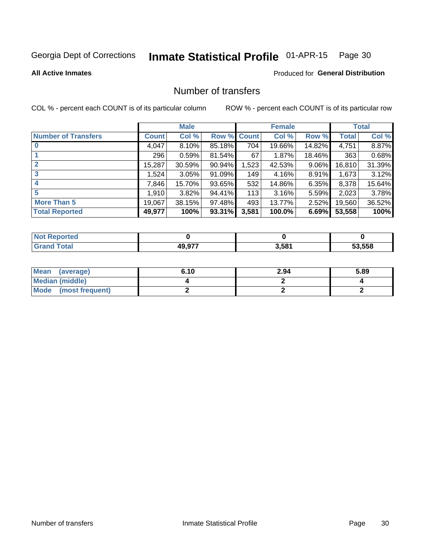## Inmate Statistical Profile 01-APR-15 Page 30

#### **All Active Inmates**

### **Produced for General Distribution**

### Number of transfers

COL % - percent each COUNT is of its particular column

|                            | <b>Male</b> |          |        | <b>Female</b> |        |          | <b>Total</b> |        |
|----------------------------|-------------|----------|--------|---------------|--------|----------|--------------|--------|
| <b>Number of Transfers</b> | Count l     | Col %    | Row %  | <b>Count</b>  | Col %  | Row %    | <b>Total</b> | Col %  |
|                            | 4,047       | $8.10\%$ | 85.18% | 704           | 19.66% | 14.82%   | 4,751        | 8.87%  |
|                            | 296         | 0.59%    | 81.54% | 67            | 1.87%  | 18.46%   | 363          | 0.68%  |
| $\mathbf{2}$               | 15,287      | 30.59%   | 90.94% | 1,523         | 42.53% | $9.06\%$ | 16,810       | 31.39% |
| 3                          | 1,524       | 3.05%    | 91.09% | 149           | 4.16%  | $8.91\%$ | 1,673        | 3.12%  |
| 4                          | 7,846       | 15.70%   | 93.65% | 532           | 14.86% | $6.35\%$ | 8,378        | 15.64% |
| 5                          | 1,910       | 3.82%    | 94.41% | 113           | 3.16%  | $5.59\%$ | 2,023        | 3.78%  |
| <b>More Than 5</b>         | 19,067      | 38.15%   | 97.48% | 493           | 13.77% | $2.52\%$ | 19,560       | 36.52% |
| <b>Total Reported</b>      | 49,977      | 100%     | 93.31% | 3,581         | 100.0% | 6.69%    | 53,558       | 100%   |

| <b>rted</b><br>NO |        |                   |        |
|-------------------|--------|-------------------|--------|
| <b>Total</b>      | 10 Q77 | 3,58 <sup>4</sup> | 53.558 |

| Mean (average)       | 6.10 | 2.94 | 5.89 |
|----------------------|------|------|------|
| Median (middle)      |      |      |      |
| Mode (most frequent) |      |      |      |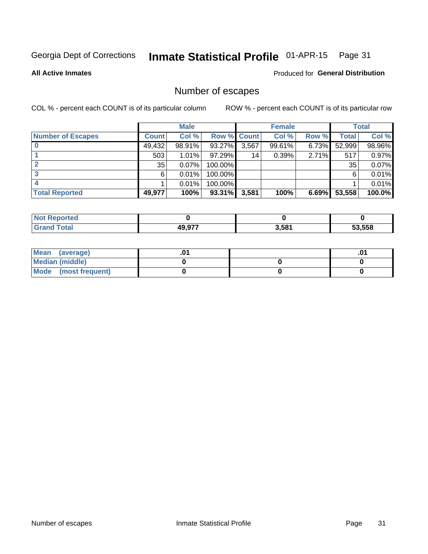## Inmate Statistical Profile 01-APR-15 Page 31

**All Active Inmates** 

Produced for General Distribution

### Number of escapes

COL % - percent each COUNT is of its particular column

|                          | <b>Male</b>  |        |             | <b>Female</b> |        |          | <b>Total</b> |        |
|--------------------------|--------------|--------|-------------|---------------|--------|----------|--------------|--------|
| <b>Number of Escapes</b> | <b>Count</b> | Col %  | Row % Count |               | Col %  | Row %    | Total        | Col %  |
|                          | 49,432       | 98.91% | 93.27%      | 3,567         | 99.61% | $6.73\%$ | 52,999       | 98.96% |
|                          | 503          | 1.01%  | 97.29%      | 14            | 0.39%  | 2.71%    | 517          | 0.97%  |
|                          | 35           | 0.07%  | 100.00%     |               |        |          | 35           | 0.07%  |
|                          | 6.           | 0.01%  | $100.00\%$  |               |        |          | 6            | 0.01%  |
|                          |              | 0.01%  | 100.00%     |               |        |          |              | 0.01%  |
| <b>Total Reported</b>    | 49,977       | 100%   | 93.31%      | 3,581         | 100%   | 6.69%    | 53,558       | 100.0% |

| тео. |        |       |        |
|------|--------|-------|--------|
|      | 10 A77 | 3.581 | 53.558 |

| Mean<br>(average)    |  | .0 |
|----------------------|--|----|
| Median (middle)      |  |    |
| Mode (most frequent) |  |    |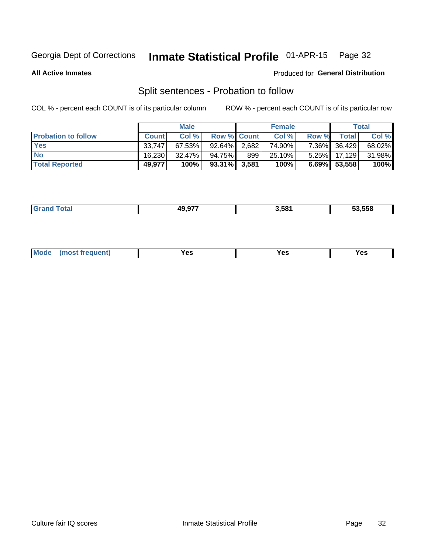#### Inmate Statistical Profile 01-APR-15 Page 32

**All Active Inmates** 

### Produced for General Distribution

### Split sentences - Probation to follow

COL % - percent each COUNT is of its particular column

|                            | <b>Male</b>  |           |                 | <b>Female</b> |        |          | <b>Total</b> |        |
|----------------------------|--------------|-----------|-----------------|---------------|--------|----------|--------------|--------|
| <b>Probation to follow</b> | <b>Count</b> | Col%      | Row % Count     |               | Col %  | Row %    | Total I      | Col %  |
| <b>Yes</b>                 | 33.747       | $67.53\%$ | 92.64%          | 2,682         | 74.90% |          | 7.36% 36,429 | 68.02% |
| <b>No</b>                  | 16.230       | $32.47\%$ | 94.75%          | 899           | 25.10% | $5.25\%$ | 17,129       | 31.98% |
| <b>Total Reported</b>      | 49,977       | 100%      | $93.31\%$ 3,581 |               | 100%   |          | 6.69% 53,558 | 100%   |

|  | _______ | 10.077<br>48 Y | 3.581 | 53.558 |
|--|---------|----------------|-------|--------|
|--|---------|----------------|-------|--------|

| M<br>reauent)<br>/٥<br>$\sim$<br>v.,<br>.<br>$\ddotsc$<br>$\cdot$ - $\cdot$ |
|-----------------------------------------------------------------------------|
|-----------------------------------------------------------------------------|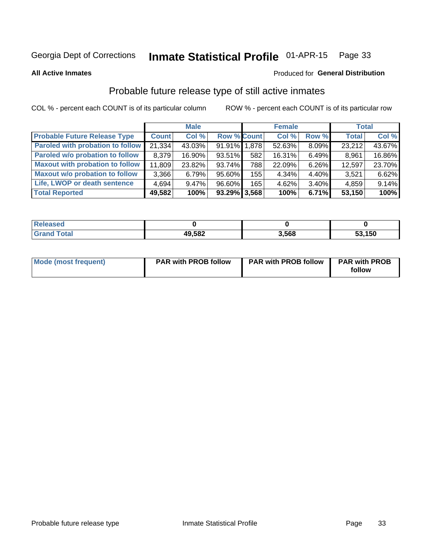#### Inmate Statistical Profile 01-APR-15 Page 33

**All Active Inmates** 

### Produced for General Distribution

### Probable future release type of still active inmates

COL % - percent each COUNT is of its particular column

|                                         | <b>Male</b>  |          |                    | <b>Female</b> |        |          | <b>Total</b> |        |
|-----------------------------------------|--------------|----------|--------------------|---------------|--------|----------|--------------|--------|
| <b>Probable Future Release Type</b>     | <b>Count</b> | Col %    | <b>Row % Count</b> |               | Col %  | Row %    | <b>Total</b> | Col %  |
| <b>Paroled with probation to follow</b> | 21,334       | 43.03%   | 91.91% 1,878       |               | 52.63% | 8.09%    | 23,212       | 43.67% |
| Paroled w/o probation to follow         | 8,379        | 16.90%   | 93.51%             | 582           | 16.31% | 6.49%    | 8,961        | 16.86% |
| <b>Maxout with probation to follow</b>  | 11,809       | 23.82%   | 93.74%             | 788           | 22.09% | 6.26%    | 12,597       | 23.70% |
| <b>Maxout w/o probation to follow</b>   | 3,366        | 6.79%    | 95.60%             | 155           | 4.34%  | 4.40%    | 3,521        | 6.62%  |
| Life, LWOP or death sentence            | 4,694        | $9.47\%$ | 96.60%             | 165           | 4.62%  | $3.40\%$ | 4,859        | 9.14%  |
| <b>Total Reported</b>                   | 49,582       | 100%     | $93.29\%$ 3,568    |               | 100%   | 6.71%    | 53,150       | 100%   |

| eleased     |        |      |            |
|-------------|--------|------|------------|
| <b>otal</b> | 49,582 | .568 | ,150<br>ວວ |

| <b>Mode (most frequent)</b> | <b>PAR with PROB follow</b> | <b>PAR with PROB follow</b> | <b>PAR with PROB</b> |
|-----------------------------|-----------------------------|-----------------------------|----------------------|
|                             |                             |                             | follow               |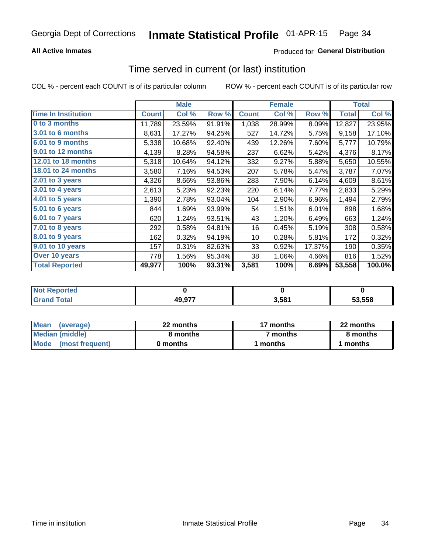### **All Active Inmates**

### **Produced for General Distribution**

## Time served in current (or last) institution

COL % - percent each COUNT is of its particular column

|                            |              | <b>Male</b> |        |              | <b>Female</b> |        |              | <b>Total</b> |
|----------------------------|--------------|-------------|--------|--------------|---------------|--------|--------------|--------------|
| <b>Time In Institution</b> | <b>Count</b> | Col %       | Row %  | <b>Count</b> | Col %         | Row %  | <b>Total</b> | Col %        |
| 0 to 3 months              | 11,789       | 23.59%      | 91.91% | 1,038        | 28.99%        | 8.09%  | 12,827       | 23.95%       |
| 3.01 to 6 months           | 8,631        | 17.27%      | 94.25% | 527          | 14.72%        | 5.75%  | 9,158        | 17.10%       |
| 6.01 to 9 months           | 5,338        | 10.68%      | 92.40% | 439          | 12.26%        | 7.60%  | 5,777        | 10.79%       |
| 9.01 to 12 months          | 4,139        | 8.28%       | 94.58% | 237          | 6.62%         | 5.42%  | 4,376        | 8.17%        |
| <b>12.01 to 18 months</b>  | 5,318        | 10.64%      | 94.12% | 332          | 9.27%         | 5.88%  | 5,650        | 10.55%       |
| <b>18.01 to 24 months</b>  | 3,580        | 7.16%       | 94.53% | 207          | 5.78%         | 5.47%  | 3,787        | 7.07%        |
| 2.01 to 3 years            | 4,326        | 8.66%       | 93.86% | 283          | 7.90%         | 6.14%  | 4,609        | 8.61%        |
| 3.01 to 4 years            | 2,613        | 5.23%       | 92.23% | 220          | 6.14%         | 7.77%  | 2,833        | 5.29%        |
| $4.01$ to 5 years          | 1,390        | 2.78%       | 93.04% | 104          | 2.90%         | 6.96%  | 1,494        | 2.79%        |
| 5.01 to 6 years            | 844          | 1.69%       | 93.99% | 54           | 1.51%         | 6.01%  | 898          | 1.68%        |
| 6.01 to 7 years            | 620          | 1.24%       | 93.51% | 43           | 1.20%         | 6.49%  | 663          | 1.24%        |
| 7.01 to 8 years            | 292          | 0.58%       | 94.81% | 16           | 0.45%         | 5.19%  | 308          | 0.58%        |
| 8.01 to 9 years            | 162          | 0.32%       | 94.19% | 10           | 0.28%         | 5.81%  | 172          | 0.32%        |
| 9.01 to 10 years           | 157          | 0.31%       | 82.63% | 33           | 0.92%         | 17.37% | 190          | 0.35%        |
| Over 10 years              | 778          | 1.56%       | 95.34% | 38           | 1.06%         | 4.66%  | 816          | 1.52%        |
| <b>Total Reported</b>      | 49,977       | 100%        | 93.31% | 3,581        | 100%          | 6.69%  | 53,558       | 100.0%       |

| <b>NOT</b><br>orregi |        |       |        |
|----------------------|--------|-------|--------|
| <b>ofa</b>           | 49.977 | 5.58' | 53.558 |

| <b>Mean</b><br>(average) | 22 months | 17 months           | 22 months |
|--------------------------|-----------|---------------------|-----------|
| Median (middle)          | 8 months  | <sup>7</sup> months | 8 months  |
| Mode<br>(most frequent)  | 0 months  | months              | ∖ months  |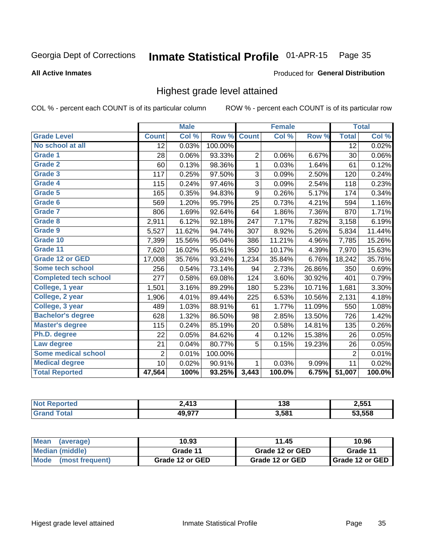#### Inmate Statistical Profile 01-APR-15 Page 35

#### **All Active Inmates**

### Produced for General Distribution

### Highest grade level attained

COL % - percent each COUNT is of its particular column

|                              |                 | <b>Male</b> |         |                  | <b>Female</b>      |        |                | <b>Total</b>               |
|------------------------------|-----------------|-------------|---------|------------------|--------------------|--------|----------------|----------------------------|
| <b>Grade Level</b>           | <b>Count</b>    | Col %       | Row %   | <b>Count</b>     | $\overline{Col}$ % | Row %  | <b>Total</b>   | $\overline{\text{Col }\%}$ |
| No school at all             | $\overline{12}$ | 0.03%       | 100.00% |                  |                    |        | 12             | 0.02%                      |
| <b>Grade 1</b>               | 28              | 0.06%       | 93.33%  | $\overline{c}$   | 0.06%              | 6.67%  | 30             | 0.06%                      |
| <b>Grade 2</b>               | 60              | 0.13%       | 98.36%  | 1                | 0.03%              | 1.64%  | 61             | 0.12%                      |
| <b>Grade 3</b>               | 117             | 0.25%       | 97.50%  | 3                | 0.09%              | 2.50%  | 120            | 0.24%                      |
| Grade 4                      | 115             | 0.24%       | 97.46%  | 3                | 0.09%              | 2.54%  | 118            | 0.23%                      |
| Grade 5                      | 165             | 0.35%       | 94.83%  | $\boldsymbol{9}$ | 0.26%              | 5.17%  | 174            | 0.34%                      |
| Grade 6                      | 569             | 1.20%       | 95.79%  | 25               | 0.73%              | 4.21%  | 594            | 1.16%                      |
| <b>Grade 7</b>               | 806             | 1.69%       | 92.64%  | 64               | 1.86%              | 7.36%  | 870            | 1.71%                      |
| Grade 8                      | 2,911           | 6.12%       | 92.18%  | 247              | 7.17%              | 7.82%  | 3,158          | 6.19%                      |
| Grade 9                      | 5,527           | 11.62%      | 94.74%  | 307              | 8.92%              | 5.26%  | 5,834          | 11.44%                     |
| Grade 10                     | 7,399           | 15.56%      | 95.04%  | 386              | 11.21%             | 4.96%  | 7,785          | 15.26%                     |
| Grade 11                     | 7,620           | 16.02%      | 95.61%  | 350              | 10.17%             | 4.39%  | 7,970          | 15.63%                     |
| <b>Grade 12 or GED</b>       | 17,008          | 35.76%      | 93.24%  | 1,234            | 35.84%             | 6.76%  | 18,242         | 35.76%                     |
| <b>Some tech school</b>      | 256             | 0.54%       | 73.14%  | 94               | 2.73%              | 26.86% | 350            | 0.69%                      |
| <b>Completed tech school</b> | 277             | 0.58%       | 69.08%  | 124              | 3.60%              | 30.92% | 401            | 0.79%                      |
| College, 1 year              | 1,501           | 3.16%       | 89.29%  | 180              | 5.23%              | 10.71% | 1,681          | 3.30%                      |
| College, 2 year              | 1,906           | 4.01%       | 89.44%  | 225              | 6.53%              | 10.56% | 2,131          | 4.18%                      |
| College, 3 year              | 489             | 1.03%       | 88.91%  | 61               | 1.77%              | 11.09% | 550            | 1.08%                      |
| <b>Bachelor's degree</b>     | 628             | 1.32%       | 86.50%  | 98               | 2.85%              | 13.50% | 726            | 1.42%                      |
| <b>Master's degree</b>       | 115             | 0.24%       | 85.19%  | 20               | 0.58%              | 14.81% | 135            | 0.26%                      |
| Ph.D. degree                 | 22              | 0.05%       | 84.62%  | 4                | 0.12%              | 15.38% | 26             | 0.05%                      |
| Law degree                   | 21              | 0.04%       | 80.77%  | 5                | 0.15%              | 19.23% | 26             | 0.05%                      |
| <b>Some medical school</b>   | $\overline{2}$  | 0.01%       | 100.00% |                  |                    |        | $\overline{2}$ | 0.01%                      |
| <b>Medical degree</b>        | 10 <sup>1</sup> | 0.02%       | 90.91%  | 1                | 0.03%              | 9.09%  | 11             | 0.02%                      |
| <b>Total Reported</b>        | 47,564          | 100%        | 93.25%  | 3,443            | 100.0%             | 6.75%  | 51,007         | 100.0%                     |

| ) 413<br>. .  | 138   | 2,551  |
|---------------|-------|--------|
| 10 077<br>л ш | 3.581 | 53.558 |

| <b>Mean</b><br>(average)       | 10.93           | 11.45           | 10.96           |
|--------------------------------|-----------------|-----------------|-----------------|
| Median (middle)                | Grade 11        | Grade 12 or GED | Grade 11        |
| <b>Mode</b><br>(most frequent) | Grade 12 or GED | Grade 12 or GED | Grade 12 or GED |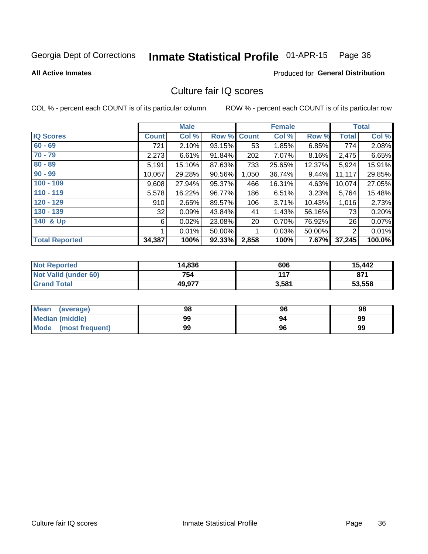## Inmate Statistical Profile 01-APR-15 Page 36

#### **All Active Inmates**

### Produced for General Distribution

### Culture fair IQ scores

COL % - percent each COUNT is of its particular column

|                       |              | <b>Male</b> |        |                 | <b>Female</b> |        |              | <b>Total</b> |
|-----------------------|--------------|-------------|--------|-----------------|---------------|--------|--------------|--------------|
| <b>IQ Scores</b>      | <b>Count</b> | Col %       | Row %  | <b>Count</b>    | Col %         | Row %  | <b>Total</b> | Col %        |
| $60 - 69$             | 721          | 2.10%       | 93.15% | 53              | 1.85%         | 6.85%  | 774          | 2.08%        |
| $70 - 79$             | 2,273        | 6.61%       | 91.84% | 202             | 7.07%         | 8.16%  | 2,475        | 6.65%        |
| $80 - 89$             | 5,191        | 15.10%      | 87.63% | 733             | 25.65%        | 12.37% | 5,924        | 15.91%       |
| $90 - 99$             | 10,067       | 29.28%      | 90.56% | 1,050           | 36.74%        | 9.44%  | 11,117       | 29.85%       |
| $100 - 109$           | 9,608        | 27.94%      | 95.37% | 466             | 16.31%        | 4.63%  | 10,074       | 27.05%       |
| $110 - 119$           | 5,578        | 16.22%      | 96.77% | 186             | 6.51%         | 3.23%  | 5,764        | 15.48%       |
| 120 - 129             | 910          | 2.65%       | 89.57% | 106             | 3.71%         | 10.43% | 1,016        | 2.73%        |
| 130 - 139             | 32           | 0.09%       | 43.84% | 41              | 1.43%         | 56.16% | 73           | 0.20%        |
| 140 & Up              | 6            | 0.02%       | 23.08% | 20 <sup>°</sup> | 0.70%         | 76.92% | 26           | 0.07%        |
|                       |              | 0.01%       | 50.00% | 1               | 0.03%         | 50.00% | 2            | 0.01%        |
| <b>Total Reported</b> | 34,387       | 100%        | 92.33% | 2,858           | 100%          | 7.67%  | 37,245       | 100.0%       |

| <b>Not Reported</b>         | 14,836 | 606   | 15,442 |
|-----------------------------|--------|-------|--------|
| <b>Not Valid (under 60)</b> | 754    | 117   | 871    |
| <b>Grand Total</b>          | 49,977 | 3,581 | 53,558 |

| <b>Mean</b><br>(average) | 98 | 96 | 98 |
|--------------------------|----|----|----|
| <b>Median (middle)</b>   | 99 |    | 99 |
| Mode (most frequent)     | 99 | 96 | 99 |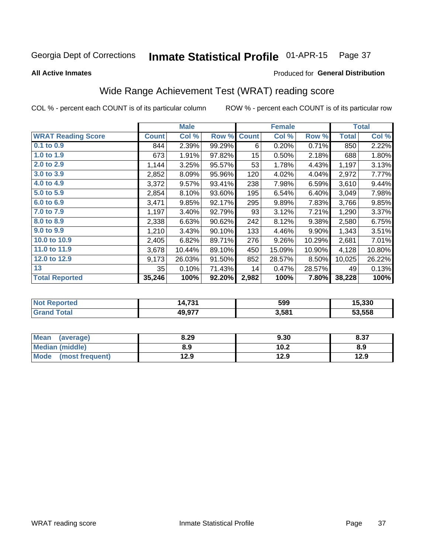#### Inmate Statistical Profile 01-APR-15 Page 37

**All Active Inmates** 

### Produced for General Distribution

# Wide Range Achievement Test (WRAT) reading score

COL % - percent each COUNT is of its particular column

|                           |              | <b>Male</b> |        |                  | <b>Female</b> |        |              | <b>Total</b> |
|---------------------------|--------------|-------------|--------|------------------|---------------|--------|--------------|--------------|
| <b>WRAT Reading Score</b> | <b>Count</b> | Col %       | Row %  | <b>Count</b>     | Col %         | Row %  | <b>Total</b> | Col %        |
| $0.1$ to $0.9$            | 844          | 2.39%       | 99.29% | 6                | 0.20%         | 0.71%  | 850          | 2.22%        |
| 1.0 to 1.9                | 673          | 1.91%       | 97.82% | 15 <sub>15</sub> | 0.50%         | 2.18%  | 688          | 1.80%        |
| 2.0 to 2.9                | 1,144        | 3.25%       | 95.57% | 53               | 1.78%         | 4.43%  | 1,197        | 3.13%        |
| 3.0 to 3.9                | 2,852        | 8.09%       | 95.96% | 120              | 4.02%         | 4.04%  | 2,972        | 7.77%        |
| 4.0 to 4.9                | 3,372        | 9.57%       | 93.41% | 238              | 7.98%         | 6.59%  | 3,610        | 9.44%        |
| 5.0 to 5.9                | 2,854        | 8.10%       | 93.60% | 195              | 6.54%         | 6.40%  | 3,049        | 7.98%        |
| 6.0 to 6.9                | 3,471        | 9.85%       | 92.17% | 295              | 9.89%         | 7.83%  | 3,766        | 9.85%        |
| 7.0 to 7.9                | 1,197        | 3.40%       | 92.79% | 93               | 3.12%         | 7.21%  | 1,290        | 3.37%        |
| 8.0 to 8.9                | 2,338        | 6.63%       | 90.62% | 242              | 8.12%         | 9.38%  | 2,580        | 6.75%        |
| 9.0 to 9.9                | 1,210        | 3.43%       | 90.10% | 133              | 4.46%         | 9.90%  | 1,343        | 3.51%        |
| 10.0 to 10.9              | 2,405        | 6.82%       | 89.71% | 276              | 9.26%         | 10.29% | 2,681        | 7.01%        |
| 11.0 to 11.9              | 3,678        | 10.44%      | 89.10% | 450              | 15.09%        | 10.90% | 4,128        | 10.80%       |
| 12.0 to 12.9              | 9,173        | 26.03%      | 91.50% | 852              | 28.57%        | 8.50%  | 10,025       | 26.22%       |
| 13                        | 35           | 0.10%       | 71.43% | 14               | 0.47%         | 28.57% | 49           | 0.13%        |
| <b>Total Reported</b>     | 35,246       | 100%        | 92.20% | 2,982            | 100%          | 7.80%  | 38,228       | 100%         |

| rtea<br>NO | 70.A<br>4.IJI | 599   | 15,330 |
|------------|---------------|-------|--------|
|            | 49,977        | 3,581 | 53.558 |

| <b>Mean</b><br>(average) | 8.29 | 9.30 | 8.37 |
|--------------------------|------|------|------|
| Median (middle)          | 8.9  | 10.2 | 8.9  |
| Mode<br>(most frequent)  | 12.9 | 12.9 | 12.9 |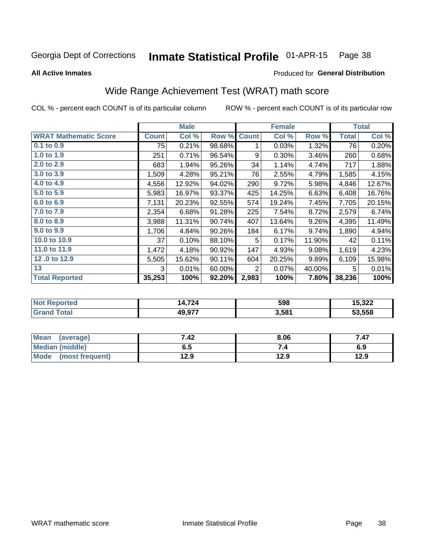#### Inmate Statistical Profile 01-APR-15 Page 38

**All Active Inmates** 

### Produced for General Distribution

# Wide Range Achievement Test (WRAT) math score

COL % - percent each COUNT is of its particular column

|                              |              | <b>Male</b> |        |              | <b>Female</b> |        |              | <b>Total</b> |
|------------------------------|--------------|-------------|--------|--------------|---------------|--------|--------------|--------------|
| <b>WRAT Mathematic Score</b> | <b>Count</b> | Col %       | Row %  | <b>Count</b> | Col %         | Row %  | <b>Total</b> | Col %        |
| $0.1$ to $0.9$               | 75           | 0.21%       | 98.68% | 1            | 0.03%         | 1.32%  | 76           | 0.20%        |
| 1.0 to 1.9                   | 251          | 0.71%       | 96.54% | 9            | 0.30%         | 3.46%  | 260          | 0.68%        |
| 2.0 to 2.9                   | 683          | 1.94%       | 95.26% | 34           | 1.14%         | 4.74%  | 717          | 1.88%        |
| 3.0 to 3.9                   | 1,509        | 4.28%       | 95.21% | 76           | 2.55%         | 4.79%  | 1,585        | 4.15%        |
| 4.0 to 4.9                   | 4,556        | 12.92%      | 94.02% | 290          | 9.72%         | 5.98%  | 4,846        | 12.67%       |
| 5.0 to 5.9                   | 5,983        | 16.97%      | 93.37% | 425          | 14.25%        | 6.63%  | 6,408        | 16.76%       |
| 6.0 to 6.9                   | 7,131        | 20.23%      | 92.55% | 574          | 19.24%        | 7.45%  | 7,705        | 20.15%       |
| 7.0 to 7.9                   | 2,354        | 6.68%       | 91.28% | 225          | 7.54%         | 8.72%  | 2,579        | 6.74%        |
| 8.0 to 8.9                   | 3,988        | 11.31%      | 90.74% | 407          | 13.64%        | 9.26%  | 4,395        | 11.49%       |
| 9.0 to 9.9                   | 1,706        | 4.84%       | 90.26% | 184          | 6.17%         | 9.74%  | 1,890        | 4.94%        |
| 10.0 to 10.9                 | 37           | 0.10%       | 88.10% | 5            | 0.17%         | 11.90% | 42           | 0.11%        |
| 11.0 to 11.9                 | 1,472        | 4.18%       | 90.92% | 147          | 4.93%         | 9.08%  | 1,619        | 4.23%        |
| 12.0 to 12.9                 | 5,505        | 15.62%      | 90.11% | 604          | 20.25%        | 9.89%  | 6,109        | 15.98%       |
| 13                           | 3            | 0.01%       | 60.00% | 2            | 0.07%         | 40.00% | 5            | 0.01%        |
| <b>Total Reported</b>        | 35,253       | 100%        | 92.20% | 2,983        | 100%          | 7.80%  | 38,236       | 100%         |
|                              |              |             |        |              |               |        |              |              |

| <b>Not Reported</b> | 14,724 | 598   | 15,322 |
|---------------------|--------|-------|--------|
| <b>Grand Total</b>  | 49,977 | 3,581 | 53,558 |

| Mean (average)       | 7.42 | 8.06 | 7.47 |
|----------------------|------|------|------|
| Median (middle)      | ხ. J | 7.4  | 6.9  |
| Mode (most frequent) | 12.9 | 12.9 | 12.9 |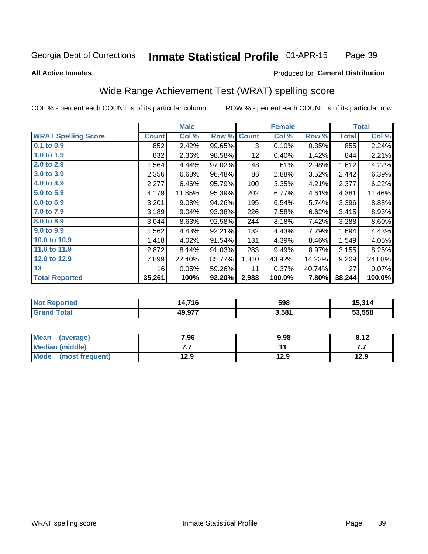#### Inmate Statistical Profile 01-APR-15 Page 39

### **All Active Inmates**

### Produced for General Distribution

## Wide Range Achievement Test (WRAT) spelling score

COL % - percent each COUNT is of its particular column

|                            |              | <b>Male</b> |        |              | <b>Female</b> |        |              | <b>Total</b> |
|----------------------------|--------------|-------------|--------|--------------|---------------|--------|--------------|--------------|
| <b>WRAT Spelling Score</b> | <b>Count</b> | Col %       | Row %  | <b>Count</b> | Col %         | Row %  | <b>Total</b> | Col %        |
| $0.1$ to $0.9$             | 852          | 2.42%       | 99.65% | 3            | 0.10%         | 0.35%  | 855          | 2.24%        |
| 1.0 to 1.9                 | 832          | 2.36%       | 98.58% | 12           | 0.40%         | 1.42%  | 844          | 2.21%        |
| 2.0 to 2.9                 | 1,564        | 4.44%       | 97.02% | 48           | 1.61%         | 2.98%  | 1,612        | 4.22%        |
| 3.0 to 3.9                 | 2,356        | 6.68%       | 96.48% | 86           | 2.88%         | 3.52%  | 2,442        | 6.39%        |
| 4.0 to 4.9                 | 2,277        | 6.46%       | 95.79% | 100          | 3.35%         | 4.21%  | 2,377        | 6.22%        |
| 5.0 to 5.9                 | 4,179        | 11.85%      | 95.39% | 202          | 6.77%         | 4.61%  | 4,381        | 11.46%       |
| 6.0 to 6.9                 | 3,201        | 9.08%       | 94.26% | 195          | 6.54%         | 5.74%  | 3,396        | 8.88%        |
| 7.0 to 7.9                 | 3,189        | 9.04%       | 93.38% | 226          | 7.58%         | 6.62%  | 3,415        | 8.93%        |
| 8.0 to 8.9                 | 3,044        | 8.63%       | 92.58% | 244          | 8.18%         | 7.42%  | 3,288        | 8.60%        |
| 9.0 to 9.9                 | 1,562        | 4.43%       | 92.21% | 132          | 4.43%         | 7.79%  | 1,694        | 4.43%        |
| 10.0 to 10.9               | 1,418        | 4.02%       | 91.54% | 131          | 4.39%         | 8.46%  | 1,549        | 4.05%        |
| 11.0 to 11.9               | 2,872        | 8.14%       | 91.03% | 283          | 9.49%         | 8.97%  | 3,155        | 8.25%        |
| 12.0 to 12.9               | 7,899        | 22.40%      | 85.77% | 1,310        | 43.92%        | 14.23% | 9,209        | 24.08%       |
| 13                         | 16           | 0.05%       | 59.26% | 11           | 0.37%         | 40.74% | 27           | 0.07%        |
| <b>Total Reported</b>      | 35,261       | 100%        | 92.20% | 2,983        | 100.0%        | 7.80%  | 38,244       | 100.0%       |

| prted | ,716   | 598   | 5.314  |
|-------|--------|-------|--------|
| NO.   | ıД     |       | . .    |
| Gr<   | 49 Q77 | 3,581 | 53.558 |

| <b>Mean</b><br>(average) | 7.96 | 9.98 | 8.12 |
|--------------------------|------|------|------|
| Median (middle)          | .    |      | .    |
| Mode (most frequent)     | 12.9 | 12.9 | 12.9 |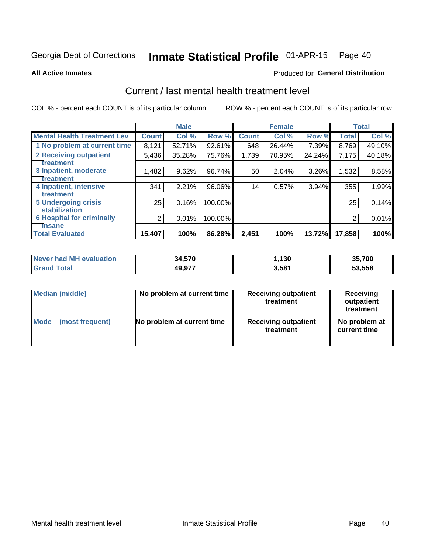#### Inmate Statistical Profile 01-APR-15 Page 40

**All Active Inmates** 

## **Produced for General Distribution**

# Current / last mental health treatment level

COL % - percent each COUNT is of its particular column

|                                    |                | <b>Male</b> |         |              | <b>Female</b> |          |              | <b>Total</b> |
|------------------------------------|----------------|-------------|---------|--------------|---------------|----------|--------------|--------------|
| <b>Mental Health Treatment Lev</b> | <b>Count</b>   | Col %       | Row %   | <b>Count</b> | Col %         | Row %    | <b>Total</b> | Col %        |
| 1 No problem at current time       | 8,121          | 52.71%      | 92.61%  | 648          | 26.44%        | 7.39%    | 8,769        | 49.10%       |
| 2 Receiving outpatient             | 5,436          | 35.28%      | 75.76%  | 1,739        | 70.95%        | 24.24%   | 7,175        | 40.18%       |
| <b>Treatment</b>                   |                |             |         |              |               |          |              |              |
| 3 Inpatient, moderate              | 1,482          | 9.62%       | 96.74%  | 50           | 2.04%         | 3.26%    | 1,532        | 8.58%        |
| <b>Treatment</b>                   |                |             |         |              |               |          |              |              |
| 4 Inpatient, intensive             | 341            | 2.21%       | 96.06%  | 14           | 0.57%         | $3.94\%$ | 355          | 1.99%        |
| Treatment                          |                |             |         |              |               |          |              |              |
| <b>5 Undergoing crisis</b>         | 25             | 0.16%       | 100.00% |              |               |          | 25           | 0.14%        |
| <b>stabilization</b>               |                |             |         |              |               |          |              |              |
| <b>6 Hospital for criminally</b>   | $\overline{2}$ | 0.01%       | 100.00% |              |               |          | 2            | 0.01%        |
| <b>Tinsane</b>                     |                |             |         |              |               |          |              |              |
| <b>Total Evaluated</b>             | 15,407         | 100%        | 86.28%  | 2,451        | 100%          | 13.72%   | 17,858       | 100%         |

| Never had MH evaluation | 34,570 | .130  | 35,700 |
|-------------------------|--------|-------|--------|
| <b>Grand Total</b>      | 49,977 | 3,581 | 53,558 |

| Median (middle) | No problem at current time | <b>Receiving outpatient</b><br>treatment | <b>Receiving</b><br>outpatient<br>treatment |  |  |
|-----------------|----------------------------|------------------------------------------|---------------------------------------------|--|--|
| <b>Mode</b>     | No problem at current time | <b>Receiving outpatient</b>              | No problem at                               |  |  |
| (most frequent) |                            | treatment                                | current time                                |  |  |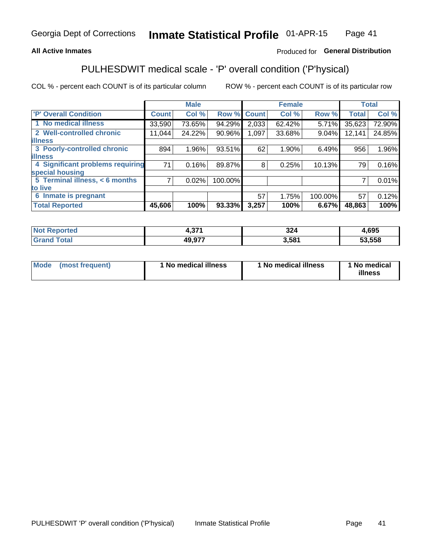## **All Active Inmates**

## Produced for General Distribution

# PULHESDWIT medical scale - 'P' overall condition ('P'hysical)

COL % - percent each COUNT is of its particular column

|                                  |              | <b>Male</b> |         |              | <b>Female</b> |         |              | <b>Total</b> |
|----------------------------------|--------------|-------------|---------|--------------|---------------|---------|--------------|--------------|
| 'P' Overall Condition            | <b>Count</b> | Col %       | Row %   | <b>Count</b> | Col %         | Row %   | <b>Total</b> | Col %        |
| 1 No medical illness             | 33,590       | 73.65%      | 94.29%  | 2,033        | 62.42%        | 5.71%   | 35,623       | 72.90%       |
| 2 Well-controlled chronic        | 11,044       | 24.22%      | 90.96%  | 1,097        | 33.68%        | 9.04%   | 12,141       | 24.85%       |
| <b>illness</b>                   |              |             |         |              |               |         |              |              |
| 3 Poorly-controlled chronic      | 894          | 1.96%       | 93.51%  | 62           | 1.90%         | 6.49%   | 956          | 1.96%        |
| <b>illness</b>                   |              |             |         |              |               |         |              |              |
| 4 Significant problems requiring | 71           | 0.16%       | 89.87%  | 8            | 0.25%         | 10.13%  | 79           | 0.16%        |
| special housing                  |              |             |         |              |               |         |              |              |
| 5 Terminal illness, < 6 months   | 7            | 0.02%       | 100.00% |              |               |         | 7            | 0.01%        |
| to live                          |              |             |         |              |               |         |              |              |
| 6 Inmate is pregnant             |              |             |         | 57           | 1.75%         | 100.00% | 57           | 0.12%        |
| <b>Total Reported</b>            | 45,606       | 100%        | 93.33%  | 3,257        | 100%          | 6.67%   | 48,863       | 100%         |

| тео | 274<br>. וטוי | <b>004</b><br>JZ- | ,695   |
|-----|---------------|-------------------|--------|
|     | 49 977        | .581              | 53.558 |

| Mode | (most frequent) | 1 No medical illness | 1 No medical illness | 1 No medical<br>illness |
|------|-----------------|----------------------|----------------------|-------------------------|
|------|-----------------|----------------------|----------------------|-------------------------|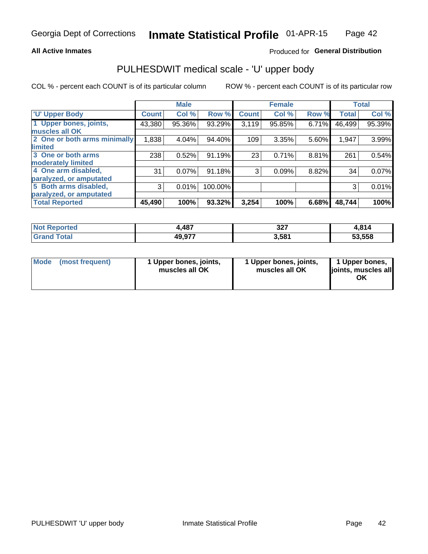### **All Active Inmates**

## Produced for General Distribution

# PULHESDWIT medical scale - 'U' upper body

COL % - percent each COUNT is of its particular column

|                              |              | <b>Male</b> |         |              | <b>Female</b> |       |              | <b>Total</b> |
|------------------------------|--------------|-------------|---------|--------------|---------------|-------|--------------|--------------|
| <b>U' Upper Body</b>         | <b>Count</b> | Col %       | Row %   | <b>Count</b> | Col %         | Row % | <b>Total</b> | Col %        |
| 1 Upper bones, joints,       | 43,380       | 95.36%      | 93.29%  | 3,119        | 95.85%        | 6.71% | 46,499       | 95.39%       |
| muscles all OK               |              |             |         |              |               |       |              |              |
| 2 One or both arms minimally | 1,838        | 4.04%       | 94.40%  | 109          | 3.35%         | 5.60% | 1,947        | 3.99%        |
| limited                      |              |             |         |              |               |       |              |              |
| 3 One or both arms           | 238          | 0.52%       | 91.19%  | 23           | 0.71%         | 8.81% | 261          | 0.54%        |
| <b>moderately limited</b>    |              |             |         |              |               |       |              |              |
| 4 One arm disabled,          | 31           | 0.07%       | 91.18%  | 3            | 0.09%         | 8.82% | 34           | 0.07%        |
| paralyzed, or amputated      |              |             |         |              |               |       |              |              |
| 5 Both arms disabled,        | 3            | 0.01%       | 100.00% |              |               |       | 3            | 0.01%        |
| paralyzed, or amputated      |              |             |         |              |               |       |              |              |
| <b>Total Reported</b>        | 45,490       | 100%        | 93.32%  | 3,254        | 100%          | 6.68% | 48,744       | 100%         |

| <b>Not Reported</b> | 1,487  | っっっ<br>اعد | 04 <sub>1</sub><br>ົ <u>ດ 14</u> |
|---------------------|--------|------------|----------------------------------|
| <b>Total</b>        | 49,977 | 3,581      | 53.558                           |

|  | Mode (most frequent) | 1 Upper bones, joints,<br>muscles all OK | 1 Upper bones, joints,<br>muscles all OK | 1 Upper bones,<br>ljoints, muscles all<br>ΟK |
|--|----------------------|------------------------------------------|------------------------------------------|----------------------------------------------|
|--|----------------------|------------------------------------------|------------------------------------------|----------------------------------------------|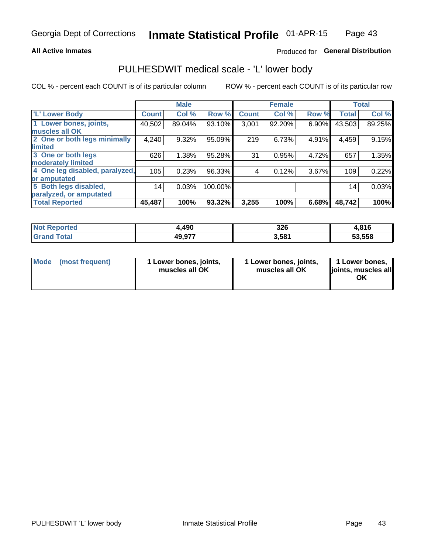### **All Active Inmates**

## Produced for General Distribution

## PULHESDWIT medical scale - 'L' lower body

COL % - percent each COUNT is of its particular column

|                                |              | <b>Male</b> |         |              | <b>Female</b> |       |              | <b>Total</b> |
|--------------------------------|--------------|-------------|---------|--------------|---------------|-------|--------------|--------------|
| 'L' Lower Body                 | <b>Count</b> | Col %       | Row %   | <b>Count</b> | Col %         | Row % | <b>Total</b> | Col %        |
| 1 Lower bones, joints,         | 40,502       | 89.04%      | 93.10%  | 3,001        | 92.20%        | 6.90% | 43,503       | 89.25%       |
| muscles all OK                 |              |             |         |              |               |       |              |              |
| 2 One or both legs minimally   | 4,240        | 9.32%       | 95.09%  | 219          | 6.73%         | 4.91% | 4,459        | 9.15%        |
| limited                        |              |             |         |              |               |       |              |              |
| 3 One or both legs             | 626          | 1.38%       | 95.28%  | 31           | 0.95%         | 4.72% | 657          | 1.35%        |
| moderately limited             |              |             |         |              |               |       |              |              |
| 4 One leg disabled, paralyzed, | 105          | 0.23%       | 96.33%  | 4            | 0.12%         | 3.67% | 109          | 0.22%        |
| or amputated                   |              |             |         |              |               |       |              |              |
| 5 Both legs disabled,          | 14           | 0.03%       | 100.00% |              |               |       | 14           | 0.03%        |
| paralyzed, or amputated        |              |             |         |              |               |       |              |              |
| <b>Total Reported</b>          | 45,487       | 100%        | 93.32%  | 3,255        | 100%          | 6.68% | 48,742       | 100%         |

| <b>Not Reported</b> | .490   | 326   | .816   |
|---------------------|--------|-------|--------|
| <b>Total</b>        | 49,977 | 3,581 | 53.558 |

| Mode (most frequent) | 1 Lower bones, joints,<br>muscles all OK | 1 Lower bones, joints,<br>muscles all OK | 1 Lower bones,<br>joints, muscles all<br>ΟK |
|----------------------|------------------------------------------|------------------------------------------|---------------------------------------------|
|----------------------|------------------------------------------|------------------------------------------|---------------------------------------------|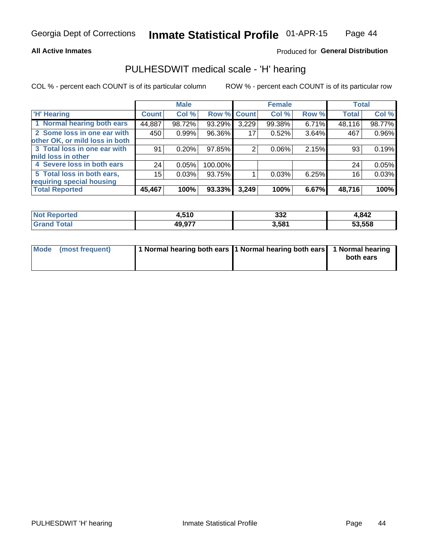### **All Active Inmates**

## Produced for General Distribution

## PULHESDWIT medical scale - 'H' hearing

COL % - percent each COUNT is of its particular column

|                                |              | <b>Male</b> |             |       | <b>Female</b> |       | <b>Total</b> |        |
|--------------------------------|--------------|-------------|-------------|-------|---------------|-------|--------------|--------|
| <b>'H' Hearing</b>             | <b>Count</b> | Col %       | Row % Count |       | Col %         | Row % | <b>Total</b> | Col %  |
| 1 Normal hearing both ears     | 44,887       | 98.72%      | 93.29%      | 3,229 | 99.38%        | 6.71% | 48,116       | 98.77% |
| 2 Some loss in one ear with    | 450          | 0.99%       | 96.36%      | 17    | 0.52%         | 3.64% | 467          | 0.96%  |
| other OK, or mild loss in both |              |             |             |       |               |       |              |        |
| 3 Total loss in one ear with   | 91           | 0.20%       | 97.85%      | 2     | 0.06%         | 2.15% | 93           | 0.19%  |
| mild loss in other             |              |             |             |       |               |       |              |        |
| 4 Severe loss in both ears     | 24           | 0.05%       | 100.00%     |       |               |       | 24           | 0.05%  |
| 5 Total loss in both ears,     | 15           | 0.03%       | 93.75%      |       | 0.03%         | 6.25% | 16           | 0.03%  |
| requiring special housing      |              |             |             |       |               |       |              |        |
| <b>Total Reported</b>          | 45,467       | 100%        | 93.33%      | 3,249 | 100%          | 6.67% | 48,716       | 100%   |

| 510<br>. .     | າາາ<br>ےدد | ,842   |
|----------------|------------|--------|
| 49 977<br>19.J | 3,581      | 53,558 |

| Mode (most frequent) | 1 Normal hearing both ears 11 Normal hearing both ears 1 Normal hearing | both ears |
|----------------------|-------------------------------------------------------------------------|-----------|
|                      |                                                                         |           |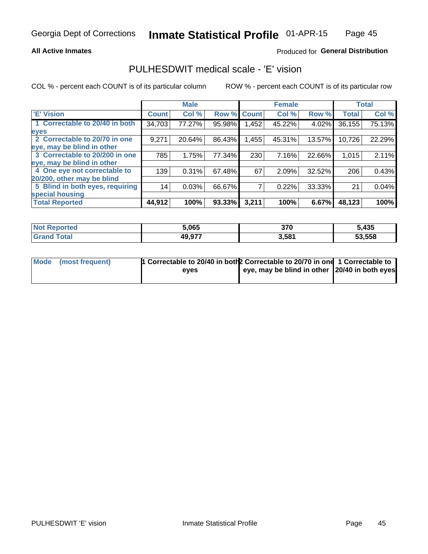### **All Active Inmates**

## Produced for General Distribution

## PULHESDWIT medical scale - 'E' vision

COL % - percent each COUNT is of its particular column

|                                 |              | <b>Male</b> |        |              | <b>Female</b> |        |              | <b>Total</b> |
|---------------------------------|--------------|-------------|--------|--------------|---------------|--------|--------------|--------------|
| <b>E' Vision</b>                | <b>Count</b> | Col %       | Row %  | <b>Count</b> | Col %         | Row %  | <b>Total</b> | Col %        |
| 1 Correctable to 20/40 in both  | 34,703       | 77.27%      | 95.98% | .452         | 45.22%        | 4.02%  | 36, 155      | 75.13%       |
| eyes                            |              |             |        |              |               |        |              |              |
| 2 Correctable to 20/70 in one   | 9,271        | 20.64%      | 86.43% | 1,455        | 45.31%        | 13.57% | 10,726       | 22.29%       |
| eye, may be blind in other      |              |             |        |              |               |        |              |              |
| 3 Correctable to 20/200 in one  | 785          | 1.75%       | 77.34% | 230          | 7.16%         | 22.66% | 1,015        | 2.11%        |
| eye, may be blind in other      |              |             |        |              |               |        |              |              |
| 4 One eye not correctable to    | 139          | 0.31%       | 67.48% | 67           | 2.09%         | 32.52% | 206          | 0.43%        |
| 20/200, other may be blind      |              |             |        |              |               |        |              |              |
| 5 Blind in both eyes, requiring | 14           | 0.03%       | 66.67% |              | 0.22%         | 33.33% | 21           | 0.04%        |
| special housing                 |              |             |        |              |               |        |              |              |
| <b>Total Reported</b>           | 44,912       | 100%        | 93.33% | 3,211        | 100%          | 6.67%  | 48,123       | 100%         |

| <b>Not Reported</b> | 5,065  | 27C<br>JI L | 5,435  |
|---------------------|--------|-------------|--------|
| Гоtа                | 49,977 | 3,581       | 53,558 |

| Mode (most frequent) | <sup>1</sup> Correctable to 20/40 in both 2 Correctable to 20/70 in one 1 Correctable to |                                               |  |
|----------------------|------------------------------------------------------------------------------------------|-----------------------------------------------|--|
|                      | eves                                                                                     | eye, may be blind in other 20/40 in both eyes |  |
|                      |                                                                                          |                                               |  |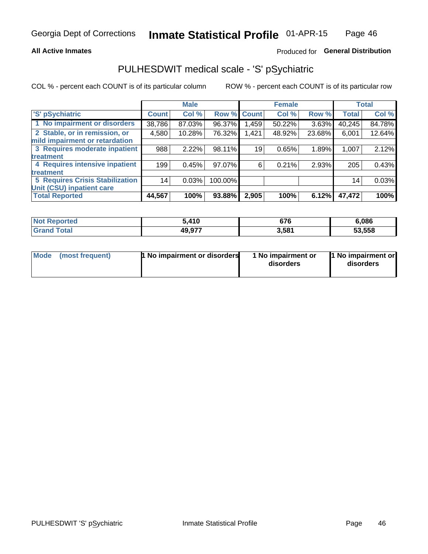### **All Active Inmates**

## Produced for General Distribution

# PULHESDWIT medical scale - 'S' pSychiatric

COL % - percent each COUNT is of its particular column

|                                        |              | <b>Male</b> |         |              | <b>Female</b> |        |              | <b>Total</b> |
|----------------------------------------|--------------|-------------|---------|--------------|---------------|--------|--------------|--------------|
| 'S' pSychiatric                        | <b>Count</b> | Col %       | Row %   | <b>Count</b> | Col %         | Row %  | <b>Total</b> | Col %        |
| 1 No impairment or disorders           | 38,786       | 87.03%      | 96.37%  | .459         | 50.22%        | 3.63%  | 40,245       | 84.78%       |
| 2 Stable, or in remission, or          | 4,580        | 10.28%      | 76.32%  | 1,421        | 48.92%        | 23.68% | 6,001        | 12.64%       |
| mild impairment or retardation         |              |             |         |              |               |        |              |              |
| 3 Requires moderate inpatient          | 988          | 2.22%       | 98.11%  | 19           | 0.65%         | 1.89%  | 1,007        | 2.12%        |
| <b>treatment</b>                       |              |             |         |              |               |        |              |              |
| 4 Requires intensive inpatient         | 199          | 0.45%       | 97.07%  | 6            | 0.21%         | 2.93%  | 205          | 0.43%        |
| treatment                              |              |             |         |              |               |        |              |              |
| <b>5 Requires Crisis Stabilization</b> | 14           | 0.03%       | 100.00% |              |               |        | 14           | 0.03%        |
| Unit (CSU) inpatient care              |              |             |         |              |               |        |              |              |
| <b>Total Reported</b>                  | 44,567       | 100%        | 93.88%  | 2,905        | 100%          | 6.12%  | 47,472       | 100%         |

| <b>Not Reported</b> | .410   | 676   | 6,086  |
|---------------------|--------|-------|--------|
| Total<br>Gran       | 49,977 | 3,581 | 53,558 |

| Mode            | <b>1 No impairment or disorders</b> | 1 No impairment or | 1 No impairment or |
|-----------------|-------------------------------------|--------------------|--------------------|
| (most frequent) |                                     | disorders          | disorders          |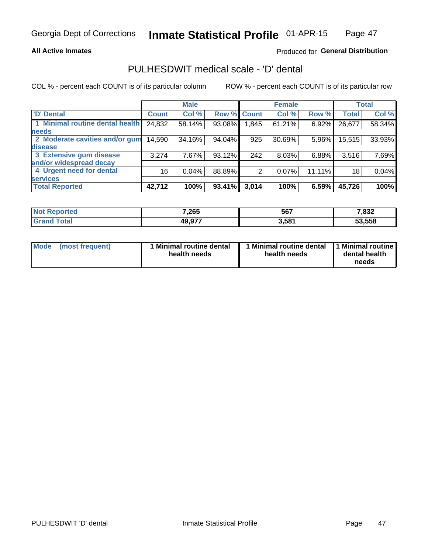### **All Active Inmates**

## Produced for General Distribution

# PULHESDWIT medical scale - 'D' dental

COL % - percent each COUNT is of its particular column

|                                 |                 | <b>Male</b> |        |             | <b>Female</b> |          |              | <b>Total</b> |
|---------------------------------|-----------------|-------------|--------|-------------|---------------|----------|--------------|--------------|
| <b>D'</b> Dental                | <b>Count</b>    | Col %       |        | Row % Count | Col %         | Row %    | <b>Total</b> | Col %        |
| 1 Minimal routine dental health | 24,832          | 58.14%      | 93.08% | 1,845       | 61.21%        | $6.92\%$ | 26,677       | 58.34%       |
| <b>needs</b>                    |                 |             |        |             |               |          |              |              |
| 2 Moderate cavities and/or gum  | 14,590          | 34.16%      | 94.04% | 925         | 30.69%        | $5.96\%$ | 15,515       | 33.93%       |
| disease                         |                 |             |        |             |               |          |              |              |
| 3 Extensive gum disease         | 3,274           | 7.67%       | 93.12% | 242         | 8.03%         | 6.88%    | 3,516        | 7.69%        |
| and/or widespread decay         |                 |             |        |             |               |          |              |              |
| 4 Urgent need for dental        | 16 <sub>1</sub> | 0.04%       | 88.89% | 2           | 0.07%         | 11.11%   | 18           | 0.04%        |
| <b>services</b>                 |                 |             |        |             |               |          |              |              |
| <b>Total Reported</b>           | 42,712          | 100%        | 93.41% | 3,014       | 100%          | 6.59%    | 45,726       | 100%         |

| ola (eto<br>N | 7,265        | 567   | 7,832  |
|---------------|--------------|-------|--------|
| ota           | 077<br>49.97 | 3,581 | 53.558 |

| <b>Mode</b> | (most frequent) | Minimal routine dental<br>health needs | 1 Minimal routine dental 1 Minimal routine<br>health needs | dental health<br>needs |
|-------------|-----------------|----------------------------------------|------------------------------------------------------------|------------------------|
|-------------|-----------------|----------------------------------------|------------------------------------------------------------|------------------------|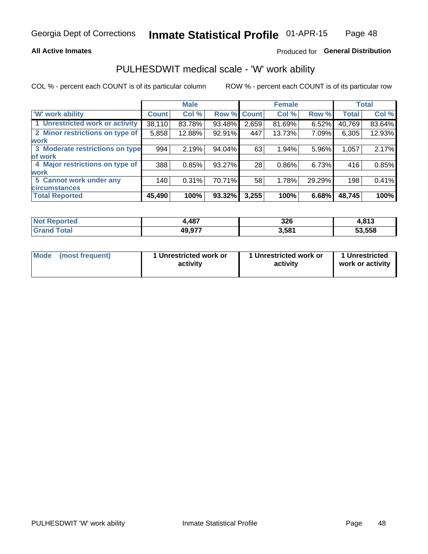### **All Active Inmates**

## Produced for General Distribution

## PULHESDWIT medical scale - 'W' work ability

COL % - percent each COUNT is of its particular column

|                                 |              | <b>Male</b> |        |              | <b>Female</b> |        |              | <b>Total</b> |
|---------------------------------|--------------|-------------|--------|--------------|---------------|--------|--------------|--------------|
| <b>W' work ability</b>          | <b>Count</b> | Col %       | Row %  | <b>Count</b> | Col %         | Row %  | <b>Total</b> | Col %        |
| 1 Unrestricted work or activity | 38,110       | 83.78%      | 93.48% | 2,659        | 81.69%        | 6.52%  | 40,769       | 83.64%       |
| 2 Minor restrictions on type of | 5,858        | 12.88%      | 92.91% | 447          | 13.73%        | 7.09%  | 6,305        | 12.93%       |
| <b>work</b>                     |              |             |        |              |               |        |              |              |
| 3 Moderate restrictions on type | 994          | 2.19%       | 94.04% | 63           | 1.94%         | 5.96%  | 1,057        | 2.17%        |
| lof work                        |              |             |        |              |               |        |              |              |
| 4 Major restrictions on type of | 388          | 0.85%       | 93.27% | 28           | 0.86%         | 6.73%  | 416          | 0.85%        |
| <b>work</b>                     |              |             |        |              |               |        |              |              |
| 5 Cannot work under any         | 140          | 0.31%       | 70.71% | 58           | 1.78%         | 29.29% | 198          | 0.41%        |
| <b>circumstances</b>            |              |             |        |              |               |        |              |              |
| <b>Total Reported</b>           | 45,490       | 100%        | 93.32% | 3,255        | 100%          | 6.68%  | 48,745       | 100%         |

| <b>Emorted</b><br>Nt | 487,   | 22c<br>ა∠ხ<br>$\sim$ | 042<br>10 |
|----------------------|--------|----------------------|-----------|
| <b>Total</b>         | 49,977 | 3,581                | 53,558    |

| Mode            | 1 Unrestricted work or | 1 Unrestricted work or | 1 Unrestricted   |
|-----------------|------------------------|------------------------|------------------|
| (most frequent) | activity               | activity               | work or activity |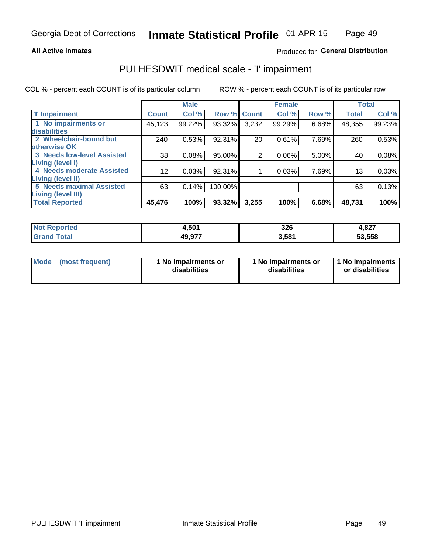### **All Active Inmates**

## Produced for General Distribution

# PULHESDWIT medical scale - 'I' impairment

COL % - percent each COUNT is of its particular column

|                                                              |              | <b>Male</b> |         |             | <b>Female</b> |       |              | <b>Total</b> |
|--------------------------------------------------------------|--------------|-------------|---------|-------------|---------------|-------|--------------|--------------|
| <b>T' Impairment</b>                                         | <b>Count</b> | Col %       |         | Row % Count | Col %         | Row % | <b>Total</b> | Col %        |
| 1 No impairments or<br>disabilities                          | 45,123       | 99.22%      | 93.32%  | 3,232       | 99.29%        | 6.68% | 48,355       | 99.23%       |
| 2 Wheelchair-bound but<br>otherwise OK                       | 240          | 0.53%       | 92.31%  | 20          | 0.61%         | 7.69% | 260          | 0.53%        |
| <b>3 Needs low-level Assisted</b><br>Living (level I)        | 38           | 0.08%       | 95.00%  | 2           | 0.06%         | 5.00% | 40           | 0.08%        |
| 4 Needs moderate Assisted<br>Living (level II)               | 12           | 0.03%       | 92.31%  |             | 0.03%         | 7.69% | 13           | 0.03%        |
| <b>5 Needs maximal Assisted</b><br><b>Living (level III)</b> | 63           | 0.14%       | 100.00% |             |               |       | 63           | 0.13%        |
| <b>Total Reported</b>                                        | 45,476       | 100%        | 93.32%  | 3,255       | 100%          | 6.68% | 48,731       | 100%         |

| <b>Not</b><br>Reported | 4.501  | 326   | 4,827  |
|------------------------|--------|-------|--------|
| Total                  | 49,977 | 3,581 | 53,558 |

| Mode | (most frequent) | 1 No impairments or<br>disabilities | 1 No impairments or<br>disabilities | 1 No impairments<br>or disabilities |
|------|-----------------|-------------------------------------|-------------------------------------|-------------------------------------|
|------|-----------------|-------------------------------------|-------------------------------------|-------------------------------------|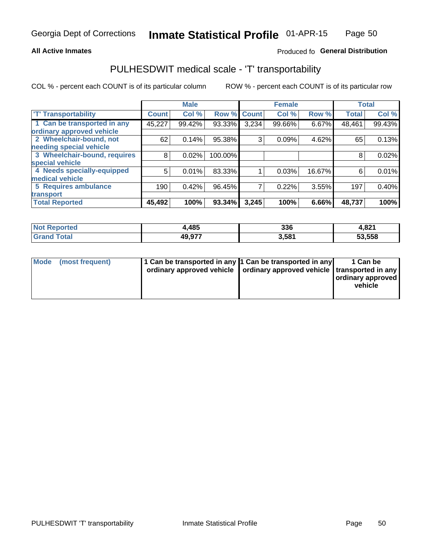### **All Active Inmates**

## Produced fo General Distribution

# PULHESDWIT medical scale - 'T' transportability

COL % - percent each COUNT is of its particular column

|                              |              | <b>Male</b> |         |                | <b>Female</b> |        | <b>Total</b> |        |
|------------------------------|--------------|-------------|---------|----------------|---------------|--------|--------------|--------|
| <b>T' Transportability</b>   | <b>Count</b> | Col %       | Row %   | <b>Count</b>   | Col %         | Row %  | <b>Total</b> | Col %  |
| 1 Can be transported in any  | 45,227       | 99.42%      | 93.33%  | 3,234          | 99.66%        | 6.67%  | 48,461       | 99.43% |
| ordinary approved vehicle    |              |             |         |                |               |        |              |        |
| 2 Wheelchair-bound, not      | 62           | 0.14%       | 95.38%  | 3              | 0.09%         | 4.62%  | 65           | 0.13%  |
| needing special vehicle      |              |             |         |                |               |        |              |        |
| 3 Wheelchair-bound, requires | 8            | 0.02%       | 100.00% |                |               |        | 8            | 0.02%  |
| special vehicle              |              |             |         |                |               |        |              |        |
| 4 Needs specially-equipped   | 5            | 0.01%       | 83.33%  |                | 0.03%         | 16.67% | 6            | 0.01%  |
| medical vehicle              |              |             |         |                |               |        |              |        |
| <b>5 Requires ambulance</b>  | 190          | 0.42%       | 96.45%  | $\overline{7}$ | 0.22%         | 3.55%  | 197          | 0.40%  |
| transport                    |              |             |         |                |               |        |              |        |
| <b>Total Reported</b>        | 45,492       | 100%        | 93.34%  | 3,245          | 100%          | 6.66%  | 48,737       | 100%   |

| orted | ,485   | 336  | 4,821  |
|-------|--------|------|--------|
|       | 10 Q77 | 581ء | 53,558 |

|  | Mode (most frequent) | 1 Can be transported in any 1 Can be transported in any<br>ordinary approved vehicle   ordinary approved vehicle   transported in any |  | 1 Can be<br>  ordinary approved  <br>vehicle |
|--|----------------------|---------------------------------------------------------------------------------------------------------------------------------------|--|----------------------------------------------|
|--|----------------------|---------------------------------------------------------------------------------------------------------------------------------------|--|----------------------------------------------|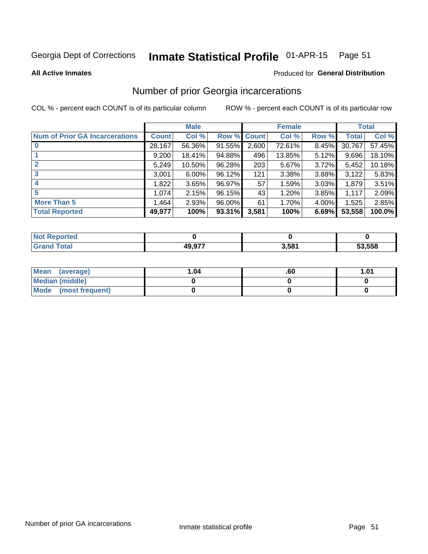#### Inmate Statistical Profile 01-APR-15 Page 51

**All Active Inmates** 

### Produced for General Distribution

## Number of prior Georgia incarcerations

COL % - percent each COUNT is of its particular column

|                                       |              | <b>Male</b> |             |       | <b>Female</b> |       |        | <b>Total</b> |
|---------------------------------------|--------------|-------------|-------------|-------|---------------|-------|--------|--------------|
| <b>Num of Prior GA Incarcerations</b> | <b>Count</b> | Col %       | Row % Count |       | Col %         | Row % | Total  | Col %        |
|                                       | 28,167       | 56.36%      | 91.55%      | 2,600 | 72.61%        | 8.45% | 30,767 | 57.45%       |
|                                       | 9,200        | 18.41%      | 94.88%      | 496   | 13.85%        | 5.12% | 9,696  | 18.10%       |
| $\overline{2}$                        | 5,249        | 10.50%      | 96.28%      | 203   | 5.67%         | 3.72% | 5,452  | 10.18%       |
| 3                                     | 3,001        | $6.00\%$    | $96.12\%$   | 121   | 3.38%         | 3.88% | 3,122  | 5.83%        |
| $\boldsymbol{4}$                      | 1,822        | 3.65%       | 96.97%      | 57    | 1.59%         | 3.03% | 1,879  | 3.51%        |
| 5                                     | 1,074        | 2.15%       | 96.15%      | 43    | 1.20%         | 3.85% | 1,117  | 2.09%        |
| <b>More Than 5</b>                    | 1,464        | 2.93%       | $96.00\%$   | 61    | 1.70%         | 4.00% | 1,525  | 2.85%        |
| <b>Total Reported</b>                 | 49,977       | 100%        | 93.31%      | 3,581 | 100%          | 6.69% | 53,558 | 100.0%       |

| المنتسبة المتناز<br>orteu.<br>N |        |       |        |
|---------------------------------|--------|-------|--------|
|                                 | 10 A77 | 3.581 | 53,558 |

| Mean (average)       | l.04 | .60 | 1.01 |
|----------------------|------|-----|------|
| Median (middle)      |      |     |      |
| Mode (most frequent) |      |     |      |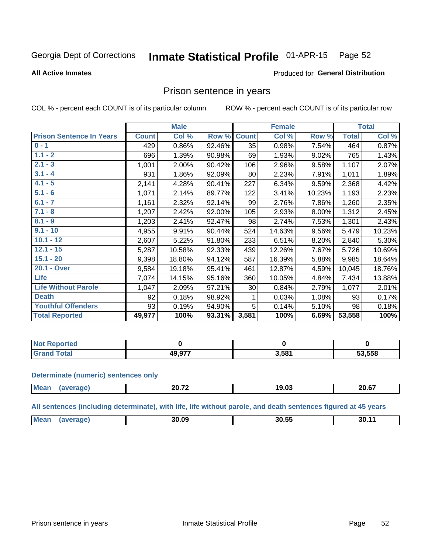#### Inmate Statistical Profile 01-APR-15 Page 52

### **All Active Inmates**

## **Produced for General Distribution**

## Prison sentence in years

COL % - percent each COUNT is of its particular column

ROW % - percent each COUNT is of its particular row

|                                 |              | <b>Male</b> |        |              | <b>Female</b> |        |              | <b>Total</b> |
|---------------------------------|--------------|-------------|--------|--------------|---------------|--------|--------------|--------------|
| <b>Prison Sentence In Years</b> | <b>Count</b> | Col %       | Row %  | <b>Count</b> | Col %         | Row %  | <b>Total</b> | Col %        |
| $0 - 1$                         | 429          | 0.86%       | 92.46% | 35           | 0.98%         | 7.54%  | 464          | 0.87%        |
| $1.1 - 2$                       | 696          | 1.39%       | 90.98% | 69           | 1.93%         | 9.02%  | 765          | 1.43%        |
| $2.1 - 3$                       | 1,001        | 2.00%       | 90.42% | 106          | 2.96%         | 9.58%  | 1,107        | 2.07%        |
| $3.1 - 4$                       | 931          | 1.86%       | 92.09% | 80           | 2.23%         | 7.91%  | 1,011        | 1.89%        |
| $4.1 - 5$                       | 2,141        | 4.28%       | 90.41% | 227          | 6.34%         | 9.59%  | 2,368        | 4.42%        |
| $5.1 - 6$                       | 1,071        | 2.14%       | 89.77% | 122          | 3.41%         | 10.23% | 1,193        | 2.23%        |
| $6.1 - 7$                       | 1,161        | 2.32%       | 92.14% | 99           | 2.76%         | 7.86%  | 1,260        | 2.35%        |
| $7.1 - 8$                       | 1,207        | 2.42%       | 92.00% | 105          | 2.93%         | 8.00%  | 1,312        | 2.45%        |
| $8.1 - 9$                       | 1,203        | 2.41%       | 92.47% | 98           | 2.74%         | 7.53%  | 1,301        | 2.43%        |
| $9.1 - 10$                      | 4,955        | 9.91%       | 90.44% | 524          | 14.63%        | 9.56%  | 5,479        | 10.23%       |
| $10.1 - 12$                     | 2,607        | 5.22%       | 91.80% | 233          | 6.51%         | 8.20%  | 2,840        | 5.30%        |
| $12.1 - 15$                     | 5,287        | 10.58%      | 92.33% | 439          | 12.26%        | 7.67%  | 5,726        | 10.69%       |
| $15.1 - 20$                     | 9,398        | 18.80%      | 94.12% | 587          | 16.39%        | 5.88%  | 9,985        | 18.64%       |
| 20.1 - Over                     | 9,584        | 19.18%      | 95.41% | 461          | 12.87%        | 4.59%  | 10,045       | 18.76%       |
| <b>Life</b>                     | 7,074        | 14.15%      | 95.16% | 360          | 10.05%        | 4.84%  | 7,434        | 13.88%       |
| <b>Life Without Parole</b>      | 1,047        | 2.09%       | 97.21% | 30           | 0.84%         | 2.79%  | 1,077        | 2.01%        |
| <b>Death</b>                    | 92           | 0.18%       | 98.92% |              | 0.03%         | 1.08%  | 93           | 0.17%        |
| <b>Youthful Offenders</b>       | 93           | 0.19%       | 94.90% | 5            | 0.14%         | 5.10%  | 98           | 0.18%        |
| <b>Total Reported</b>           | 49,977       | 100%        | 93.31% | 3,581        | 100%          | 6.69%  | 53,558       | 100%         |

| oorted<br><b>NOT</b> |        |       |        |
|----------------------|--------|-------|--------|
| $\sim$               | ,,,,,, | 3,581 | 53,558 |

### **Determinate (numeric) sentences only**

| <b>Mean</b> | $\sim$ $\sim$ | 19.U. | <b>00.07</b><br>∠V.O <i>I</i> |
|-------------|---------------|-------|-------------------------------|
|             |               |       |                               |

All sentences (including determinate), with life, life without parole, and death sentences figured at 45 years

| <b>Me</b> | 30.09 | 30.55 | . .<br>- 3U. |
|-----------|-------|-------|--------------|
|           |       |       |              |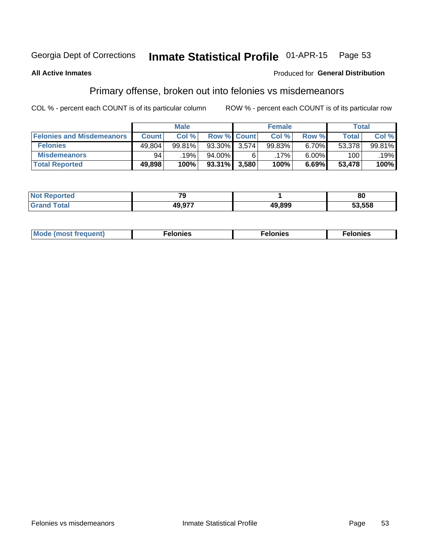#### Inmate Statistical Profile 01-APR-15 Page 53

### **All Active Inmates**

### Produced for General Distribution

## Primary offense, broken out into felonies vs misdemeanors

COL % - percent each COUNT is of its particular column

|                                  | <b>Male</b>  |        |           |                    | <b>Female</b> | Total |        |        |
|----------------------------------|--------------|--------|-----------|--------------------|---------------|-------|--------|--------|
| <b>Felonies and Misdemeanors</b> | <b>Count</b> | Col %  |           | <b>Row % Count</b> | Col %         | Row % | Total  | Col %  |
| <b>Felonies</b>                  | 49,804       | 99.81% | 93.30%    | 3.574              | 99.83%        | 6.70% | 53,378 | 99.81% |
| <b>Misdemeanors</b>              | 94           | 19%    | 94.00%    | 6                  | $.17\%$       | 6.00% | 100    | .19%   |
| <b>Total Reported</b>            | 49,898       | 100%   | $93.31\%$ | 3,580              | 100%          | 6.69% | 53,478 | 100%   |

| <b>Not</b><br>Reported | $\mathbf{z}$ |        | 80     |
|------------------------|--------------|--------|--------|
| Gran<br>⊺otaı          | 10 Q77       | 49.899 | 53.558 |

| M      | .    | nes | onies |
|--------|------|-----|-------|
| nuenti | ____ | .   | .     |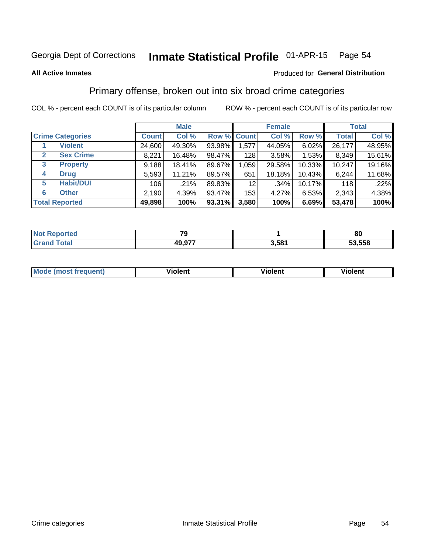#### Inmate Statistical Profile 01-APR-15 Page 54

### **All Active Inmates**

## **Produced for General Distribution**

## Primary offense, broken out into six broad crime categories

COL % - percent each COUNT is of its particular column

|                                 | <b>Male</b>  |        |        | <b>Female</b>      |        |        | <b>Total</b> |        |
|---------------------------------|--------------|--------|--------|--------------------|--------|--------|--------------|--------|
| <b>Crime Categories</b>         | <b>Count</b> | Col %  |        | <b>Row % Count</b> | Col %  | Row %  | <b>Total</b> | Col %  |
| <b>Violent</b>                  | 24,600       | 49.30% | 93.98% | 1,577              | 44.05% | 6.02%  | 26,177       | 48.95% |
| <b>Sex Crime</b><br>2           | 8,221        | 16.48% | 98.47% | 128                | 3.58%  | 1.53%  | 8,349        | 15.61% |
| $\mathbf{3}$<br><b>Property</b> | 9,188        | 18.41% | 89.67% | 1,059              | 29.58% | 10.33% | 10,247       | 19.16% |
| <b>Drug</b><br>4                | 5,593        | 11.21% | 89.57% | 651                | 18.18% | 10.43% | 6,244        | 11.68% |
| <b>Habit/DUI</b><br>5           | 106          | .21%   | 89.83% | 12 <sub>2</sub>    | .34%   | 10.17% | 118          | .22%   |
| <b>Other</b><br>6               | 2,190        | 4.39%  | 93.47% | 153                | 4.27%  | 6.53%  | 2,343        | 4.38%  |
| <b>Total Reported</b>           | 49,898       | 100%   | 93.31% | 3,580              | 100%   | 6.69%  | 53,478       | 100%   |

| τec<br>NO |              |       | 80     |
|-----------|--------------|-------|--------|
|           | 077<br>49.9. | 5.581 | 53,558 |

| Mo<br>uent)<br>nos | .<br>/iolent | <br>Violent | - --<br><b>Tiolent</b> |
|--------------------|--------------|-------------|------------------------|
|                    |              |             |                        |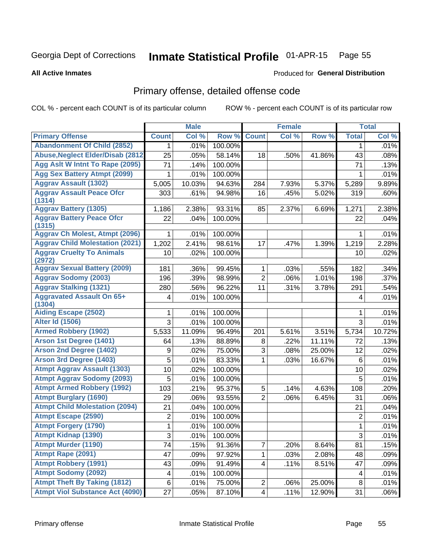# Inmate Statistical Profile 01-APR-15 Page 55

### **All Active Inmates**

### Produced for General Distribution

# Primary offense, detailed offense code

COL % - percent each COUNT is of its particular column

|                                            |                 | <b>Male</b> |         |                         | <b>Female</b> |        |                | <b>Total</b> |
|--------------------------------------------|-----------------|-------------|---------|-------------------------|---------------|--------|----------------|--------------|
| <b>Primary Offense</b>                     | <b>Count</b>    | Col %       | Row %   | <b>Count</b>            | Col %         | Row %  | <b>Total</b>   | Col %        |
| <b>Abandonment Of Child (2852)</b>         | $\mathbf 1$     | .01%        | 100.00% |                         |               |        | 1              | .01%         |
| <b>Abuse, Neglect Elder/Disab (2812)</b>   | 25              | .05%        | 58.14%  | 18                      | .50%          | 41.86% | 43             | .08%         |
| Agg Aslt W Intnt To Rape (2095)            | $\overline{71}$ | .14%        | 100.00% |                         |               |        | 71             | .13%         |
| <b>Agg Sex Battery Atmpt (2099)</b>        | 1               | .01%        | 100.00% |                         |               |        | 1              | .01%         |
| <b>Aggrav Assault (1302)</b>               | 5,005           | 10.03%      | 94.63%  | 284                     | 7.93%         | 5.37%  | 5,289          | 9.89%        |
| <b>Aggrav Assault Peace Ofcr</b><br>(1314) | 303             | .61%        | 94.98%  | 16                      | .45%          | 5.02%  | 319            | .60%         |
| <b>Aggrav Battery (1305)</b>               | 1,186           | 2.38%       | 93.31%  | 85                      | 2.37%         | 6.69%  | 1,271          | 2.38%        |
| <b>Aggrav Battery Peace Ofcr</b><br>(1315) | 22              | .04%        | 100.00% |                         |               |        | 22             | .04%         |
| <b>Aggrav Ch Molest, Atmpt (2096)</b>      |                 | .01%        | 100.00% |                         |               |        | 1              | .01%         |
| <b>Aggrav Child Molestation (2021)</b>     | 1,202           | 2.41%       | 98.61%  | 17                      | .47%          | 1.39%  | 1,219          | 2.28%        |
| <b>Aggrav Cruelty To Animals</b><br>(2972) | 10              | .02%        | 100.00% |                         |               |        | 10             | .02%         |
| <b>Aggrav Sexual Battery (2009)</b>        | 181             | .36%        | 99.45%  | 1                       | .03%          | .55%   | 182            | .34%         |
| <b>Aggrav Sodomy (2003)</b>                | 196             | .39%        | 98.99%  | $\overline{2}$          | .06%          | 1.01%  | 198            | .37%         |
| <b>Aggrav Stalking (1321)</b>              | 280             | .56%        | 96.22%  | 11                      | .31%          | 3.78%  | 291            | .54%         |
| <b>Aggravated Assault On 65+</b><br>(1304) | 4               | .01%        | 100.00% |                         |               |        | 4              | .01%         |
| <b>Aiding Escape (2502)</b>                | 1               | .01%        | 100.00% |                         |               |        | 1              | .01%         |
| <b>Alter Id (1506)</b>                     | 3               | .01%        | 100.00% |                         |               |        | $\overline{3}$ | .01%         |
| <b>Armed Robbery (1902)</b>                | 5,533           | 11.09%      | 96.49%  | 201                     | 5.61%         | 3.51%  | 5,734          | 10.72%       |
| Arson 1st Degree (1401)                    | 64              | .13%        | 88.89%  | 8                       | .22%          | 11.11% | 72             | .13%         |
| <b>Arson 2nd Degree (1402)</b>             | 9               | .02%        | 75.00%  | $\overline{3}$          | .08%          | 25.00% | 12             | .02%         |
| <b>Arson 3rd Degree (1403)</b>             | 5               | .01%        | 83.33%  | 1                       | .03%          | 16.67% | 6              | .01%         |
| <b>Atmpt Aggrav Assault (1303)</b>         | 10              | .02%        | 100.00% |                         |               |        | 10             | .02%         |
| <b>Atmpt Aggrav Sodomy (2093)</b>          | 5               | .01%        | 100.00% |                         |               |        | 5              | .01%         |
| <b>Atmpt Armed Robbery (1992)</b>          | 103             | .21%        | 95.37%  | 5                       | .14%          | 4.63%  | 108            | .20%         |
| <b>Atmpt Burglary (1690)</b>               | 29              | .06%        | 93.55%  | $\overline{2}$          | .06%          | 6.45%  | 31             | .06%         |
| <b>Atmpt Child Molestation (2094)</b>      | 21              | .04%        | 100.00% |                         |               |        | 21             | .04%         |
| <b>Atmpt Escape (2590)</b>                 | $\overline{2}$  | .01%        | 100.00% |                         |               |        | $\sqrt{2}$     | .01%         |
| <b>Atmpt Forgery (1790)</b>                | 1               | .01%        | 100.00% |                         |               |        | 1              | .01%         |
| <b>Atmpt Kidnap (1390)</b>                 | 3               | .01%        | 100.00% |                         |               |        | $\overline{3}$ | .01%         |
| <b>Atmpt Murder (1190)</b>                 | 74              | .15%        | 91.36%  | $\overline{7}$          | .20%          | 8.64%  | 81             | .15%         |
| Atmpt Rape (2091)                          | 47              | .09%        | 97.92%  | 1                       | .03%          | 2.08%  | 48             | .09%         |
| <b>Atmpt Robbery (1991)</b>                | 43              | .09%        | 91.49%  | $\overline{\mathbf{4}}$ | .11%          | 8.51%  | 47             | .09%         |
| <b>Atmpt Sodomy (2092)</b>                 | 4               | .01%        | 100.00% |                         |               |        | 4              | .01%         |
| <b>Atmpt Theft By Taking (1812)</b>        | $\,6\,$         | .01%        | 75.00%  | $\overline{c}$          | .06%          | 25.00% | 8              | .01%         |
| <b>Atmpt Viol Substance Act (4090)</b>     | 27              | .05%        | 87.10%  | $\overline{\mathbf{4}}$ | .11%          | 12.90% | 31             | $.06\%$      |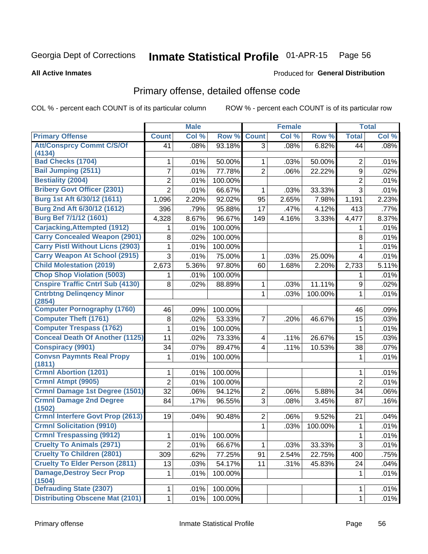#### Inmate Statistical Profile 01-APR-15 Page 56

**All Active Inmates** 

### Produced for General Distribution

# Primary offense, detailed offense code

COL % - percent each COUNT is of its particular column

|                                            |                | <b>Male</b> |         |                | <b>Female</b> |         |                | <b>Total</b> |
|--------------------------------------------|----------------|-------------|---------|----------------|---------------|---------|----------------|--------------|
| <b>Primary Offense</b>                     | <b>Count</b>   | Col %       | Row %   | <b>Count</b>   | Col %         | Row %   | <b>Total</b>   | Col %        |
| <b>Att/Consprcy Commt C/S/Of</b>           | 41             | .08%        | 93.18%  | $\overline{3}$ | .08%          | 6.82%   | 44             | .08%         |
| (4134)                                     |                |             |         |                |               |         |                |              |
| <b>Bad Checks (1704)</b>                   | 1              | .01%        | 50.00%  | 1              | .03%          | 50.00%  | 2              | .01%         |
| <b>Bail Jumping (2511)</b>                 | $\overline{7}$ | .01%        | 77.78%  | $\overline{2}$ | .06%          | 22.22%  | $9\,$          | .02%         |
| <b>Bestiality (2004)</b>                   | $\overline{2}$ | .01%        | 100.00% |                |               |         | $\overline{2}$ | .01%         |
| <b>Bribery Govt Officer (2301)</b>         | $\overline{2}$ | .01%        | 66.67%  | 1              | .03%          | 33.33%  | 3              | .01%         |
| Burg 1st Aft 6/30/12 (1611)                | 1,096          | 2.20%       | 92.02%  | 95             | 2.65%         | 7.98%   | 1,191          | 2.23%        |
| Burg 2nd Aft 6/30/12 (1612)                | 396            | .79%        | 95.88%  | 17             | .47%          | 4.12%   | 413            | .77%         |
| Burg Bef 7/1/12 (1601)                     | 4,328          | 8.67%       | 96.67%  | 149            | 4.16%         | 3.33%   | 4,477          | 8.37%        |
| <b>Carjacking, Attempted (1912)</b>        |                | .01%        | 100.00% |                |               |         | 1              | .01%         |
| <b>Carry Concealed Weapon (2901)</b>       | 8              | .02%        | 100.00% |                |               |         | 8              | .01%         |
| <b>Carry Pistl Without Licns (2903)</b>    | 1              | .01%        | 100.00% |                |               |         | 1              | .01%         |
| <b>Carry Weapon At School (2915)</b>       | 3              | .01%        | 75.00%  | 1              | .03%          | 25.00%  | 4              | .01%         |
| <b>Child Molestation (2019)</b>            | 2,673          | 5.36%       | 97.80%  | 60             | 1.68%         | 2.20%   | 2,733          | 5.11%        |
| <b>Chop Shop Violation (5003)</b>          | 1              | .01%        | 100.00% |                |               |         | 1              | .01%         |
| <b>Cnspire Traffic Cntrl Sub (4130)</b>    | 8              | .02%        | 88.89%  | $\mathbf 1$    | .03%          | 11.11%  | 9              | .02%         |
| <b>Cntrbtng Delingency Minor</b>           |                |             |         | 1              | .03%          | 100.00% | $\mathbf{1}$   | .01%         |
| (2854)                                     |                |             |         |                |               |         |                |              |
| <b>Computer Pornography (1760)</b>         | 46             | .09%        | 100.00% |                |               |         | 46             | .09%         |
| <b>Computer Theft (1761)</b>               | 8              | .02%        | 53.33%  | $\overline{7}$ | .20%          | 46.67%  | 15             | .03%         |
| <b>Computer Trespass (1762)</b>            | 1              | .01%        | 100.00% |                |               |         | 1              | .01%         |
| <b>Conceal Death Of Another (1125)</b>     | 11             | .02%        | 73.33%  | 4              | .11%          | 26.67%  | 15             | .03%         |
| <b>Conspiracy (9901)</b>                   | 34             | .07%        | 89.47%  | $\overline{4}$ | .11%          | 10.53%  | 38             | .07%         |
| <b>Convsn Paymnts Real Propy</b><br>(1811) | 1              | .01%        | 100.00% |                |               |         | 1              | .01%         |
| <b>Crmnl Abortion (1201)</b>               | 1              | .01%        | 100.00% |                |               |         | 1              | .01%         |
| Crmnl Atmpt (9905)                         | $\overline{2}$ | .01%        | 100.00% |                |               |         | $\overline{2}$ | .01%         |
| <b>Crmnl Damage 1st Degree (1501)</b>      | 32             | .06%        | 94.12%  | $\overline{2}$ | .06%          | 5.88%   | 34             | .06%         |
| <b>Crmnl Damage 2nd Degree</b>             | 84             | .17%        | 96.55%  | 3              | .08%          | 3.45%   | 87             | .16%         |
| (1502)                                     |                |             |         |                |               |         |                |              |
| <b>Crmnl Interfere Govt Prop (2613)</b>    | 19             | .04%        | 90.48%  | $\overline{2}$ | .06%          | 9.52%   | 21             | .04%         |
| <b>Crmnl Solicitation (9910)</b>           |                |             |         | 1              | .03%          | 100.00% | 1              | .01%         |
| <b>Crmnl Trespassing (9912)</b>            | $\mathbf{1}$   | .01%        | 100.00% |                |               |         | $\mathbf 1$    | .01%         |
| <b>Cruelty To Animals (2971)</b>           | $\overline{2}$ | .01%        | 66.67%  | 1              | .03%          | 33.33%  | $\mathbf{3}$   | .01%         |
| <b>Cruelty To Children (2801)</b>          | 309            | .62%        | 77.25%  | 91             | 2.54%         | 22.75%  | 400            | .75%         |
| <b>Cruelty To Elder Person (2811)</b>      | 13             | .03%        | 54.17%  | 11             | .31%          | 45.83%  | 24             | .04%         |
| <b>Damage, Destroy Secr Prop</b>           | 1              | .01%        | 100.00% |                |               |         | 1              | .01%         |
| (1504)                                     |                |             |         |                |               |         |                |              |
| <b>Defrauding State (2307)</b>             | 1              | .01%        | 100.00% |                |               |         | 1              | .01%         |
| <b>Distributing Obscene Mat (2101)</b>     | $\mathbf{1}$   | .01%        | 100.00% |                |               |         | $\mathbf 1$    | .01%         |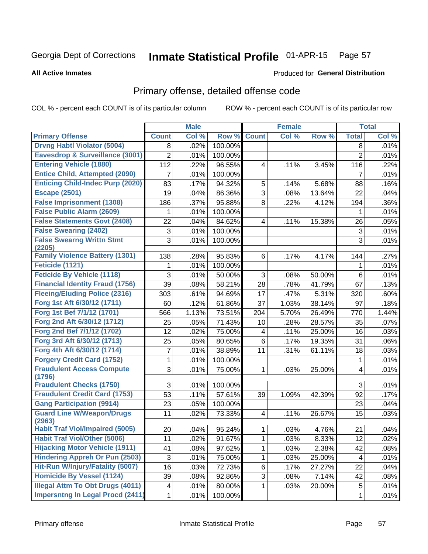#### Inmate Statistical Profile 01-APR-15 Page 57

### **All Active Inmates**

### Produced for General Distribution

# Primary offense, detailed offense code

COL % - percent each COUNT is of its particular column

|                                            |                           | <b>Male</b> |         |                         | <b>Female</b> |        |                | <b>Total</b> |
|--------------------------------------------|---------------------------|-------------|---------|-------------------------|---------------|--------|----------------|--------------|
| <b>Primary Offense</b>                     | <b>Count</b>              | Col %       | Row %   | <b>Count</b>            | Col %         | Row %  | <b>Total</b>   | Col %        |
| <b>Drvng Habtl Violator (5004)</b>         | 8                         | .02%        | 100.00% |                         |               |        | 8              | .01%         |
| Eavesdrop & Surveillance (3001)            | $\overline{2}$            | .01%        | 100.00% |                         |               |        | $\overline{2}$ | .01%         |
| <b>Entering Vehicle (1880)</b>             | 112                       | .22%        | 96.55%  | 4                       | .11%          | 3.45%  | 116            | .22%         |
| <b>Entice Child, Attempted (2090)</b>      | 7                         | .01%        | 100.00% |                         |               |        | 7              | .01%         |
| <b>Enticing Child-Indec Purp (2020)</b>    | 83                        | .17%        | 94.32%  | 5                       | .14%          | 5.68%  | 88             | .16%         |
| <b>Escape (2501)</b>                       | 19                        | .04%        | 86.36%  | 3                       | .08%          | 13.64% | 22             | .04%         |
| <b>False Imprisonment (1308)</b>           | 186                       | .37%        | 95.88%  | 8                       | .22%          | 4.12%  | 194            | .36%         |
| <b>False Public Alarm (2609)</b>           | 1                         | .01%        | 100.00% |                         |               |        | 1              | .01%         |
| <b>False Statements Govt (2408)</b>        | 22                        | .04%        | 84.62%  | 4                       | .11%          | 15.38% | 26             | .05%         |
| <b>False Swearing (2402)</b>               | $\ensuremath{\mathsf{3}}$ | .01%        | 100.00% |                         |               |        | $\sqrt{3}$     | .01%         |
| <b>False Swearng Writtn Stmt</b>           | $\overline{3}$            | .01%        | 100.00% |                         |               |        | $\overline{3}$ | .01%         |
| (2205)                                     |                           |             |         |                         |               |        |                |              |
| <b>Family Violence Battery (1301)</b>      | 138                       | .28%        | 95.83%  | 6                       | .17%          | 4.17%  | 144            | .27%         |
| Feticide (1121)                            | 1                         | .01%        | 100.00% |                         |               |        | 1              | .01%         |
| <b>Feticide By Vehicle (1118)</b>          | 3                         | .01%        | 50.00%  | 3                       | .08%          | 50.00% | 6              | .01%         |
| <b>Financial Identity Fraud (1756)</b>     | 39                        | .08%        | 58.21%  | 28                      | .78%          | 41.79% | 67             | .13%         |
| <b>Fleeing/Eluding Police (2316)</b>       | 303                       | .61%        | 94.69%  | 17                      | .47%          | 5.31%  | 320            | .60%         |
| Forg 1st Aft 6/30/12 (1711)                | 60                        | .12%        | 61.86%  | 37                      | 1.03%         | 38.14% | 97             | .18%         |
| Forg 1st Bef 7/1/12 (1701)                 | 566                       | 1.13%       | 73.51%  | 204                     | 5.70%         | 26.49% | 770            | 1.44%        |
| Forg 2nd Aft 6/30/12 (1712)                | 25                        | .05%        | 71.43%  | 10                      | .28%          | 28.57% | 35             | .07%         |
| Forg 2nd Bef 7/1/12 (1702)                 | 12                        | .02%        | 75.00%  | 4                       | .11%          | 25.00% | 16             | .03%         |
| Forg 3rd Aft 6/30/12 (1713)                | 25                        | .05%        | 80.65%  | 6                       | .17%          | 19.35% | 31             | .06%         |
| Forg 4th Aft 6/30/12 (1714)                | 7                         | .01%        | 38.89%  | 11                      | .31%          | 61.11% | 18             | .03%         |
| <b>Forgery Credit Card (1752)</b>          | 1                         | .01%        | 100.00% |                         |               |        | 1              | .01%         |
| <b>Fraudulent Access Compute</b><br>(1796) | 3                         | .01%        | 75.00%  | 1                       | .03%          | 25.00% | 4              | .01%         |
| <b>Fraudulent Checks (1750)</b>            | 3                         | .01%        | 100.00% |                         |               |        | $\mathbf{3}$   | .01%         |
| <b>Fraudulent Credit Card (1753)</b>       | 53                        | .11%        | 57.61%  | 39                      | 1.09%         | 42.39% | 92             | .17%         |
| <b>Gang Participation (9914)</b>           | 23                        | .05%        | 100.00% |                         |               |        | 23             | .04%         |
| <b>Guard Line W/Weapon/Drugs</b>           | 11                        | .02%        | 73.33%  | $\overline{\mathbf{4}}$ | .11%          | 26.67% | 15             | .03%         |
| (2963)                                     |                           |             |         |                         |               |        |                |              |
| <b>Habit Traf Viol/Impaired (5005)</b>     | 20                        | .04%        | 95.24%  | 1                       | .03%          | 4.76%  | 21             | .04%         |
| <b>Habit Traf Viol/Other (5006)</b>        | 11                        | .02%        | 91.67%  | $\mathbf{1}$            | .03%          | 8.33%  | 12             | .02%         |
| <b>Hijacking Motor Vehicle (1911)</b>      | 41                        | .08%        | 97.62%  | 1                       | .03%          | 2.38%  | 42             | .08%         |
| <b>Hindering Appreh Or Pun (2503)</b>      | $\sqrt{3}$                | .01%        | 75.00%  | 1                       | .03%          | 25.00% | 4              | .01%         |
| Hit-Run W/Injury/Fatality (5007)           | 16                        | .03%        | 72.73%  | 6                       | .17%          | 27.27% | 22             | .04%         |
| <b>Homicide By Vessel (1124)</b>           | 39                        | .08%        | 92.86%  | 3                       | .08%          | 7.14%  | 42             | .08%         |
| <b>Illegal Attm To Obt Drugs (4011)</b>    | $\overline{\mathbf{4}}$   | .01%        | 80.00%  | 1                       | .03%          | 20.00% | 5              | .01%         |
| <b>Impersntng In Legal Procd (2411)</b>    | 1                         | .01%        | 100.00% |                         |               |        | 1              | .01%         |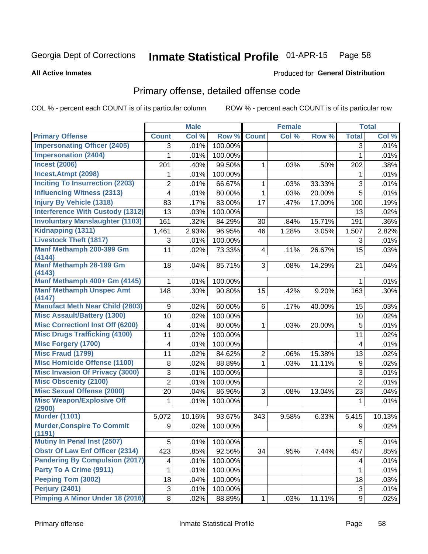#### Inmate Statistical Profile 01-APR-15 Page 58

### **All Active Inmates**

### Produced for General Distribution

# Primary offense, detailed offense code

COL % - percent each COUNT is of its particular column

|                                         |                | <b>Male</b> |         |                | <b>Female</b> |        |                | <b>Total</b> |
|-----------------------------------------|----------------|-------------|---------|----------------|---------------|--------|----------------|--------------|
| <b>Primary Offense</b>                  | <b>Count</b>   | Col %       | Row %   | <b>Count</b>   | Col %         | Row %  | <b>Total</b>   | Col %        |
| <b>Impersonating Officer (2405)</b>     | 3              | .01%        | 100.00% |                |               |        | $\overline{3}$ | .01%         |
| <b>Impersonation (2404)</b>             | 1              | .01%        | 100.00% |                |               |        | 1              | .01%         |
| <b>Incest (2006)</b>                    | 201            | .40%        | 99.50%  | 1              | .03%          | .50%   | 202            | .38%         |
| Incest, Atmpt (2098)                    | 1              | .01%        | 100.00% |                |               |        | 1              | .01%         |
| <b>Inciting To Insurrection (2203)</b>  | 2              | .01%        | 66.67%  | $\mathbf{1}$   | .03%          | 33.33% | 3              | .01%         |
| <b>Influencing Witness (2313)</b>       | $\overline{4}$ | .01%        | 80.00%  | $\mathbf{1}$   | .03%          | 20.00% | 5              | .01%         |
| <b>Injury By Vehicle (1318)</b>         | 83             | .17%        | 83.00%  | 17             | .47%          | 17.00% | 100            | .19%         |
| <b>Interference With Custody (1312)</b> | 13             | .03%        | 100.00% |                |               |        | 13             | .02%         |
| <b>Involuntary Manslaughter (1103)</b>  | 161            | .32%        | 84.29%  | 30             | .84%          | 15.71% | 191            | $.36\%$      |
| Kidnapping (1311)                       | 1,461          | 2.93%       | 96.95%  | 46             | 1.28%         | 3.05%  | 1,507          | 2.82%        |
| <b>Livestock Theft (1817)</b>           | 3              | .01%        | 100.00% |                |               |        | 3              | .01%         |
| Manf Methamph 200-399 Gm                | 11             | .02%        | 73.33%  | $\overline{4}$ | .11%          | 26.67% | 15             | .03%         |
| (4144)                                  |                |             |         |                |               |        |                |              |
| Manf Methamph 28-199 Gm<br>(4143)       | 18             | .04%        | 85.71%  | 3              | .08%          | 14.29% | 21             | .04%         |
| Manf Methamph 400+ Gm (4145)            | 1              | .01%        | 100.00% |                |               |        | 1              | .01%         |
| <b>Manf Methamph Unspec Amt</b>         | 148            | .30%        | 90.80%  | 15             | .42%          | 9.20%  | 163            | $.30\%$      |
| (4147)                                  |                |             |         |                |               |        |                |              |
| <b>Manufact Meth Near Child (2803)</b>  | 9              | .02%        | 60.00%  | 6              | .17%          | 40.00% | 15             | .03%         |
| <b>Misc Assault/Battery (1300)</b>      | 10             | .02%        | 100.00% |                |               |        | 10             | .02%         |
| <b>Misc Correctionl Inst Off (6200)</b> | 4              | .01%        | 80.00%  | 1              | .03%          | 20.00% | 5              | .01%         |
| <b>Misc Drugs Trafficking (4100)</b>    | 11             | .02%        | 100.00% |                |               |        | 11             | .02%         |
| <b>Misc Forgery (1700)</b>              | 4              | .01%        | 100.00% |                |               |        | 4              | .01%         |
| <b>Misc Fraud (1799)</b>                | 11             | .02%        | 84.62%  | $\overline{2}$ | .06%          | 15.38% | 13             | .02%         |
| <b>Misc Homicide Offense (1100)</b>     | 8              | .02%        | 88.89%  | 1              | .03%          | 11.11% | 9              | .02%         |
| <b>Misc Invasion Of Privacy (3000)</b>  | 3              | .01%        | 100.00% |                |               |        | 3              | .01%         |
| <b>Misc Obscenity (2100)</b>            | $\overline{2}$ | .01%        | 100.00% |                |               |        | $\overline{2}$ | .01%         |
| <b>Misc Sexual Offense (2000)</b>       | 20             | .04%        | 86.96%  | 3              | .08%          | 13.04% | 23             | .04%         |
| <b>Misc Weapon/Explosive Off</b>        | 1              | .01%        | 100.00% |                |               |        | 1              | .01%         |
| (2900)<br><b>Murder (1101)</b>          |                |             |         |                |               |        |                |              |
| <b>Murder, Conspire To Commit</b>       | 5,072          | 10.16%      | 93.67%  | 343            | 9.58%         | 6.33%  | 5,415          | 10.13%       |
| (1191)                                  | 9              | .02%        | 100.00% |                |               |        | 9              | .02%         |
| <b>Mutiny In Penal Inst (2507)</b>      | 5              | .01%        | 100.00% |                |               |        | 5              | .01%         |
| <b>Obstr Of Law Enf Officer (2314)</b>  | 423            | .85%        | 92.56%  | 34             | .95%          | 7.44%  | 457            | .85%         |
| <b>Pandering By Compulsion (2017)</b>   | 4              | .01%        | 100.00% |                |               |        | 4              | .01%         |
| Party To A Crime (9911)                 | 1              | .01%        | 100.00% |                |               |        | 1              | .01%         |
| <b>Peeping Tom (3002)</b>               | 18             | .04%        | 100.00% |                |               |        | 18             | .03%         |
| <b>Perjury (2401)</b>                   | 3              | .01%        | 100.00% |                |               |        | 3              | .01%         |
| <b>Pimping A Minor Under 18 (2016)</b>  | 8              | .02%        | 88.89%  | $\mathbf{1}$   | .03%          | 11.11% | 9              | .02%         |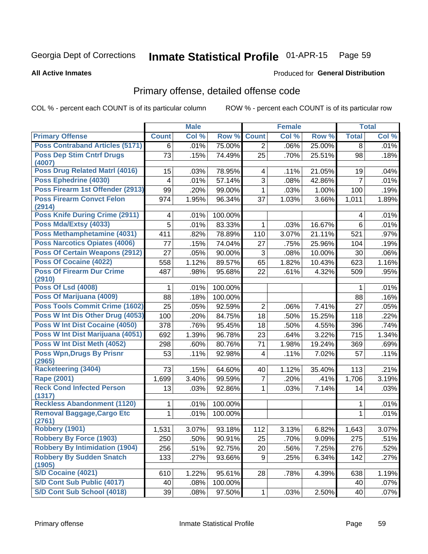#### Inmate Statistical Profile 01-APR-15 Page 59

### **All Active Inmates**

### Produced for General Distribution

# Primary offense, detailed offense code

COL % - percent each COUNT is of its particular column

|                                             |                         | <b>Male</b> |         |                         | <b>Female</b> |        |                | <b>Total</b> |
|---------------------------------------------|-------------------------|-------------|---------|-------------------------|---------------|--------|----------------|--------------|
| <b>Primary Offense</b>                      | <b>Count</b>            | Col %       | Row %   | <b>Count</b>            | Col %         | Row %  | <b>Total</b>   | Col %        |
| <b>Poss Contraband Articles (5171)</b>      | 6                       | .01%        | 75.00%  | $\overline{2}$          | .06%          | 25.00% | 8              | .01%         |
| <b>Poss Dep Stim Cntrf Drugs</b><br>(4007)  | 73                      | .15%        | 74.49%  | 25                      | .70%          | 25.51% | 98             | .18%         |
| Poss Drug Related Matrl (4016)              | 15                      | .03%        | 78.95%  | $\overline{\mathbf{4}}$ | .11%          | 21.05% | 19             | .04%         |
| Poss Ephedrine (4030)                       | $\overline{\mathbf{4}}$ | .01%        | 57.14%  | 3                       | .08%          | 42.86% | $\overline{7}$ | .01%         |
| Poss Firearm 1st Offender (2913)            | 99                      | .20%        | 99.00%  | 1                       | .03%          | 1.00%  | 100            | .19%         |
| <b>Poss Firearm Convct Felon</b>            | 974                     | 1.95%       | 96.34%  | 37                      | 1.03%         | 3.66%  | 1,011          | 1.89%        |
| (2914)                                      |                         |             |         |                         |               |        |                |              |
| Poss Knife During Crime (2911)              | 4                       | .01%        | 100.00% |                         |               |        | 4              | .01%         |
| Poss Mda/Extsy (4033)                       | 5                       | .01%        | 83.33%  | $\mathbf 1$             | .03%          | 16.67% | 6              | .01%         |
| Poss Methamphetamine (4031)                 | 411                     | .82%        | 78.89%  | 110                     | 3.07%         | 21.11% | 521            | .97%         |
| <b>Poss Narcotics Opiates (4006)</b>        | 77                      | .15%        | 74.04%  | 27                      | .75%          | 25.96% | 104            | .19%         |
| <b>Poss Of Certain Weapons (2912)</b>       | 27                      | .05%        | 90.00%  | 3                       | .08%          | 10.00% | 30             | .06%         |
| <b>Poss Of Cocaine (4022)</b>               | 558                     | 1.12%       | 89.57%  | 65                      | 1.82%         | 10.43% | 623            | 1.16%        |
| <b>Poss Of Firearm Dur Crime</b><br>(2910)  | 487                     | .98%        | 95.68%  | 22                      | .61%          | 4.32%  | 509            | .95%         |
| <b>Poss Of Lsd (4008)</b>                   | 1                       | .01%        | 100.00% |                         |               |        | 1              | .01%         |
| Poss Of Marijuana (4009)                    | 88                      | .18%        | 100.00% |                         |               |        | 88             | .16%         |
| <b>Poss Tools Commit Crime (1602)</b>       | 25                      | .05%        | 92.59%  | $\overline{2}$          | .06%          | 7.41%  | 27             | .05%         |
| Poss W Int Dis Other Drug (4053)            | 100                     | .20%        | 84.75%  | 18                      | .50%          | 15.25% | 118            | .22%         |
| Poss W Int Dist Cocaine (4050)              | 378                     | .76%        | 95.45%  | 18                      | .50%          | 4.55%  | 396            | .74%         |
| Poss W Int Dist Marijuana (4051)            | 692                     | 1.39%       | 96.78%  | 23                      | .64%          | 3.22%  | 715            | 1.34%        |
| Poss W Int Dist Meth (4052)                 | 298                     | .60%        | 80.76%  | 71                      | 1.98%         | 19.24% | 369            | .69%         |
| <b>Poss Wpn, Drugs By Prisnr</b><br>(2965)  | 53                      | .11%        | 92.98%  | $\overline{\mathbf{4}}$ | .11%          | 7.02%  | 57             | .11%         |
| <b>Racketeering (3404)</b>                  | 73                      | .15%        | 64.60%  | 40                      | 1.12%         | 35.40% | 113            | .21%         |
| <b>Rape (2001)</b>                          | 1,699                   | 3.40%       | 99.59%  | 7                       | .20%          | .41%   | 1,706          | 3.19%        |
| <b>Reck Cond Infected Person</b>            | 13                      | .03%        | 92.86%  | $\mathbf{1}$            | .03%          | 7.14%  | 14             | .03%         |
| (1317)                                      |                         |             |         |                         |               |        |                |              |
| <b>Reckless Abandonment (1120)</b>          | 1                       | .01%        | 100.00% |                         |               |        | 1              | .01%         |
| <b>Removal Baggage, Cargo Etc</b><br>(2761) | $\mathbf{1}$            | .01%        | 100.00% |                         |               |        | $\mathbf{1}$   | .01%         |
| Robbery (1901)                              | 1,531                   | 3.07%       | 93.18%  | 112                     | 3.13%         | 6.82%  | 1,643          | 3.07%        |
| <b>Robbery By Force (1903)</b>              | 250                     | .50%        | 90.91%  | 25                      | .70%          | 9.09%  | 275            | .51%         |
| <b>Robbery By Intimidation (1904)</b>       | 256                     | .51%        | 92.75%  | 20                      | .56%          | 7.25%  | 276            | .52%         |
| <b>Robbery By Sudden Snatch</b><br>(1905)   | 133                     | .27%        | 93.66%  | 9                       | .25%          | 6.34%  | 142            | .27%         |
| S/D Cocaine (4021)                          | 610                     | 1.22%       | 95.61%  | 28                      | .78%          | 4.39%  | 638            | 1.19%        |
| S/D Cont Sub Public (4017)                  | 40                      | .08%        | 100.00% |                         |               |        | 40             | .07%         |
| S/D Cont Sub School (4018)                  | 39                      | .08%        | 97.50%  | $\mathbf{1}$            | .03%          | 2.50%  | 40             | .07%         |
|                                             |                         |             |         |                         |               |        |                |              |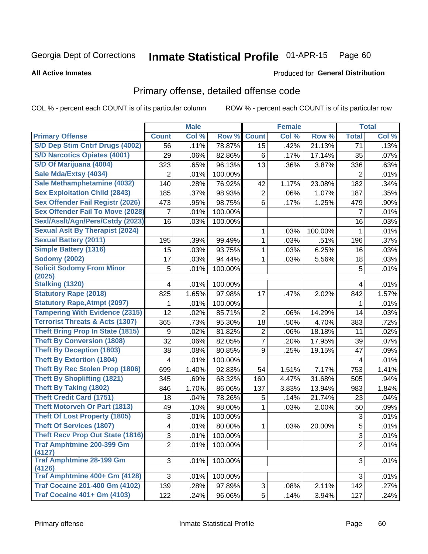#### Inmate Statistical Profile 01-APR-15 Page 60

**All Active Inmates** 

### Produced for General Distribution

# Primary offense, detailed offense code

COL % - percent each COUNT is of its particular column

|                                            |                | <b>Male</b> |         |                | <b>Female</b> |         |                | <b>Total</b> |
|--------------------------------------------|----------------|-------------|---------|----------------|---------------|---------|----------------|--------------|
| <b>Primary Offense</b>                     | <b>Count</b>   | Col %       | Row %   | <b>Count</b>   | Col %         | Row %   | <b>Total</b>   | Col %        |
| S/D Dep Stim Cntrf Drugs (4002)            | 56             | .11%        | 78.87%  | 15             | .42%          | 21.13%  | 71             | .13%         |
| <b>S/D Narcotics Opiates (4001)</b>        | 29             | .06%        | 82.86%  | 6              | .17%          | 17.14%  | 35             | .07%         |
| S/D Of Marijuana (4004)                    | 323            | .65%        | 96.13%  | 13             | .36%          | 3.87%   | 336            | .63%         |
| Sale Mda/Extsy (4034)                      | $\overline{2}$ | .01%        | 100.00% |                |               |         | $\overline{2}$ | .01%         |
| Sale Methamphetamine (4032)                | 140            | .28%        | 76.92%  | 42             | 1.17%         | 23.08%  | 182            | .34%         |
| <b>Sex Exploitation Child (2843)</b>       | 185            | .37%        | 98.93%  | $\overline{2}$ | .06%          | 1.07%   | 187            | .35%         |
| <b>Sex Offender Fail Registr (2026)</b>    | 473            | .95%        | 98.75%  | 6              | .17%          | 1.25%   | 479            | .90%         |
| <b>Sex Offender Fail To Move (2028)</b>    | $\overline{7}$ | .01%        | 100.00% |                |               |         | $\overline{7}$ | .01%         |
| Sexl/Asslt/Agn/Pers/Cstdy (2023)           | 16             | .03%        | 100.00% |                |               |         | 16             | .03%         |
| <b>Sexual Aslt By Therapist (2024)</b>     |                |             |         | 1              | .03%          | 100.00% | 1              | .01%         |
| <b>Sexual Battery (2011)</b>               | 195            | .39%        | 99.49%  | 1              | .03%          | .51%    | 196            | .37%         |
| Simple Battery (1316)                      | 15             | .03%        | 93.75%  | 1              | .03%          | 6.25%   | 16             | .03%         |
| <b>Sodomy (2002)</b>                       | 17             | .03%        | 94.44%  | 1              | .03%          | 5.56%   | 18             | .03%         |
| <b>Solicit Sodomy From Minor</b>           | 5              | .01%        | 100.00% |                |               |         | 5              | .01%         |
| (2025)                                     |                |             |         |                |               |         |                |              |
| Stalking (1320)                            | 4              | .01%        | 100.00% |                |               |         | 4              | .01%         |
| <b>Statutory Rape (2018)</b>               | 825            | 1.65%       | 97.98%  | 17             | .47%          | 2.02%   | 842            | 1.57%        |
| <b>Statutory Rape, Atmpt (2097)</b>        | 1              | .01%        | 100.00% |                |               |         | 1              | .01%         |
| <b>Tampering With Evidence (2315)</b>      | 12             | .02%        | 85.71%  | $\overline{2}$ | .06%          | 14.29%  | 14             | .03%         |
| <b>Terrorist Threats &amp; Acts (1307)</b> | 365            | .73%        | 95.30%  | 18             | .50%          | 4.70%   | 383            | .72%         |
| <b>Theft Bring Prop In State (1815)</b>    | 9              | .02%        | 81.82%  | $\overline{2}$ | .06%          | 18.18%  | 11             | .02%         |
| <b>Theft By Conversion (1808)</b>          | 32             | .06%        | 82.05%  | 7              | .20%          | 17.95%  | 39             | .07%         |
| <b>Theft By Deception (1803)</b>           | 38             | .08%        | 80.85%  | 9              | .25%          | 19.15%  | 47             | .09%         |
| <b>Theft By Extortion (1804)</b>           | 4              | .01%        | 100.00% |                |               |         | 4              | .01%         |
| <b>Theft By Rec Stolen Prop (1806)</b>     | 699            | 1.40%       | 92.83%  | 54             | 1.51%         | 7.17%   | 753            | 1.41%        |
| <b>Theft By Shoplifting (1821)</b>         | 345            | .69%        | 68.32%  | 160            | 4.47%         | 31.68%  | 505            | .94%         |
| <b>Theft By Taking (1802)</b>              | 846            | 1.70%       | 86.06%  | 137            | 3.83%         | 13.94%  | 983            | 1.84%        |
| <b>Theft Credit Card (1751)</b>            | 18             | .04%        | 78.26%  | 5              | .14%          | 21.74%  | 23             | .04%         |
| <b>Theft Motorveh Or Part (1813)</b>       | 49             | .10%        | 98.00%  | 1              | .03%          | 2.00%   | 50             | .09%         |
| <b>Theft Of Lost Property (1805)</b>       | 3              | .01%        | 100.00% |                |               |         | 3              | .01%         |
| <b>Theft Of Services (1807)</b>            | 4              | .01%        | 80.00%  | 1              | .03%          | 20.00%  | 5              | .01%         |
| <b>Theft Recv Prop Out State (1816)</b>    | $\mathbf{3}$   | .01%        | 100.00% |                |               |         | $\overline{3}$ | .01%         |
| <b>Traf Amphtmine 200-399 Gm</b>           | $\overline{2}$ | .01%        | 100.00% |                |               |         | $\overline{2}$ | .01%         |
| (4127)                                     |                |             |         |                |               |         |                |              |
| <b>Traf Amphtmine 28-199 Gm</b><br>(4126)  | 3              | .01%        | 100.00% |                |               |         | 3              | .01%         |
| Traf Amphtmine 400+ Gm (4128)              | 3              | .01%        | 100.00% |                |               |         | 3              | .01%         |
| <b>Traf Cocaine 201-400 Gm (4102)</b>      | 139            | .28%        | 97.89%  | 3 <sup>1</sup> | .08%          | 2.11%   | 142            | .27%         |
| <b>Traf Cocaine 401+ Gm (4103)</b>         | 122            | .24%        | 96.06%  | 5 <sup>1</sup> | .14%          | 3.94%   | 127            | .24%         |
|                                            |                |             |         |                |               |         |                |              |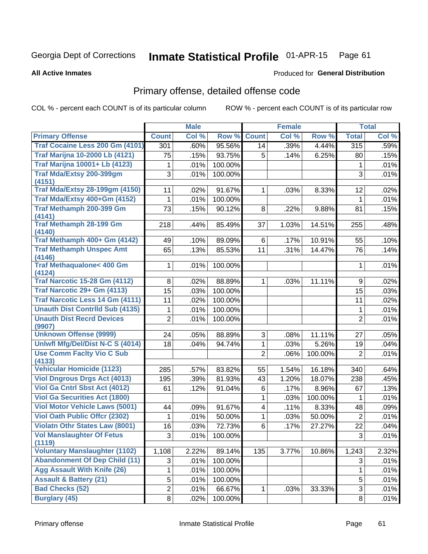#### Inmate Statistical Profile 01-APR-15 Page 61

**All Active Inmates** 

### Produced for General Distribution

# Primary offense, detailed offense code

COL % - percent each COUNT is of its particular column

| <b>Count</b><br>Col %<br>Row %<br><b>Count</b><br>Col %<br>Row %<br>Col %<br><b>Primary Offense</b><br><b>Total</b><br>Traf Cocaine Less 200 Gm (4101)<br>.39%<br>95.56%<br>4.44%<br>315<br>.59%<br>301<br>.60%<br>14<br><b>Traf Marijna 10-2000 Lb (4121)</b><br>.15%<br>93.75%<br>75<br>5<br>.14%<br>6.25%<br>80<br>.15%<br><b>Traf Marijna 10001+ Lb (4123)</b><br>.01%<br>100.00%<br>.01%<br>1<br>1<br>Traf Mda/Extsy 200-399gm<br>3<br>.01%<br>3<br>.01%<br>100.00%<br>(4151)<br><b>Traf Mda/Extsy 28-199gm (4150)</b><br>91.67%<br>11<br>.02%<br>8.33%<br>.02%<br>1.<br>.03%<br>12<br>Traf Mda/Extsy 400+Gm (4152)<br>.01%<br>.01%<br>100.00%<br>1<br>1<br>Traf Methamph 200-399 Gm<br>73<br>90.12%<br>.15%<br>8<br>.22%<br>9.88%<br>81<br>.15%<br>(4141)<br><b>Traf Methamph 28-199 Gm</b><br>85.49%<br>1.03%<br>14.51%<br>.48%<br>218<br>.44%<br>37<br>255<br>(4140)<br>Traf Methamph 400+ Gm (4142)<br>89.09%<br>10.91%<br>49<br>.10%<br>6<br>.17%<br>.10%<br>55<br><b>Traf Methamph Unspec Amt</b><br>.31%<br>.13%<br>85.53%<br>11<br>14.47%<br>.14%<br>65<br>76<br>(4146)<br><b>Traf Methaqualone&lt; 400 Gm</b><br>.01%<br>100.00%<br>.01%<br>$\mathbf 1$<br>1<br>(4124)<br><b>Traf Narcotic 15-28 Gm (4112)</b><br>88.89%<br>.02%<br>8<br>.02%<br>.03%<br>11.11%<br>9<br>1.<br>Traf Narcotic 29+ Gm (4113)<br>15<br>.03%<br>100.00%<br>15<br>.03%<br><b>Traf Narcotic Less 14 Gm (4111)</b><br>11<br>.02%<br>100.00%<br>.02%<br>11<br><b>Unauth Dist Contrild Sub (4135)</b><br>.01%<br>100.00%<br>.01%<br>1<br>1<br><b>Unauth Dist Recrd Devices</b><br>$\overline{2}$<br>2<br>.01%<br>100.00%<br>.01%<br>(9907)<br><b>Unknown Offense (9999)</b><br>88.89%<br>3<br>11.11%<br>24<br>.05%<br>.08%<br>27<br>.05%<br><b>Uniwfl Mfg/Del/Dist N-C S (4014)</b><br>18<br>.04%<br>94.74%<br>1<br>.03%<br>5.26%<br>.04%<br>19<br><b>Use Comm Facity Vio C Sub</b><br>$\overline{2}$<br>100.00%<br>.01%<br>.06%<br>$\overline{2}$<br>(4133)<br><b>Vehicular Homicide (1123)</b><br>83.82%<br>16.18%<br>340<br>285<br>.57%<br>55<br>1.54%<br>.64%<br><b>Viol Dngrous Drgs Act (4013)</b><br>18.07%<br>195<br>.39%<br>81.93%<br>43<br>1.20%<br>238<br>.45%<br>Viol Ga Cntrl Sbst Act (4012)<br>.12%<br>91.04%<br>.17%<br>8.96%<br>.13%<br>61<br>6<br>67<br><b>Viol Ga Securities Act (1800)</b><br>100.00%<br>1<br>.03%<br>.01%<br>1<br><b>Viol Motor Vehicle Laws (5001)</b><br>91.67%<br>.11%<br>8.33%<br>.09%<br>.09%<br>4<br>48<br>44<br>Viol Oath Public Offcr (2302)<br>.01%<br>50.00%<br>50.00%<br>.01%<br>1<br>.03%<br>$\overline{2}$<br>1<br><b>Violatn Othr States Law (8001)</b><br>72.73%<br>.03%<br>6<br>.17%<br>27.27%<br>.04%<br>16<br>22<br><b>Vol Manslaughter Of Fetus</b><br>.01%<br>100.00%<br>$\overline{3}$<br>.01%<br>$3\vert$<br>(1119)<br><b>Voluntary Manslaughter (1102)</b><br>2.22%<br>89.14%<br>2.32%<br>1,108<br>135<br>3.77%<br>10.86%<br>1,243<br><b>Abandonment Of Dep Child (11)</b><br>100.00%<br>3<br>.01%<br>.01%<br>3<br><b>Agg Assault With Knife (26)</b><br>.01%<br>100.00%<br>.01%<br>1<br>1<br><b>Assault &amp; Battery (21)</b><br>5<br>100.00%<br>.01%<br>5<br>.01%<br><b>Bad Checks (52)</b><br>$\overline{2}$<br>3<br>.01%<br>66.67%<br>.03%<br>33.33%<br>.01%<br>$\mathbf{1}$<br><b>Burglary (45)</b> |   | <b>Male</b> |         | <b>Female</b> |   | <b>Total</b> |
|-----------------------------------------------------------------------------------------------------------------------------------------------------------------------------------------------------------------------------------------------------------------------------------------------------------------------------------------------------------------------------------------------------------------------------------------------------------------------------------------------------------------------------------------------------------------------------------------------------------------------------------------------------------------------------------------------------------------------------------------------------------------------------------------------------------------------------------------------------------------------------------------------------------------------------------------------------------------------------------------------------------------------------------------------------------------------------------------------------------------------------------------------------------------------------------------------------------------------------------------------------------------------------------------------------------------------------------------------------------------------------------------------------------------------------------------------------------------------------------------------------------------------------------------------------------------------------------------------------------------------------------------------------------------------------------------------------------------------------------------------------------------------------------------------------------------------------------------------------------------------------------------------------------------------------------------------------------------------------------------------------------------------------------------------------------------------------------------------------------------------------------------------------------------------------------------------------------------------------------------------------------------------------------------------------------------------------------------------------------------------------------------------------------------------------------------------------------------------------------------------------------------------------------------------------------------------------------------------------------------------------------------------------------------------------------------------------------------------------------------------------------------------------------------------------------------------------------------------------------------------------------------------------------------------------------------------------------------------------------------------------------------------------------------------------------------------------------------------------------------------------------------------------------------------------------------------------------------------------------------------------------|---|-------------|---------|---------------|---|--------------|
|                                                                                                                                                                                                                                                                                                                                                                                                                                                                                                                                                                                                                                                                                                                                                                                                                                                                                                                                                                                                                                                                                                                                                                                                                                                                                                                                                                                                                                                                                                                                                                                                                                                                                                                                                                                                                                                                                                                                                                                                                                                                                                                                                                                                                                                                                                                                                                                                                                                                                                                                                                                                                                                                                                                                                                                                                                                                                                                                                                                                                                                                                                                                                                                                                                                           |   |             |         |               |   |              |
|                                                                                                                                                                                                                                                                                                                                                                                                                                                                                                                                                                                                                                                                                                                                                                                                                                                                                                                                                                                                                                                                                                                                                                                                                                                                                                                                                                                                                                                                                                                                                                                                                                                                                                                                                                                                                                                                                                                                                                                                                                                                                                                                                                                                                                                                                                                                                                                                                                                                                                                                                                                                                                                                                                                                                                                                                                                                                                                                                                                                                                                                                                                                                                                                                                                           |   |             |         |               |   |              |
|                                                                                                                                                                                                                                                                                                                                                                                                                                                                                                                                                                                                                                                                                                                                                                                                                                                                                                                                                                                                                                                                                                                                                                                                                                                                                                                                                                                                                                                                                                                                                                                                                                                                                                                                                                                                                                                                                                                                                                                                                                                                                                                                                                                                                                                                                                                                                                                                                                                                                                                                                                                                                                                                                                                                                                                                                                                                                                                                                                                                                                                                                                                                                                                                                                                           |   |             |         |               |   |              |
|                                                                                                                                                                                                                                                                                                                                                                                                                                                                                                                                                                                                                                                                                                                                                                                                                                                                                                                                                                                                                                                                                                                                                                                                                                                                                                                                                                                                                                                                                                                                                                                                                                                                                                                                                                                                                                                                                                                                                                                                                                                                                                                                                                                                                                                                                                                                                                                                                                                                                                                                                                                                                                                                                                                                                                                                                                                                                                                                                                                                                                                                                                                                                                                                                                                           |   |             |         |               |   |              |
|                                                                                                                                                                                                                                                                                                                                                                                                                                                                                                                                                                                                                                                                                                                                                                                                                                                                                                                                                                                                                                                                                                                                                                                                                                                                                                                                                                                                                                                                                                                                                                                                                                                                                                                                                                                                                                                                                                                                                                                                                                                                                                                                                                                                                                                                                                                                                                                                                                                                                                                                                                                                                                                                                                                                                                                                                                                                                                                                                                                                                                                                                                                                                                                                                                                           |   |             |         |               |   |              |
|                                                                                                                                                                                                                                                                                                                                                                                                                                                                                                                                                                                                                                                                                                                                                                                                                                                                                                                                                                                                                                                                                                                                                                                                                                                                                                                                                                                                                                                                                                                                                                                                                                                                                                                                                                                                                                                                                                                                                                                                                                                                                                                                                                                                                                                                                                                                                                                                                                                                                                                                                                                                                                                                                                                                                                                                                                                                                                                                                                                                                                                                                                                                                                                                                                                           |   |             |         |               |   |              |
|                                                                                                                                                                                                                                                                                                                                                                                                                                                                                                                                                                                                                                                                                                                                                                                                                                                                                                                                                                                                                                                                                                                                                                                                                                                                                                                                                                                                                                                                                                                                                                                                                                                                                                                                                                                                                                                                                                                                                                                                                                                                                                                                                                                                                                                                                                                                                                                                                                                                                                                                                                                                                                                                                                                                                                                                                                                                                                                                                                                                                                                                                                                                                                                                                                                           |   |             |         |               |   |              |
|                                                                                                                                                                                                                                                                                                                                                                                                                                                                                                                                                                                                                                                                                                                                                                                                                                                                                                                                                                                                                                                                                                                                                                                                                                                                                                                                                                                                                                                                                                                                                                                                                                                                                                                                                                                                                                                                                                                                                                                                                                                                                                                                                                                                                                                                                                                                                                                                                                                                                                                                                                                                                                                                                                                                                                                                                                                                                                                                                                                                                                                                                                                                                                                                                                                           |   |             |         |               |   |              |
|                                                                                                                                                                                                                                                                                                                                                                                                                                                                                                                                                                                                                                                                                                                                                                                                                                                                                                                                                                                                                                                                                                                                                                                                                                                                                                                                                                                                                                                                                                                                                                                                                                                                                                                                                                                                                                                                                                                                                                                                                                                                                                                                                                                                                                                                                                                                                                                                                                                                                                                                                                                                                                                                                                                                                                                                                                                                                                                                                                                                                                                                                                                                                                                                                                                           |   |             |         |               |   |              |
|                                                                                                                                                                                                                                                                                                                                                                                                                                                                                                                                                                                                                                                                                                                                                                                                                                                                                                                                                                                                                                                                                                                                                                                                                                                                                                                                                                                                                                                                                                                                                                                                                                                                                                                                                                                                                                                                                                                                                                                                                                                                                                                                                                                                                                                                                                                                                                                                                                                                                                                                                                                                                                                                                                                                                                                                                                                                                                                                                                                                                                                                                                                                                                                                                                                           |   |             |         |               |   |              |
|                                                                                                                                                                                                                                                                                                                                                                                                                                                                                                                                                                                                                                                                                                                                                                                                                                                                                                                                                                                                                                                                                                                                                                                                                                                                                                                                                                                                                                                                                                                                                                                                                                                                                                                                                                                                                                                                                                                                                                                                                                                                                                                                                                                                                                                                                                                                                                                                                                                                                                                                                                                                                                                                                                                                                                                                                                                                                                                                                                                                                                                                                                                                                                                                                                                           |   |             |         |               |   |              |
|                                                                                                                                                                                                                                                                                                                                                                                                                                                                                                                                                                                                                                                                                                                                                                                                                                                                                                                                                                                                                                                                                                                                                                                                                                                                                                                                                                                                                                                                                                                                                                                                                                                                                                                                                                                                                                                                                                                                                                                                                                                                                                                                                                                                                                                                                                                                                                                                                                                                                                                                                                                                                                                                                                                                                                                                                                                                                                                                                                                                                                                                                                                                                                                                                                                           |   |             |         |               |   |              |
|                                                                                                                                                                                                                                                                                                                                                                                                                                                                                                                                                                                                                                                                                                                                                                                                                                                                                                                                                                                                                                                                                                                                                                                                                                                                                                                                                                                                                                                                                                                                                                                                                                                                                                                                                                                                                                                                                                                                                                                                                                                                                                                                                                                                                                                                                                                                                                                                                                                                                                                                                                                                                                                                                                                                                                                                                                                                                                                                                                                                                                                                                                                                                                                                                                                           |   |             |         |               |   |              |
|                                                                                                                                                                                                                                                                                                                                                                                                                                                                                                                                                                                                                                                                                                                                                                                                                                                                                                                                                                                                                                                                                                                                                                                                                                                                                                                                                                                                                                                                                                                                                                                                                                                                                                                                                                                                                                                                                                                                                                                                                                                                                                                                                                                                                                                                                                                                                                                                                                                                                                                                                                                                                                                                                                                                                                                                                                                                                                                                                                                                                                                                                                                                                                                                                                                           |   |             |         |               |   |              |
|                                                                                                                                                                                                                                                                                                                                                                                                                                                                                                                                                                                                                                                                                                                                                                                                                                                                                                                                                                                                                                                                                                                                                                                                                                                                                                                                                                                                                                                                                                                                                                                                                                                                                                                                                                                                                                                                                                                                                                                                                                                                                                                                                                                                                                                                                                                                                                                                                                                                                                                                                                                                                                                                                                                                                                                                                                                                                                                                                                                                                                                                                                                                                                                                                                                           |   |             |         |               |   |              |
|                                                                                                                                                                                                                                                                                                                                                                                                                                                                                                                                                                                                                                                                                                                                                                                                                                                                                                                                                                                                                                                                                                                                                                                                                                                                                                                                                                                                                                                                                                                                                                                                                                                                                                                                                                                                                                                                                                                                                                                                                                                                                                                                                                                                                                                                                                                                                                                                                                                                                                                                                                                                                                                                                                                                                                                                                                                                                                                                                                                                                                                                                                                                                                                                                                                           |   |             |         |               |   |              |
|                                                                                                                                                                                                                                                                                                                                                                                                                                                                                                                                                                                                                                                                                                                                                                                                                                                                                                                                                                                                                                                                                                                                                                                                                                                                                                                                                                                                                                                                                                                                                                                                                                                                                                                                                                                                                                                                                                                                                                                                                                                                                                                                                                                                                                                                                                                                                                                                                                                                                                                                                                                                                                                                                                                                                                                                                                                                                                                                                                                                                                                                                                                                                                                                                                                           |   |             |         |               |   |              |
|                                                                                                                                                                                                                                                                                                                                                                                                                                                                                                                                                                                                                                                                                                                                                                                                                                                                                                                                                                                                                                                                                                                                                                                                                                                                                                                                                                                                                                                                                                                                                                                                                                                                                                                                                                                                                                                                                                                                                                                                                                                                                                                                                                                                                                                                                                                                                                                                                                                                                                                                                                                                                                                                                                                                                                                                                                                                                                                                                                                                                                                                                                                                                                                                                                                           |   |             |         |               |   |              |
|                                                                                                                                                                                                                                                                                                                                                                                                                                                                                                                                                                                                                                                                                                                                                                                                                                                                                                                                                                                                                                                                                                                                                                                                                                                                                                                                                                                                                                                                                                                                                                                                                                                                                                                                                                                                                                                                                                                                                                                                                                                                                                                                                                                                                                                                                                                                                                                                                                                                                                                                                                                                                                                                                                                                                                                                                                                                                                                                                                                                                                                                                                                                                                                                                                                           |   |             |         |               |   |              |
|                                                                                                                                                                                                                                                                                                                                                                                                                                                                                                                                                                                                                                                                                                                                                                                                                                                                                                                                                                                                                                                                                                                                                                                                                                                                                                                                                                                                                                                                                                                                                                                                                                                                                                                                                                                                                                                                                                                                                                                                                                                                                                                                                                                                                                                                                                                                                                                                                                                                                                                                                                                                                                                                                                                                                                                                                                                                                                                                                                                                                                                                                                                                                                                                                                                           |   |             |         |               |   |              |
|                                                                                                                                                                                                                                                                                                                                                                                                                                                                                                                                                                                                                                                                                                                                                                                                                                                                                                                                                                                                                                                                                                                                                                                                                                                                                                                                                                                                                                                                                                                                                                                                                                                                                                                                                                                                                                                                                                                                                                                                                                                                                                                                                                                                                                                                                                                                                                                                                                                                                                                                                                                                                                                                                                                                                                                                                                                                                                                                                                                                                                                                                                                                                                                                                                                           |   |             |         |               |   |              |
|                                                                                                                                                                                                                                                                                                                                                                                                                                                                                                                                                                                                                                                                                                                                                                                                                                                                                                                                                                                                                                                                                                                                                                                                                                                                                                                                                                                                                                                                                                                                                                                                                                                                                                                                                                                                                                                                                                                                                                                                                                                                                                                                                                                                                                                                                                                                                                                                                                                                                                                                                                                                                                                                                                                                                                                                                                                                                                                                                                                                                                                                                                                                                                                                                                                           |   |             |         |               |   |              |
|                                                                                                                                                                                                                                                                                                                                                                                                                                                                                                                                                                                                                                                                                                                                                                                                                                                                                                                                                                                                                                                                                                                                                                                                                                                                                                                                                                                                                                                                                                                                                                                                                                                                                                                                                                                                                                                                                                                                                                                                                                                                                                                                                                                                                                                                                                                                                                                                                                                                                                                                                                                                                                                                                                                                                                                                                                                                                                                                                                                                                                                                                                                                                                                                                                                           |   |             |         |               |   |              |
|                                                                                                                                                                                                                                                                                                                                                                                                                                                                                                                                                                                                                                                                                                                                                                                                                                                                                                                                                                                                                                                                                                                                                                                                                                                                                                                                                                                                                                                                                                                                                                                                                                                                                                                                                                                                                                                                                                                                                                                                                                                                                                                                                                                                                                                                                                                                                                                                                                                                                                                                                                                                                                                                                                                                                                                                                                                                                                                                                                                                                                                                                                                                                                                                                                                           |   |             |         |               |   |              |
|                                                                                                                                                                                                                                                                                                                                                                                                                                                                                                                                                                                                                                                                                                                                                                                                                                                                                                                                                                                                                                                                                                                                                                                                                                                                                                                                                                                                                                                                                                                                                                                                                                                                                                                                                                                                                                                                                                                                                                                                                                                                                                                                                                                                                                                                                                                                                                                                                                                                                                                                                                                                                                                                                                                                                                                                                                                                                                                                                                                                                                                                                                                                                                                                                                                           |   |             |         |               |   |              |
|                                                                                                                                                                                                                                                                                                                                                                                                                                                                                                                                                                                                                                                                                                                                                                                                                                                                                                                                                                                                                                                                                                                                                                                                                                                                                                                                                                                                                                                                                                                                                                                                                                                                                                                                                                                                                                                                                                                                                                                                                                                                                                                                                                                                                                                                                                                                                                                                                                                                                                                                                                                                                                                                                                                                                                                                                                                                                                                                                                                                                                                                                                                                                                                                                                                           |   |             |         |               |   |              |
|                                                                                                                                                                                                                                                                                                                                                                                                                                                                                                                                                                                                                                                                                                                                                                                                                                                                                                                                                                                                                                                                                                                                                                                                                                                                                                                                                                                                                                                                                                                                                                                                                                                                                                                                                                                                                                                                                                                                                                                                                                                                                                                                                                                                                                                                                                                                                                                                                                                                                                                                                                                                                                                                                                                                                                                                                                                                                                                                                                                                                                                                                                                                                                                                                                                           |   |             |         |               |   |              |
|                                                                                                                                                                                                                                                                                                                                                                                                                                                                                                                                                                                                                                                                                                                                                                                                                                                                                                                                                                                                                                                                                                                                                                                                                                                                                                                                                                                                                                                                                                                                                                                                                                                                                                                                                                                                                                                                                                                                                                                                                                                                                                                                                                                                                                                                                                                                                                                                                                                                                                                                                                                                                                                                                                                                                                                                                                                                                                                                                                                                                                                                                                                                                                                                                                                           |   |             |         |               |   |              |
|                                                                                                                                                                                                                                                                                                                                                                                                                                                                                                                                                                                                                                                                                                                                                                                                                                                                                                                                                                                                                                                                                                                                                                                                                                                                                                                                                                                                                                                                                                                                                                                                                                                                                                                                                                                                                                                                                                                                                                                                                                                                                                                                                                                                                                                                                                                                                                                                                                                                                                                                                                                                                                                                                                                                                                                                                                                                                                                                                                                                                                                                                                                                                                                                                                                           |   |             |         |               |   |              |
|                                                                                                                                                                                                                                                                                                                                                                                                                                                                                                                                                                                                                                                                                                                                                                                                                                                                                                                                                                                                                                                                                                                                                                                                                                                                                                                                                                                                                                                                                                                                                                                                                                                                                                                                                                                                                                                                                                                                                                                                                                                                                                                                                                                                                                                                                                                                                                                                                                                                                                                                                                                                                                                                                                                                                                                                                                                                                                                                                                                                                                                                                                                                                                                                                                                           |   |             |         |               |   |              |
|                                                                                                                                                                                                                                                                                                                                                                                                                                                                                                                                                                                                                                                                                                                                                                                                                                                                                                                                                                                                                                                                                                                                                                                                                                                                                                                                                                                                                                                                                                                                                                                                                                                                                                                                                                                                                                                                                                                                                                                                                                                                                                                                                                                                                                                                                                                                                                                                                                                                                                                                                                                                                                                                                                                                                                                                                                                                                                                                                                                                                                                                                                                                                                                                                                                           |   |             |         |               |   |              |
|                                                                                                                                                                                                                                                                                                                                                                                                                                                                                                                                                                                                                                                                                                                                                                                                                                                                                                                                                                                                                                                                                                                                                                                                                                                                                                                                                                                                                                                                                                                                                                                                                                                                                                                                                                                                                                                                                                                                                                                                                                                                                                                                                                                                                                                                                                                                                                                                                                                                                                                                                                                                                                                                                                                                                                                                                                                                                                                                                                                                                                                                                                                                                                                                                                                           |   |             |         |               |   |              |
|                                                                                                                                                                                                                                                                                                                                                                                                                                                                                                                                                                                                                                                                                                                                                                                                                                                                                                                                                                                                                                                                                                                                                                                                                                                                                                                                                                                                                                                                                                                                                                                                                                                                                                                                                                                                                                                                                                                                                                                                                                                                                                                                                                                                                                                                                                                                                                                                                                                                                                                                                                                                                                                                                                                                                                                                                                                                                                                                                                                                                                                                                                                                                                                                                                                           |   |             |         |               |   |              |
|                                                                                                                                                                                                                                                                                                                                                                                                                                                                                                                                                                                                                                                                                                                                                                                                                                                                                                                                                                                                                                                                                                                                                                                                                                                                                                                                                                                                                                                                                                                                                                                                                                                                                                                                                                                                                                                                                                                                                                                                                                                                                                                                                                                                                                                                                                                                                                                                                                                                                                                                                                                                                                                                                                                                                                                                                                                                                                                                                                                                                                                                                                                                                                                                                                                           |   |             |         |               |   |              |
|                                                                                                                                                                                                                                                                                                                                                                                                                                                                                                                                                                                                                                                                                                                                                                                                                                                                                                                                                                                                                                                                                                                                                                                                                                                                                                                                                                                                                                                                                                                                                                                                                                                                                                                                                                                                                                                                                                                                                                                                                                                                                                                                                                                                                                                                                                                                                                                                                                                                                                                                                                                                                                                                                                                                                                                                                                                                                                                                                                                                                                                                                                                                                                                                                                                           |   |             |         |               |   |              |
|                                                                                                                                                                                                                                                                                                                                                                                                                                                                                                                                                                                                                                                                                                                                                                                                                                                                                                                                                                                                                                                                                                                                                                                                                                                                                                                                                                                                                                                                                                                                                                                                                                                                                                                                                                                                                                                                                                                                                                                                                                                                                                                                                                                                                                                                                                                                                                                                                                                                                                                                                                                                                                                                                                                                                                                                                                                                                                                                                                                                                                                                                                                                                                                                                                                           |   |             |         |               |   |              |
|                                                                                                                                                                                                                                                                                                                                                                                                                                                                                                                                                                                                                                                                                                                                                                                                                                                                                                                                                                                                                                                                                                                                                                                                                                                                                                                                                                                                                                                                                                                                                                                                                                                                                                                                                                                                                                                                                                                                                                                                                                                                                                                                                                                                                                                                                                                                                                                                                                                                                                                                                                                                                                                                                                                                                                                                                                                                                                                                                                                                                                                                                                                                                                                                                                                           |   |             |         |               |   |              |
|                                                                                                                                                                                                                                                                                                                                                                                                                                                                                                                                                                                                                                                                                                                                                                                                                                                                                                                                                                                                                                                                                                                                                                                                                                                                                                                                                                                                                                                                                                                                                                                                                                                                                                                                                                                                                                                                                                                                                                                                                                                                                                                                                                                                                                                                                                                                                                                                                                                                                                                                                                                                                                                                                                                                                                                                                                                                                                                                                                                                                                                                                                                                                                                                                                                           |   |             |         |               |   |              |
|                                                                                                                                                                                                                                                                                                                                                                                                                                                                                                                                                                                                                                                                                                                                                                                                                                                                                                                                                                                                                                                                                                                                                                                                                                                                                                                                                                                                                                                                                                                                                                                                                                                                                                                                                                                                                                                                                                                                                                                                                                                                                                                                                                                                                                                                                                                                                                                                                                                                                                                                                                                                                                                                                                                                                                                                                                                                                                                                                                                                                                                                                                                                                                                                                                                           | 8 | .02%        | 100.00% |               | 8 | .01%         |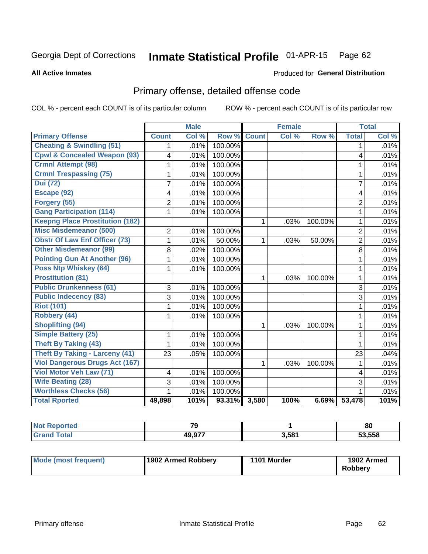#### Inmate Statistical Profile 01-APR-15 Page 62

### **All Active Inmates**

### Produced for General Distribution

# Primary offense, detailed offense code

COL % - percent each COUNT is of its particular column

|                                         |                | <b>Male</b> |         |              | <b>Female</b> |         |                | <b>Total</b> |
|-----------------------------------------|----------------|-------------|---------|--------------|---------------|---------|----------------|--------------|
| <b>Primary Offense</b>                  | <b>Count</b>   | Col %       | Row %   | <b>Count</b> | Col %         | Row %   | <b>Total</b>   | Col %        |
| <b>Cheating &amp; Swindling (51)</b>    | 1              | .01%        | 100.00% |              |               |         | 1              | .01%         |
| <b>Cpwl &amp; Concealed Weapon (93)</b> | 4              | .01%        | 100.00% |              |               |         | 4              | .01%         |
| <b>Crmnl Attempt (98)</b>               |                | .01%        | 100.00% |              |               |         | 1              | .01%         |
| <b>Crmnl Trespassing (75)</b>           | 1              | .01%        | 100.00% |              |               |         | $\mathbf{1}$   | .01%         |
| <b>Dui (72)</b>                         | 7              | .01%        | 100.00% |              |               |         | $\overline{7}$ | .01%         |
| Escape (92)                             | 4              | .01%        | 100.00% |              |               |         | 4              | .01%         |
| Forgery (55)                            | $\overline{2}$ | .01%        | 100.00% |              |               |         | $\overline{2}$ | .01%         |
| <b>Gang Participation (114)</b>         | 1              | .01%        | 100.00% |              |               |         | $\mathbf{1}$   | .01%         |
| <b>Keepng Place Prostitution (182)</b>  |                |             |         | 1            | .03%          | 100.00% | 1              | .01%         |
| <b>Misc Misdemeanor (500)</b>           | $\overline{2}$ | .01%        | 100.00% |              |               |         | $\overline{2}$ | .01%         |
| <b>Obstr Of Law Enf Officer (73)</b>    | 1              | .01%        | 50.00%  | 1            | .03%          | 50.00%  | $\overline{2}$ | .01%         |
| <b>Other Misdemeanor (99)</b>           | 8              | .02%        | 100.00% |              |               |         | 8              | .01%         |
| <b>Pointing Gun At Another (96)</b>     | 1              | .01%        | 100.00% |              |               |         | 1              | .01%         |
| <b>Poss Ntp Whiskey (64)</b>            | 1              | .01%        | 100.00% |              |               |         | $\mathbf{1}$   | .01%         |
| <b>Prostitution (81)</b>                |                |             |         | 1            | .03%          | 100.00% | $\mathbf{1}$   | .01%         |
| <b>Public Drunkenness (61)</b>          | 3              | .01%        | 100.00% |              |               |         | $\overline{3}$ | .01%         |
| <b>Public Indecency (83)</b>            | 3              | .01%        | 100.00% |              |               |         | 3              | .01%         |
| <b>Riot (101)</b>                       | 1              | .01%        | 100.00% |              |               |         | $\mathbf{1}$   | .01%         |
| Robbery (44)                            | 1              | .01%        | 100.00% |              |               |         | $\mathbf{1}$   | .01%         |
| <b>Shoplifting (94)</b>                 |                |             |         | 1            | .03%          | 100.00% | 1              | .01%         |
| <b>Simple Battery (25)</b>              | 1              | .01%        | 100.00% |              |               |         | 1              | .01%         |
| Theft By Taking (43)                    | 1              | .01%        | 100.00% |              |               |         | 1              | .01%         |
| <b>Theft By Taking - Larceny (41)</b>   | 23             | .05%        | 100.00% |              |               |         | 23             | .04%         |
| <b>Viol Dangerous Drugs Act (167)</b>   |                |             |         | 1            | .03%          | 100.00% | 1              | .01%         |
| Viol Motor Veh Law (71)                 | 4              | .01%        | 100.00% |              |               |         | 4              | .01%         |
| <b>Wife Beating (28)</b>                | 3              | .01%        | 100.00% |              |               |         | 3              | .01%         |
| <b>Worthless Checks (56)</b>            | 1              | .01%        | 100.00% |              |               |         | 1              | .01%         |
| <b>Total Rported</b>                    | 49,898         | 101%        | 93.31%  | 3,580        | 100%          | 6.69%   | 53,478         | 101%         |

| 70           |       | 80     |
|--------------|-------|--------|
| 10 077<br>лυ | 3,581 | 53,558 |

| Mode (most frequent) | 1902 Armed Robbery | 1101 Murder | 1902 Armed<br><b>Robberv</b> |
|----------------------|--------------------|-------------|------------------------------|
|----------------------|--------------------|-------------|------------------------------|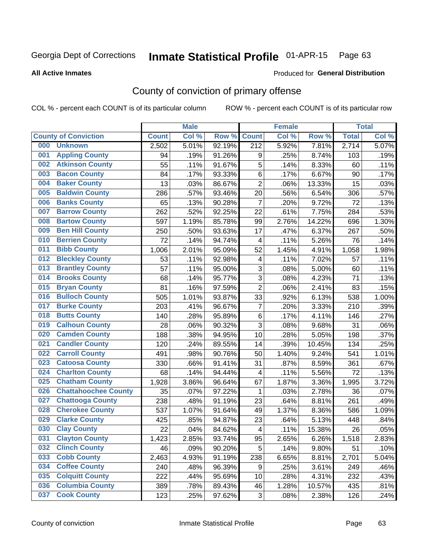# Inmate Statistical Profile 01-APR-15 Page 63

**All Active Inmates** 

### Produced for General Distribution

# County of conviction of primary offense

COL % - percent each COUNT is of its particular column

|     |                             |              | <b>Male</b> |        |                           | <b>Female</b> |        |              | <b>Total</b> |
|-----|-----------------------------|--------------|-------------|--------|---------------------------|---------------|--------|--------------|--------------|
|     | <b>County of Conviction</b> | <b>Count</b> | Col %       | Row %  | <b>Count</b>              | Col %         | Row %  | <b>Total</b> | Col %        |
| 000 | <b>Unknown</b>              | 2,502        | 5.01%       | 92.19% | $\overline{212}$          | 5.92%         | 7.81%  | 2,714        | 5.07%        |
| 001 | <b>Appling County</b>       | 94           | .19%        | 91.26% | 9                         | .25%          | 8.74%  | 103          | .19%         |
| 002 | <b>Atkinson County</b>      | 55           | .11%        | 91.67% | $\sqrt{5}$                | .14%          | 8.33%  | 60           | .11%         |
| 003 | <b>Bacon County</b>         | 84           | .17%        | 93.33% | $\,6$                     | .17%          | 6.67%  | 90           | .17%         |
| 004 | <b>Baker County</b>         | 13           | .03%        | 86.67% | $\overline{2}$            | .06%          | 13.33% | 15           | .03%         |
| 005 | <b>Baldwin County</b>       | 286          | .57%        | 93.46% | 20                        | .56%          | 6.54%  | 306          | .57%         |
| 006 | <b>Banks County</b>         | 65           | .13%        | 90.28% | $\overline{7}$            | .20%          | 9.72%  | 72           | .13%         |
| 007 | <b>Barrow County</b>        | 262          | .52%        | 92.25% | 22                        | .61%          | 7.75%  | 284          | .53%         |
| 008 | <b>Bartow County</b>        | 597          | 1.19%       | 85.78% | 99                        | 2.76%         | 14.22% | 696          | 1.30%        |
| 009 | <b>Ben Hill County</b>      | 250          | .50%        | 93.63% | 17                        | .47%          | 6.37%  | 267          | .50%         |
| 010 | <b>Berrien County</b>       | 72           | .14%        | 94.74% | $\overline{\mathbf{4}}$   | .11%          | 5.26%  | 76           | .14%         |
| 011 | <b>Bibb County</b>          | 1,006        | 2.01%       | 95.09% | 52                        | 1.45%         | 4.91%  | 1,058        | 1.98%        |
| 012 | <b>Bleckley County</b>      | 53           | .11%        | 92.98% | 4                         | .11%          | 7.02%  | 57           | .11%         |
| 013 | <b>Brantley County</b>      | 57           | .11%        | 95.00% | 3                         | .08%          | 5.00%  | 60           | .11%         |
| 014 | <b>Brooks County</b>        | 68           | .14%        | 95.77% | $\sqrt{3}$                | .08%          | 4.23%  | 71           | .13%         |
| 015 | <b>Bryan County</b>         | 81           | .16%        | 97.59% | $\overline{2}$            | .06%          | 2.41%  | 83           | .15%         |
| 016 | <b>Bulloch County</b>       | 505          | 1.01%       | 93.87% | 33                        | .92%          | 6.13%  | 538          | 1.00%        |
| 017 | <b>Burke County</b>         | 203          | .41%        | 96.67% | $\overline{7}$            | .20%          | 3.33%  | 210          | .39%         |
| 018 | <b>Butts County</b>         | 140          | .28%        | 95.89% | 6                         | .17%          | 4.11%  | 146          | .27%         |
| 019 | <b>Calhoun County</b>       | 28           | .06%        | 90.32% | 3                         | .08%          | 9.68%  | 31           | .06%         |
| 020 | <b>Camden County</b>        | 188          | .38%        | 94.95% | 10                        | .28%          | 5.05%  | 198          | .37%         |
| 021 | <b>Candler County</b>       | 120          | .24%        | 89.55% | 14                        | .39%          | 10.45% | 134          | .25%         |
| 022 | <b>Carroll County</b>       | 491          | .98%        | 90.76% | 50                        | 1.40%         | 9.24%  | 541          | 1.01%        |
| 023 | <b>Catoosa County</b>       | 330          | .66%        | 91.41% | 31                        | .87%          | 8.59%  | 361          | .67%         |
| 024 | <b>Charlton County</b>      | 68           | .14%        | 94.44% | 4                         | .11%          | 5.56%  | 72           | .13%         |
| 025 | <b>Chatham County</b>       | 1,928        | 3.86%       | 96.64% | 67                        | 1.87%         | 3.36%  | 1,995        | 3.72%        |
| 026 | <b>Chattahoochee County</b> | 35           | .07%        | 97.22% | 1                         | .03%          | 2.78%  | 36           | .07%         |
| 027 | <b>Chattooga County</b>     | 238          | .48%        | 91.19% | 23                        | .64%          | 8.81%  | 261          | .49%         |
| 028 | <b>Cherokee County</b>      | 537          | 1.07%       | 91.64% | 49                        | 1.37%         | 8.36%  | 586          | 1.09%        |
| 029 | <b>Clarke County</b>        | 425          | .85%        | 94.87% | 23                        | .64%          | 5.13%  | 448          | .84%         |
| 030 | <b>Clay County</b>          | 22           | .04%        | 84.62% | $\overline{\mathbf{4}}$   | .11%          | 15.38% | 26           | .05%         |
| 031 | <b>Clayton County</b>       | 1,423        | 2.85%       | 93.74% | 95                        | 2.65%         | 6.26%  | 1,518        | 2.83%        |
| 032 | <b>Clinch County</b>        | 46           | .09%        | 90.20% | 5                         | .14%          | 9.80%  | 51           | .10%         |
| 033 | <b>Cobb County</b>          | 2,463        | 4.93%       | 91.19% | 238                       | 6.65%         | 8.81%  | 2,701        | 5.04%        |
| 034 | <b>Coffee County</b>        | 240          | .48%        | 96.39% | 9                         | .25%          | 3.61%  | 249          | .46%         |
| 035 | <b>Colquitt County</b>      | 222          | .44%        | 95.69% | 10                        | .28%          | 4.31%  | 232          | .43%         |
| 036 | <b>Columbia County</b>      | 389          | .78%        | 89.43% | 46                        | 1.28%         | 10.57% | 435          | .81%         |
| 037 | <b>Cook County</b>          | 123          | .25%        | 97.62% | $\ensuremath{\mathsf{3}}$ | .08%          | 2.38%  | 126          | .24%         |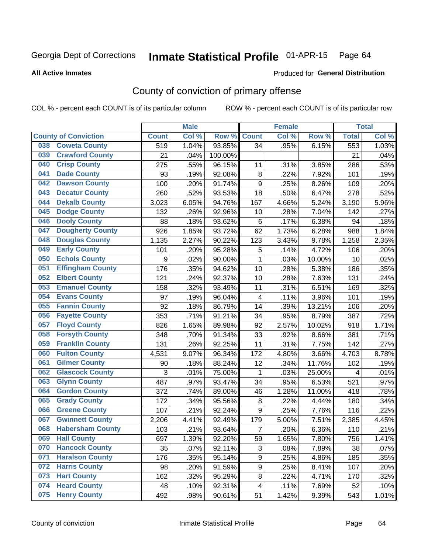# Inmate Statistical Profile 01-APR-15 Page 64

**All Active Inmates** 

### Produced for General Distribution

# County of conviction of primary offense

COL % - percent each COUNT is of its particular column

|     |                             |              | <b>Male</b> |         |                         | <b>Female</b> |        |              | <b>Total</b> |
|-----|-----------------------------|--------------|-------------|---------|-------------------------|---------------|--------|--------------|--------------|
|     | <b>County of Conviction</b> | <b>Count</b> | Col %       | Row %   | <b>Count</b>            | Col %         | Row %  | <b>Total</b> | Col %        |
| 038 | <b>Coweta County</b>        | 519          | 1.04%       | 93.85%  | 34                      | .95%          | 6.15%  | 553          | 1.03%        |
| 039 | <b>Crawford County</b>      | 21           | .04%        | 100.00% |                         |               |        | 21           | .04%         |
| 040 | <b>Crisp County</b>         | 275          | .55%        | 96.15%  | 11                      | .31%          | 3.85%  | 286          | .53%         |
| 041 | <b>Dade County</b>          | 93           | .19%        | 92.08%  | $\bf 8$                 | .22%          | 7.92%  | 101          | .19%         |
| 042 | <b>Dawson County</b>        | 100          | .20%        | 91.74%  | 9                       | .25%          | 8.26%  | 109          | .20%         |
| 043 | <b>Decatur County</b>       | 260          | .52%        | 93.53%  | 18                      | .50%          | 6.47%  | 278          | .52%         |
| 044 | <b>Dekalb County</b>        | 3,023        | 6.05%       | 94.76%  | 167                     | 4.66%         | 5.24%  | 3,190        | 5.96%        |
| 045 | <b>Dodge County</b>         | 132          | .26%        | 92.96%  | 10                      | .28%          | 7.04%  | 142          | .27%         |
| 046 | <b>Dooly County</b>         | 88           | .18%        | 93.62%  | $\,6\,$                 | .17%          | 6.38%  | 94           | .18%         |
| 047 | <b>Dougherty County</b>     | 926          | 1.85%       | 93.72%  | 62                      | 1.73%         | 6.28%  | 988          | 1.84%        |
| 048 | <b>Douglas County</b>       | 1,135        | 2.27%       | 90.22%  | 123                     | 3.43%         | 9.78%  | 1,258        | 2.35%        |
| 049 | <b>Early County</b>         | 101          | .20%        | 95.28%  | 5                       | .14%          | 4.72%  | 106          | .20%         |
| 050 | <b>Echols County</b>        | 9            | .02%        | 90.00%  | $\mathbf{1}$            | .03%          | 10.00% | 10           | .02%         |
| 051 | <b>Effingham County</b>     | 176          | .35%        | 94.62%  | 10                      | .28%          | 5.38%  | 186          | .35%         |
| 052 | <b>Elbert County</b>        | 121          | .24%        | 92.37%  | 10                      | .28%          | 7.63%  | 131          | .24%         |
| 053 | <b>Emanuel County</b>       | 158          | .32%        | 93.49%  | 11                      | .31%          | 6.51%  | 169          | .32%         |
| 054 | <b>Evans County</b>         | 97           | .19%        | 96.04%  | $\overline{\mathbf{4}}$ | .11%          | 3.96%  | 101          | .19%         |
| 055 | <b>Fannin County</b>        | 92           | .18%        | 86.79%  | 14                      | .39%          | 13.21% | 106          | .20%         |
| 056 | <b>Fayette County</b>       | 353          | .71%        | 91.21%  | 34                      | .95%          | 8.79%  | 387          | .72%         |
| 057 | <b>Floyd County</b>         | 826          | 1.65%       | 89.98%  | 92                      | 2.57%         | 10.02% | 918          | 1.71%        |
| 058 | <b>Forsyth County</b>       | 348          | .70%        | 91.34%  | 33                      | .92%          | 8.66%  | 381          | .71%         |
| 059 | <b>Franklin County</b>      | 131          | .26%        | 92.25%  | 11                      | .31%          | 7.75%  | 142          | .27%         |
| 060 | <b>Fulton County</b>        | 4,531        | 9.07%       | 96.34%  | 172                     | 4.80%         | 3.66%  | 4,703        | 8.78%        |
| 061 | <b>Gilmer County</b>        | 90           | .18%        | 88.24%  | 12                      | .34%          | 11.76% | 102          | .19%         |
| 062 | <b>Glascock County</b>      | 3            | .01%        | 75.00%  | $\mathbf{1}$            | .03%          | 25.00% | 4            | .01%         |
| 063 | <b>Glynn County</b>         | 487          | .97%        | 93.47%  | 34                      | .95%          | 6.53%  | 521          | .97%         |
| 064 | <b>Gordon County</b>        | 372          | .74%        | 89.00%  | 46                      | 1.28%         | 11.00% | 418          | .78%         |
| 065 | <b>Grady County</b>         | 172          | .34%        | 95.56%  | $\bf 8$                 | .22%          | 4.44%  | 180          | .34%         |
| 066 | <b>Greene County</b>        | 107          | .21%        | 92.24%  | 9                       | .25%          | 7.76%  | 116          | .22%         |
| 067 | <b>Gwinnett County</b>      | 2,206        | 4.41%       | 92.49%  | 179                     | 5.00%         | 7.51%  | 2,385        | 4.45%        |
| 068 | <b>Habersham County</b>     | 103          | .21%        | 93.64%  | $\overline{7}$          | .20%          | 6.36%  | 110          | .21%         |
| 069 | <b>Hall County</b>          | 697          | 1.39%       | 92.20%  | 59                      | 1.65%         | 7.80%  | 756          | 1.41%        |
| 070 | <b>Hancock County</b>       | 35           | .07%        | 92.11%  | 3                       | .08%          | 7.89%  | 38           | .07%         |
| 071 | <b>Haralson County</b>      | 176          | .35%        | 95.14%  | 9                       | .25%          | 4.86%  | 185          | .35%         |
| 072 | <b>Harris County</b>        | 98           | .20%        | 91.59%  | 9                       | .25%          | 8.41%  | 107          | .20%         |
| 073 | <b>Hart County</b>          | 162          | .32%        | 95.29%  | 8                       | .22%          | 4.71%  | 170          | .32%         |
| 074 | <b>Heard County</b>         | 48           | .10%        | 92.31%  | $\overline{4}$          | .11%          | 7.69%  | 52           | .10%         |
| 075 | <b>Henry County</b>         | 492          | .98%        | 90.61%  | 51                      | 1.42%         | 9.39%  | 543          | 1.01%        |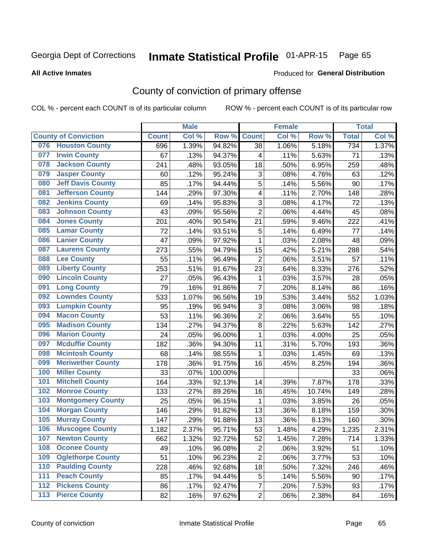# Inmate Statistical Profile 01-APR-15 Page 65

Produced for General Distribution

### **All Active Inmates**

# County of conviction of primary offense

COL % - percent each COUNT is of its particular column

|       |                             |              | <b>Male</b> |         |                | <b>Female</b> |        |              | <b>Total</b> |
|-------|-----------------------------|--------------|-------------|---------|----------------|---------------|--------|--------------|--------------|
|       | <b>County of Conviction</b> | <b>Count</b> | Col %       | Row %   | <b>Count</b>   | Col %         | Row %  | <b>Total</b> | Col %        |
| 076   | <b>Houston County</b>       | 696          | 1.39%       | 94.82%  | 38             | 1.06%         | 5.18%  | 734          | 1.37%        |
| 077   | <b>Irwin County</b>         | 67           | .13%        | 94.37%  | 4              | .11%          | 5.63%  | 71           | .13%         |
| 078   | <b>Jackson County</b>       | 241          | .48%        | 93.05%  | 18             | .50%          | 6.95%  | 259          | .48%         |
| 079   | <b>Jasper County</b>        | 60           | .12%        | 95.24%  | 3              | .08%          | 4.76%  | 63           | .12%         |
| 080   | <b>Jeff Davis County</b>    | 85           | .17%        | 94.44%  | 5              | .14%          | 5.56%  | 90           | .17%         |
| 081   | <b>Jefferson County</b>     | 144          | .29%        | 97.30%  | 4              | .11%          | 2.70%  | 148          | .28%         |
| 082   | <b>Jenkins County</b>       | 69           | .14%        | 95.83%  | 3              | .08%          | 4.17%  | 72           | .13%         |
| 083   | <b>Johnson County</b>       | 43           | .09%        | 95.56%  | $\overline{2}$ | .06%          | 4.44%  | 45           | .08%         |
| 084   | <b>Jones County</b>         | 201          | .40%        | 90.54%  | 21             | .59%          | 9.46%  | 222          | .41%         |
| 085   | <b>Lamar County</b>         | 72           | .14%        | 93.51%  | 5              | .14%          | 6.49%  | 77           | .14%         |
| 086   | <b>Lanier County</b>        | 47           | .09%        | 97.92%  | $\mathbf{1}$   | .03%          | 2.08%  | 48           | .09%         |
| 087   | <b>Laurens County</b>       | 273          | .55%        | 94.79%  | 15             | .42%          | 5.21%  | 288          | .54%         |
| 088   | <b>Lee County</b>           | 55           | .11%        | 96.49%  | $\overline{2}$ | .06%          | 3.51%  | 57           | .11%         |
| 089   | <b>Liberty County</b>       | 253          | .51%        | 91.67%  | 23             | .64%          | 8.33%  | 276          | .52%         |
| 090   | <b>Lincoln County</b>       | 27           | .05%        | 96.43%  | $\mathbf 1$    | .03%          | 3.57%  | 28           | .05%         |
| 091   | <b>Long County</b>          | 79           | .16%        | 91.86%  | $\overline{7}$ | .20%          | 8.14%  | 86           | .16%         |
| 092   | <b>Lowndes County</b>       | 533          | 1.07%       | 96.56%  | 19             | .53%          | 3.44%  | 552          | 1.03%        |
| 093   | <b>Lumpkin County</b>       | 95           | .19%        | 96.94%  | 3              | .08%          | 3.06%  | 98           | .18%         |
| 094   | <b>Macon County</b>         | 53           | .11%        | 96.36%  | $\overline{2}$ | .06%          | 3.64%  | 55           | .10%         |
| 095   | <b>Madison County</b>       | 134          | .27%        | 94.37%  | 8              | .22%          | 5.63%  | 142          | .27%         |
| 096   | <b>Marion County</b>        | 24           | .05%        | 96.00%  | $\mathbf{1}$   | .03%          | 4.00%  | 25           | .05%         |
| 097   | <b>Mcduffie County</b>      | 182          | .36%        | 94.30%  | 11             | .31%          | 5.70%  | 193          | .36%         |
| 098   | <b>Mcintosh County</b>      | 68           | .14%        | 98.55%  | $\mathbf{1}$   | .03%          | 1.45%  | 69           | .13%         |
| 099   | <b>Meriwether County</b>    | 178          | .36%        | 91.75%  | 16             | .45%          | 8.25%  | 194          | .36%         |
| 100   | <b>Miller County</b>        | 33           | .07%        | 100.00% |                |               |        | 33           | .06%         |
| 101   | <b>Mitchell County</b>      | 164          | .33%        | 92.13%  | 14             | .39%          | 7.87%  | 178          | .33%         |
| 102   | <b>Monroe County</b>        | 133          | .27%        | 89.26%  | 16             | .45%          | 10.74% | 149          | .28%         |
| 103   | <b>Montgomery County</b>    | 25           | .05%        | 96.15%  | $\mathbf{1}$   | .03%          | 3.85%  | 26           | .05%         |
| 104   | <b>Morgan County</b>        | 146          | .29%        | 91.82%  | 13             | .36%          | 8.18%  | 159          | .30%         |
| 105   | <b>Murray County</b>        | 147          | .29%        | 91.88%  | 13             | .36%          | 8.13%  | 160          | .30%         |
| 106   | <b>Muscogee County</b>      | 1,182        | 2.37%       | 95.71%  | 53             | 1.48%         | 4.29%  | 1,235        | 2.31%        |
| 107   | <b>Newton County</b>        | 662          | 1.32%       | 92.72%  | 52             | 1.45%         | 7.28%  | 714          | 1.33%        |
| 108   | <b>Oconee County</b>        | 49           | .10%        | 96.08%  | $\overline{2}$ | .06%          | 3.92%  | 51           | .10%         |
| 109   | <b>Oglethorpe County</b>    | 51           | .10%        | 96.23%  | $\overline{2}$ | .06%          | 3.77%  | 53           | .10%         |
| 110   | <b>Paulding County</b>      | 228          | .46%        | 92.68%  | 18             | .50%          | 7.32%  | 246          | .46%         |
| 111   | <b>Peach County</b>         | 85           | .17%        | 94.44%  | $\mathbf 5$    | .14%          | 5.56%  | 90           | .17%         |
| 112   | <b>Pickens County</b>       | 86           | .17%        | 92.47%  | $\overline{7}$ | .20%          | 7.53%  | 93           | .17%         |
| $113$ | <b>Pierce County</b>        | 82           | .16%        | 97.62%  | $\overline{c}$ | .06%          | 2.38%  | 84           | .16%         |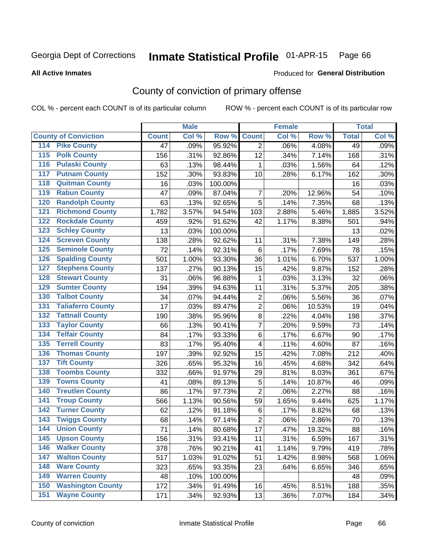# Inmate Statistical Profile 01-APR-15 Page 66

**All Active Inmates** 

### Produced for General Distribution

# County of conviction of primary offense

COL % - percent each COUNT is of its particular column

|                                          |              | <b>Male</b> |         |                         | <b>Female</b> |        |              | <b>Total</b> |
|------------------------------------------|--------------|-------------|---------|-------------------------|---------------|--------|--------------|--------------|
| <b>County of Conviction</b>              | <b>Count</b> | Col %       | Row %   | <b>Count</b>            | Col %         | Row %  | <b>Total</b> | Col %        |
| <b>Pike County</b><br>114                | 47           | .09%        | 95.92%  | $\overline{2}$          | .06%          | 4.08%  | 49           | .09%         |
| <b>Polk County</b><br>$\overline{115}$   | 156          | .31%        | 92.86%  | 12                      | .34%          | 7.14%  | 168          | .31%         |
| <b>Pulaski County</b><br>116             | 63           | .13%        | 98.44%  | 1                       | .03%          | 1.56%  | 64           | .12%         |
| <b>Putnam County</b><br>117              | 152          | .30%        | 93.83%  | 10                      | .28%          | 6.17%  | 162          | .30%         |
| <b>Quitman County</b><br>118             | 16           | .03%        | 100.00% |                         |               |        | 16           | .03%         |
| <b>Rabun County</b><br>119               | 47           | .09%        | 87.04%  | $\overline{7}$          | .20%          | 12.96% | 54           | .10%         |
| <b>Randolph County</b><br>120            | 63           | .13%        | 92.65%  | 5                       | .14%          | 7.35%  | 68           | .13%         |
| <b>Richmond County</b><br>121            | 1,782        | 3.57%       | 94.54%  | 103                     | 2.88%         | 5.46%  | 1,885        | 3.52%        |
| <b>Rockdale County</b><br>122            | 459          | .92%        | 91.62%  | 42                      | 1.17%         | 8.38%  | 501          | .94%         |
| <b>Schley County</b><br>123              | 13           | .03%        | 100.00% |                         |               |        | 13           | .02%         |
| <b>Screven County</b><br>124             | 138          | .28%        | 92.62%  | 11                      | .31%          | 7.38%  | 149          | .28%         |
| <b>Seminole County</b><br>125            | 72           | .14%        | 92.31%  | $\,6$                   | .17%          | 7.69%  | 78           | .15%         |
| <b>Spalding County</b><br>126            | 501          | 1.00%       | 93.30%  | 36                      | 1.01%         | 6.70%  | 537          | 1.00%        |
| <b>Stephens County</b><br>127            | 137          | .27%        | 90.13%  | 15                      | .42%          | 9.87%  | 152          | .28%         |
| <b>Stewart County</b><br>128             | 31           | .06%        | 96.88%  | 1                       | .03%          | 3.13%  | 32           | .06%         |
| <b>Sumter County</b><br>129              | 194          | .39%        | 94.63%  | 11                      | .31%          | 5.37%  | 205          | .38%         |
| <b>Talbot County</b><br>130              | 34           | .07%        | 94.44%  | $\overline{2}$          | .06%          | 5.56%  | 36           | .07%         |
| <b>Taliaferro County</b><br>131          | 17           | .03%        | 89.47%  | $\boldsymbol{2}$        | .06%          | 10.53% | 19           | .04%         |
| <b>Tattnall County</b><br>132            | 190          | .38%        | 95.96%  | 8                       | .22%          | 4.04%  | 198          | .37%         |
| <b>Taylor County</b><br>133              | 66           | .13%        | 90.41%  | $\overline{7}$          | .20%          | 9.59%  | 73           | .14%         |
| <b>Telfair County</b><br>134             | 84           | .17%        | 93.33%  | 6                       | .17%          | 6.67%  | 90           | .17%         |
| <b>Terrell County</b><br>135             | 83           | .17%        | 95.40%  | $\overline{\mathbf{4}}$ | .11%          | 4.60%  | 87           | .16%         |
| <b>Thomas County</b><br>136              | 197          | .39%        | 92.92%  | 15                      | .42%          | 7.08%  | 212          | .40%         |
| <b>Tift County</b><br>137                | 326          | .65%        | 95.32%  | 16                      | .45%          | 4.68%  | 342          | .64%         |
| <b>Toombs County</b><br>138              | 332          | .66%        | 91.97%  | 29                      | .81%          | 8.03%  | 361          | .67%         |
| <b>Towns County</b><br>139               | 41           | .08%        | 89.13%  | 5                       | .14%          | 10.87% | 46           | .09%         |
| <b>Treutlen County</b><br>140            | 86           | .17%        | 97.73%  | $\overline{2}$          | .06%          | 2.27%  | 88           | .16%         |
| <b>Troup County</b><br>141               | 566          | 1.13%       | 90.56%  | 59                      | 1.65%         | 9.44%  | 625          | 1.17%        |
| <b>Turner County</b><br>142              | 62           | .12%        | 91.18%  | $\,6$                   | .17%          | 8.82%  | 68           | .13%         |
| <b>Twiggs County</b><br>$\overline{143}$ | 68           | .14%        | 97.14%  | $\overline{2}$          | .06%          | 2.86%  | 70           | .13%         |
| <b>Union County</b><br>144               | 71           | .14%        | 80.68%  | 17                      | .47%          | 19.32% | 88           | .16%         |
| 145<br><b>Upson County</b>               | 156          | .31%        | 93.41%  | 11                      | .31%          | 6.59%  | 167          | .31%         |
| <b>Walker County</b><br>146              | 378          | .76%        | 90.21%  | 41                      | 1.14%         | 9.79%  | 419          | .78%         |
| <b>Walton County</b><br>147              | 517          | 1.03%       | 91.02%  | 51                      | 1.42%         | 8.98%  | 568          | 1.06%        |
| <b>Ware County</b><br>148                | 323          | .65%        | 93.35%  | 23                      | .64%          | 6.65%  | 346          | .65%         |
| <b>Warren County</b><br>149              | 48           | .10%        | 100.00% |                         |               |        | 48           | .09%         |
| <b>Washington County</b><br>150          | 172          | .34%        | 91.49%  | 16                      | .45%          | 8.51%  | 188          | .35%         |
| <b>Wayne County</b><br>151               | 171          | .34%        | 92.93%  | 13                      | .36%          | 7.07%  | 184          | .34%         |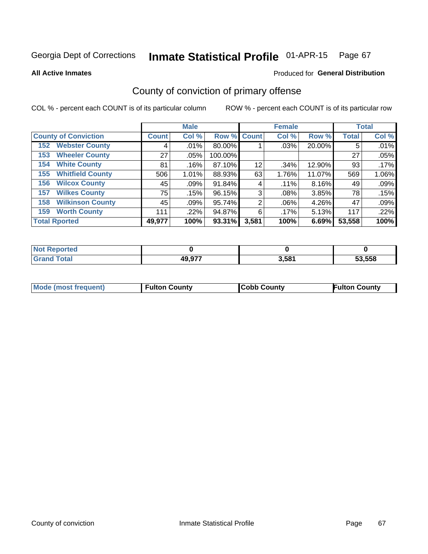# Inmate Statistical Profile 01-APR-15 Page 67

**All Active Inmates** 

### Produced for General Distribution

# County of conviction of primary offense

COL % - percent each COUNT is of its particular column

|                                |              | <b>Male</b> |             |       | <b>Female</b> |        |              | <b>Total</b> |
|--------------------------------|--------------|-------------|-------------|-------|---------------|--------|--------------|--------------|
| <b>County of Conviction</b>    | <b>Count</b> | Col %       | Row % Count |       | Col %         | Row %  | <b>Total</b> | Col%         |
| <b>Webster County</b><br>152   | 4            | $.01\%$     | 80.00%      |       | .03%          | 20.00% | 5            | .01%         |
| <b>Wheeler County</b><br>153   | 27           | $.05\%$     | 100.00%     |       |               |        | 27           | .05%         |
| <b>White County</b><br>154     | 81           | .16%        | 87.10%      | 12    | .34%          | 12.90% | 93           | $.17\%$      |
| <b>Whitfield County</b><br>155 | 506          | $1.01\%$    | 88.93%      | 63    | 1.76%         | 11.07% | 569          | 1.06%        |
| <b>Wilcox County</b><br>156    | 45           | .09%        | 91.84%      | 4     | $.11\%$       | 8.16%  | 49           | .09%         |
| <b>Wilkes County</b><br>157    | 75           | .15%        | 96.15%      | 3     | .08%          | 3.85%  | 78           | .15%         |
| <b>Wilkinson County</b><br>158 | 45           | .09%        | 95.74%      | 2     | $.06\%$       | 4.26%  | 47           | .09%         |
| <b>Worth County</b><br>159     | 111          | .22%        | 94.87%      | 6     | $.17\%$       | 5.13%  | 117          | .22%         |
| <b>Total Rported</b>           | 49,977       | 100%        | 93.31%      | 3,581 | 100%          | 6.69%  | 53,558       | 100%         |

| <b>Not</b><br>: Reported |        |       |        |
|--------------------------|--------|-------|--------|
| <b>Total</b>             | 49,977 | 3,581 | 53.558 |

| Mode (most frequent) | <b>Fulton County</b> | <b>Cobb County</b> | <b>Fulton County</b> |
|----------------------|----------------------|--------------------|----------------------|
|                      |                      |                    |                      |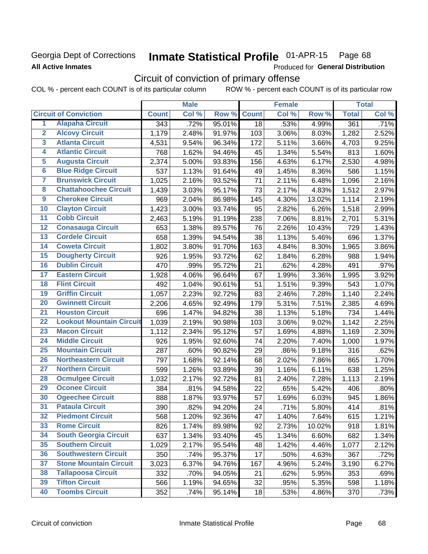## **Georgia Dept of Corrections All Active Inmates**

#### Inmate Statistical Profile 01-APR-15 Page 68

Produced for General Distribution

# Circuit of conviction of primary offense

COL % - percent each COUNT is of its particular column ROW % - percent each COUNT is of its particular row

|                         |                                 | <b>Male</b>      |       | <b>Female</b> |              |       | <b>Total</b> |              |       |
|-------------------------|---------------------------------|------------------|-------|---------------|--------------|-------|--------------|--------------|-------|
|                         | <b>Circuit of Conviction</b>    | <b>Count</b>     | Col % | Row %         | <b>Count</b> | Col % | Row %        | <b>Total</b> | Col % |
| 1                       | <b>Alapaha Circuit</b>          | $\overline{343}$ | .72%  | 95.01%        | 18           | .53%  | 4.99%        | 361          | .71%  |
| $\overline{2}$          | <b>Alcovy Circuit</b>           | 1,179            | 2.48% | 91.97%        | 103          | 3.06% | 8.03%        | 1,282        | 2.52% |
| $\overline{\mathbf{3}}$ | <b>Atlanta Circuit</b>          | 4,531            | 9.54% | 96.34%        | 172          | 5.11% | 3.66%        | 4,703        | 9.25% |
| 4                       | <b>Atlantic Circuit</b>         | 768              | 1.62% | 94.46%        | 45           | 1.34% | 5.54%        | 813          | 1.60% |
| $\overline{5}$          | <b>Augusta Circuit</b>          | 2,374            | 5.00% | 93.83%        | 156          | 4.63% | 6.17%        | 2,530        | 4.98% |
| $\overline{6}$          | <b>Blue Ridge Circuit</b>       | 537              | 1.13% | 91.64%        | 49           | 1.45% | 8.36%        | 586          | 1.15% |
| $\overline{\mathbf{7}}$ | <b>Brunswick Circuit</b>        | 1,025            | 2.16% | 93.52%        | 71           | 2.11% | 6.48%        | 1,096        | 2.16% |
| 8                       | <b>Chattahoochee Circuit</b>    | 1,439            | 3.03% | 95.17%        | 73           | 2.17% | 4.83%        | 1,512        | 2.97% |
| $\overline{9}$          | <b>Cherokee Circuit</b>         | 969              | 2.04% | 86.98%        | 145          | 4.30% | 13.02%       | 1,114        | 2.19% |
| 10                      | <b>Clayton Circuit</b>          | 1,423            | 3.00% | 93.74%        | 95           | 2.82% | 6.26%        | 1,518        | 2.99% |
| $\overline{11}$         | <b>Cobb Circuit</b>             | 2,463            | 5.19% | 91.19%        | 238          | 7.06% | 8.81%        | 2,701        | 5.31% |
| $\overline{12}$         | <b>Conasauga Circuit</b>        | 653              | 1.38% | 89.57%        | 76           | 2.26% | 10.43%       | 729          | 1.43% |
| 13                      | <b>Cordele Circuit</b>          | 658              | 1.39% | 94.54%        | 38           | 1.13% | 5.46%        | 696          | 1.37% |
| 14                      | <b>Coweta Circuit</b>           | 1,802            | 3.80% | 91.70%        | 163          | 4.84% | 8.30%        | 1,965        | 3.86% |
| 15                      | <b>Dougherty Circuit</b>        | 926              | 1.95% | 93.72%        | 62           | 1.84% | 6.28%        | 988          | 1.94% |
| 16                      | <b>Dublin Circuit</b>           | 470              | .99%  | 95.72%        | 21           | .62%  | 4.28%        | 491          | .97%  |
| 17                      | <b>Eastern Circuit</b>          | 1,928            | 4.06% | 96.64%        | 67           | 1.99% | 3.36%        | 1,995        | 3.92% |
| 18                      | <b>Flint Circuit</b>            | 492              | 1.04% | 90.61%        | 51           | 1.51% | 9.39%        | 543          | 1.07% |
| 19                      | <b>Griffin Circuit</b>          | 1,057            | 2.23% | 92.72%        | 83           | 2.46% | 7.28%        | 1,140        | 2.24% |
| $\overline{20}$         | <b>Gwinnett Circuit</b>         | 2,206            | 4.65% | 92.49%        | 179          | 5.31% | 7.51%        | 2,385        | 4.69% |
| $\overline{21}$         | <b>Houston Circuit</b>          | 696              | 1.47% | 94.82%        | 38           | 1.13% | 5.18%        | 734          | 1.44% |
| $\overline{22}$         | <b>Lookout Mountain Circuit</b> | 1,039            | 2.19% | 90.98%        | 103          | 3.06% | 9.02%        | 1,142        | 2.25% |
| 23                      | <b>Macon Circuit</b>            | 1,112            | 2.34% | 95.12%        | 57           | 1.69% | 4.88%        | 1,169        | 2.30% |
| $\overline{24}$         | <b>Middle Circuit</b>           | 926              | 1.95% | 92.60%        | 74           | 2.20% | 7.40%        | 1,000        | 1.97% |
| 25                      | <b>Mountain Circuit</b>         | 287              | .60%  | 90.82%        | 29           | .86%  | 9.18%        | 316          | .62%  |
| 26                      | <b>Northeastern Circuit</b>     | 797              | 1.68% | 92.14%        | 68           | 2.02% | 7.86%        | 865          | 1.70% |
| $\overline{27}$         | <b>Northern Circuit</b>         | 599              | 1.26% | 93.89%        | 39           | 1.16% | 6.11%        | 638          | 1.25% |
| 28                      | <b>Ocmulgee Circuit</b>         | 1,032            | 2.17% | 92.72%        | 81           | 2.40% | 7.28%        | 1,113        | 2.19% |
| 29                      | <b>Oconee Circuit</b>           | 384              | .81%  | 94.58%        | 22           | .65%  | 5.42%        | 406          | .80%  |
| 30                      | <b>Ogeechee Circuit</b>         | 888              | 1.87% | 93.97%        | 57           | 1.69% | 6.03%        | 945          | 1.86% |
| $\overline{31}$         | <b>Pataula Circuit</b>          | 390              | .82%  | 94.20%        | 24           | .71%  | 5.80%        | 414          | .81%  |
| 32                      | <b>Piedmont Circuit</b>         | 568              | 1.20% | 92.36%        | 47           | 1.40% | 7.64%        | 615          | 1.21% |
| 33                      | <b>Rome Circuit</b>             | 826              | 1.74% | 89.98%        | 92           | 2.73% | 10.02%       | 918          | 1.81% |
| 34                      | <b>South Georgia Circuit</b>    | 637              | 1.34% | 93.40%        | 45           | 1.34% | 6.60%        | 682          | 1.34% |
| 35                      | <b>Southern Circuit</b>         | 1,029            | 2.17% | 95.54%        | 48           | 1.42% | 4.46%        | 1,077        | 2.12% |
| 36                      | <b>Southwestern Circuit</b>     | 350              | .74%  | 95.37%        | 17           | .50%  | 4.63%        | 367          | .72%  |
| 37                      | <b>Stone Mountain Circuit</b>   | 3,023            | 6.37% | 94.76%        | 167          | 4.96% | 5.24%        | 3,190        | 6.27% |
| 38                      | <b>Tallapoosa Circuit</b>       | 332              | .70%  | 94.05%        | 21           | .62%  | 5.95%        | 353          | .69%  |
| 39                      | <b>Tifton Circuit</b>           | 566              | 1.19% | 94.65%        | 32           | .95%  | 5.35%        | 598          | 1.18% |
| 40                      | <b>Toombs Circuit</b>           | 352              | .74%  | 95.14%        | 18           | .53%  | 4.86%        | 370          | .73%  |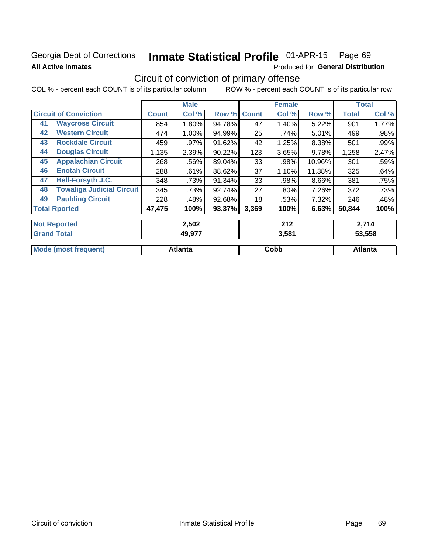## **Georgia Dept of Corrections All Active Inmates**

**Mode (most frequent)** 

#### Inmate Statistical Profile 01-APR-15 Page 69

**Cobb** 

Produced for General Distribution

# Circuit of conviction of primary offense

ROW % - percent each COUNT is of its particular row COL % - percent each COUNT is of its particular column

|                     |                                  | <b>Male</b><br><b>Female</b> |        |        |              | <b>Total</b> |        |              |        |
|---------------------|----------------------------------|------------------------------|--------|--------|--------------|--------------|--------|--------------|--------|
|                     | <b>Circuit of Conviction</b>     |                              | Col %  | Row %  | <b>Count</b> | Col %        | Row %  | <b>Total</b> | Col %  |
| 41                  | <b>Waycross Circuit</b>          | 854                          | 1.80%  | 94.78% | 47           | 1.40%        | 5.22%  | 901          | 1.77%  |
| 42                  | <b>Western Circuit</b>           | 474                          | 1.00%  | 94.99% | 25           | .74%         | 5.01%  | 499          | .98%   |
| 43                  | <b>Rockdale Circuit</b>          | 459                          | .97%   | 91.62% | 42           | 1.25%        | 8.38%  | 501          | .99%   |
| 44                  | <b>Douglas Circuit</b>           | 1,135                        | 2.39%  | 90.22% | 123          | 3.65%        | 9.78%  | 1,258        | 2.47%  |
| 45                  | <b>Appalachian Circuit</b>       | 268                          | .56%   | 89.04% | 33           | .98%         | 10.96% | 301          | .59%   |
| 46                  | <b>Enotah Circuit</b>            | 288                          | .61%   | 88.62% | 37           | 1.10%        | 11.38% | 325          | .64%   |
| 47                  | <b>Bell-Forsyth J.C.</b>         | 348                          | .73%   | 91.34% | 33           | .98%         | 8.66%  | 381          | .75%   |
| 48                  | <b>Towaliga Judicial Circuit</b> | 345                          | .73%   | 92.74% | 27           | .80%         | 7.26%  | 372          | .73%   |
| 49                  | <b>Paulding Circuit</b>          | 228                          | .48%   | 92.68% | 18           | .53%         | 7.32%  | 246          | .48%   |
|                     | <b>Total Rported</b>             | 47,475                       | 100%   | 93.37% | 3,369        | 100%         | 6.63%  | 50,844       | 100%   |
| <b>Not Reported</b> |                                  |                              | 2,502  |        | 212          |              | 2,714  |              |        |
| <b>Grand Total</b>  |                                  |                              | 49,977 |        |              | 3,581        |        |              | 53,558 |

**Atlanta** 

**Atlanta**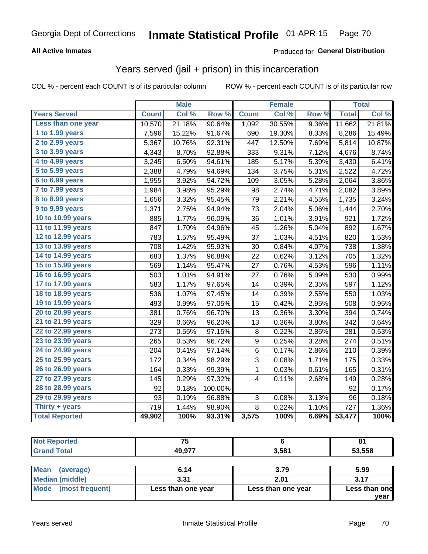## **All Active Inmates**

### Produced for General Distribution

## Years served (jail + prison) in this incarceration

COL % - percent each COUNT is of its particular column

|                              |              | <b>Male</b> |         | <b>Female</b> |        | <b>Total</b> |              |        |
|------------------------------|--------------|-------------|---------|---------------|--------|--------------|--------------|--------|
| <b>Years Served</b>          | <b>Count</b> | Col %       | Row %   | <b>Count</b>  | Col %  | Row %        | <b>Total</b> | Col %  |
| Less than one year           | 10,570       | 21.18%      | 90.64%  | 1,092         | 30.55% | 9.36%        | 11,662       | 21.81% |
| 1 to 1.99 years              | 7,596        | 15.22%      | 91.67%  | 690           | 19.30% | 8.33%        | 8,286        | 15.49% |
| 2 to 2.99 years              | 5,367        | 10.76%      | 92.31%  | 447           | 12.50% | 7.69%        | 5,814        | 10.87% |
| $3$ to $3.99$ years          | 4,343        | 8.70%       | 92.88%  | 333           | 9.31%  | 7.12%        | 4,676        | 8.74%  |
| $\overline{4}$ to 4.99 years | 3,245        | 6.50%       | 94.61%  | 185           | 5.17%  | 5.39%        | 3,430        | 6.41%  |
| $\overline{5}$ to 5.99 years | 2,388        | 4.79%       | 94.69%  | 134           | 3.75%  | 5.31%        | 2,522        | 4.72%  |
| $6$ to $6.99$ years          | 1,955        | 3.92%       | 94.72%  | 109           | 3.05%  | 5.28%        | 2,064        | 3.86%  |
| 7 to 7.99 years              | 1,984        | 3.98%       | 95.29%  | 98            | 2.74%  | 4.71%        | 2,082        | 3.89%  |
| 8 to 8.99 years              | 1,656        | 3.32%       | 95.45%  | 79            | 2.21%  | 4.55%        | 1,735        | 3.24%  |
| 9 to 9.99 years              | 1,371        | 2.75%       | 94.94%  | 73            | 2.04%  | 5.06%        | 1,444        | 2.70%  |
| 10 to 10.99 years            | 885          | 1.77%       | 96.09%  | 36            | 1.01%  | 3.91%        | 921          | 1.72%  |
| 11 to 11.99 years            | 847          | 1.70%       | 94.96%  | 45            | 1.26%  | 5.04%        | 892          | 1.67%  |
| 12 to 12.99 years            | 783          | 1.57%       | 95.49%  | 37            | 1.03%  | 4.51%        | 820          | 1.53%  |
| 13 to 13.99 years            | 708          | 1.42%       | 95.93%  | 30            | 0.84%  | 4.07%        | 738          | 1.38%  |
| 14 to 14.99 years            | 683          | 1.37%       | 96.88%  | 22            | 0.62%  | 3.12%        | 705          | 1.32%  |
| 15 to 15.99 years            | 569          | 1.14%       | 95.47%  | 27            | 0.76%  | 4.53%        | 596          | 1.11%  |
| 16 to 16.99 years            | 503          | 1.01%       | 94.91%  | 27            | 0.76%  | 5.09%        | 530          | 0.99%  |
| 17 to 17.99 years            | 583          | 1.17%       | 97.65%  | 14            | 0.39%  | 2.35%        | 597          | 1.12%  |
| 18 to 18.99 years            | 536          | 1.07%       | 97.45%  | 14            | 0.39%  | 2.55%        | 550          | 1.03%  |
| 19 to 19.99 years            | 493          | 0.99%       | 97.05%  | 15            | 0.42%  | 2.95%        | 508          | 0.95%  |
| 20 to 20.99 years            | 381          | 0.76%       | 96.70%  | 13            | 0.36%  | 3.30%        | 394          | 0.74%  |
| 21 to 21.99 years            | 329          | 0.66%       | 96.20%  | 13            | 0.36%  | 3.80%        | 342          | 0.64%  |
| 22 to 22.99 years            | 273          | 0.55%       | 97.15%  | 8             | 0.22%  | 2.85%        | 281          | 0.53%  |
| 23 to 23.99 years            | 265          | 0.53%       | 96.72%  | 9             | 0.25%  | 3.28%        | 274          | 0.51%  |
| 24 to 24.99 years            | 204          | 0.41%       | 97.14%  | 6             | 0.17%  | 2.86%        | 210          | 0.39%  |
| 25 to 25.99 years            | 172          | 0.34%       | 98.29%  | 3             | 0.08%  | 1.71%        | 175          | 0.33%  |
| 26 to 26.99 years            | 164          | 0.33%       | 99.39%  | $\mathbf 1$   | 0.03%  | 0.61%        | 165          | 0.31%  |
| 27 to 27.99 years            | 145          | 0.29%       | 97.32%  | 4             | 0.11%  | 2.68%        | 149          | 0.28%  |
| 28 to 28.99 years            | 92           | 0.18%       | 100.00% |               |        |              | 92           | 0.17%  |
| 29 to 29.99 years            | 93           | 0.19%       | 96.88%  | 3             | 0.08%  | 3.13%        | 96           | 0.18%  |
| Thirty + years               | 719          | 1.44%       | 98.90%  | 8             | 0.22%  | 1.10%        | 727          | 1.36%  |
| <b>Total Reported</b>        | 49,902       | 100%        | 93.31%  | 3,575         | 100%   | 6.69%        | 53,477       | 100%   |

| <b>Not Reported</b>      | 75                 |                    | 81            |
|--------------------------|--------------------|--------------------|---------------|
| <b>Grand Total</b>       | 49,977             | 3,581              | 53,558        |
|                          |                    |                    |               |
| <b>Mean</b><br>(average) | 6.14               | 3.79               | 5.99          |
| Median (middle)          | 3.31               | 2.01               | 3.17          |
| Mode<br>(most frequent)  | Less than one year | Less than one year | Less than one |
|                          |                    |                    | vear          |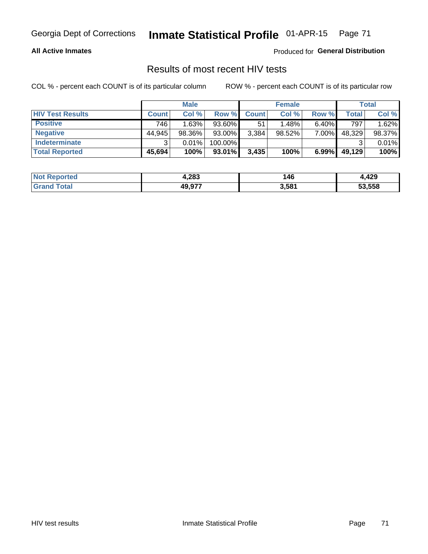# Georgia Dept of Corrections **Inmate Statistical Profile** 01-APR-15 Page 71

### **All Active Inmates**

Produced for **General Distribution**

## Results of most recent HIV tests

COL % - percent each COUNT is of its particular column ROW % - percent each COUNT is of its particular row

|                         |              | <b>Male</b> |         |              | <b>Female</b> |          |        | Total  |
|-------------------------|--------------|-------------|---------|--------------|---------------|----------|--------|--------|
| <b>HIV Test Results</b> | <b>Count</b> | Col %       | Row %I  | <b>Count</b> | Col %         | Row %    | Total  | Col %  |
| <b>Positive</b>         | 746          | 1.63%       | 93.60%  | 51           | 1.48%         | $6.40\%$ | 797    | 1.62%  |
| <b>Negative</b>         | 44.945       | 98.36%      | 93.00%  | 3,384        | $98.52\%$     | 7.00%    | 48,329 | 98.37% |
| <b>Indeterminate</b>    | ◠            | 0.01%       | 100.00% |              |               |          |        | 0.01%  |
| <b>Total Reported</b>   | 45,694       | 100%        | 93.01%  | 3,435        | 100%          | 6.99%    | 49,129 | 100%   |

| <b>Not Reported</b> | 1,283  | 146   | 10 Q<br>34.44. |
|---------------------|--------|-------|----------------|
| ™otal               | 49,977 | 3,581 | 53,558         |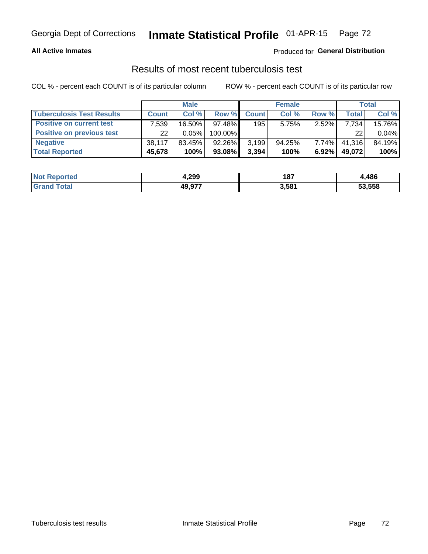# Georgia Dept of Corrections **Inmate Statistical Profile** 01-APR-15 Page 72

### **All Active Inmates**

## Produced for **General Distribution**

## Results of most recent tuberculosis test

COL % - percent each COUNT is of its particular column ROW % - percent each COUNT is of its particular row

|                                  |              | <b>Male</b> |           |              | <b>Female</b> |          |              | Total  |
|----------------------------------|--------------|-------------|-----------|--------------|---------------|----------|--------------|--------|
| <b>Tuberculosis Test Results</b> | <b>Count</b> | Col%        | Row %     | <b>Count</b> | Col %         | Row %    | <b>Total</b> | Col %  |
| <b>Positive on current test</b>  | 7,539        | 16.50%      | $97.48\%$ | 195          | 5.75%         | 2.52%    | 7.734        | 15.76% |
| <b>Positive on previous test</b> | 22           | $0.05\%$    | 100.00%   |              |               |          | 22           | 0.04%  |
| <b>Negative</b>                  | 38,117       | $83.45\%$   | 92.26%    | 3,199        | 94.25%        | $7.74\%$ | 41,316       | 84.19% |
| <b>Total Reported</b>            | 45,678       | 100%        | 93.08%    | 3,394        | 100%          | $6.92\%$ | 49,072       | 100%   |

| <b>Not Reported</b> | 4,299  | 407<br>10 L | 486    |
|---------------------|--------|-------------|--------|
| <sup>-</sup> otal   | 49,977 | 3,581       | 53,558 |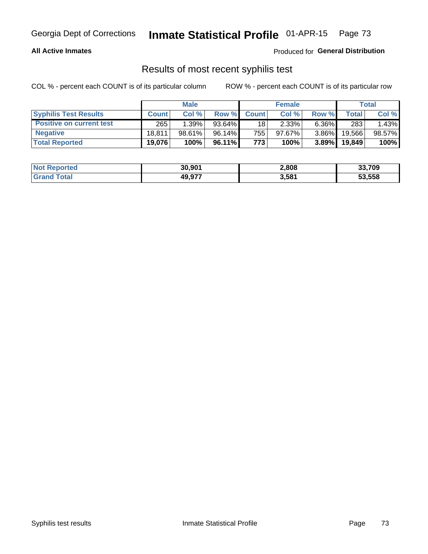# Georgia Dept of Corrections **Inmate Statistical Profile** 01-APR-15 Page 73

### **All Active Inmates**

Produced for **General Distribution**

## Results of most recent syphilis test

COL % - percent each COUNT is of its particular column ROW % - percent each COUNT is of its particular row

|                                 | <b>Male</b>  |        |           | <b>Female</b> |           |          | Total   |        |
|---------------------------------|--------------|--------|-----------|---------------|-----------|----------|---------|--------|
| <b>Syphilis Test Results</b>    | <b>Count</b> | Col%   | Row %     | <b>Count</b>  | Col %     | Row %    | Total I | Col %  |
| <b>Positive on current test</b> | 265          | 1.39%  | $93.64\%$ | 18            | 2.33%     | $6.36\%$ | 283     | 1.43%  |
| <b>Negative</b>                 | 18.811       | 98.61% | 96.14%    | 755           | $97.67\%$ | $3.86\%$ | 19,566  | 98.57% |
| <b>Total Reported</b>           | 19,076       | 100%   | 96.11% I  | 773           | 100%      | $3.89\%$ | 19,849  | 100%   |

| <b>Not Reported</b> | 30,901 | 2,808 | 33,709 |
|---------------------|--------|-------|--------|
| <b>Grand Total</b>  | 49.977 | 3,581 | 53.558 |